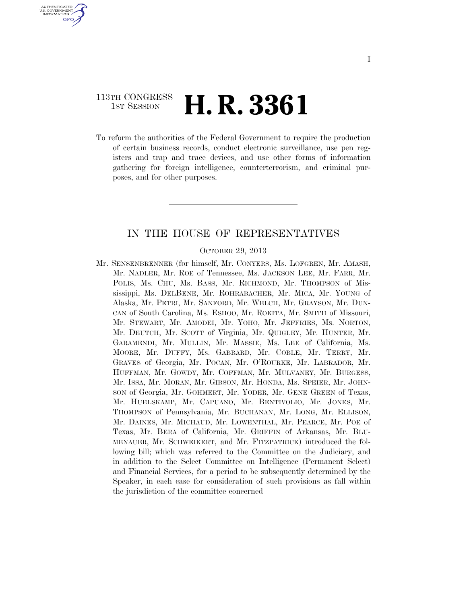### 113TH CONGRESS **1st Session H. R. 3361**

U.S. GOVERNMENT **GPO** 

> To reform the authorities of the Federal Government to require the production of certain business records, conduct electronic surveillance, use pen registers and trap and trace devices, and use other forms of information gathering for foreign intelligence, counterterrorism, and criminal purposes, and for other purposes.

#### IN THE HOUSE OF REPRESENTATIVES

#### OCTOBER 29, 2013

Mr. SENSENBRENNER (for himself, Mr. CONYERS, Ms. LOFGREN, Mr. AMASH, Mr. NADLER, Mr. ROE of Tennessee, Ms. JACKSON LEE, Mr. FARR, Mr. POLIS, Ms. CHU, Ms. BASS, Mr. RICHMOND, Mr. THOMPSON of Mississippi, Ms. DELBENE, Mr. ROHRABACHER, Mr. MICA, Mr. YOUNG of Alaska, Mr. PETRI, Mr. SANFORD, Mr. WELCH, Mr. GRAYSON, Mr. DUN-CAN of South Carolina, Ms. ESHOO, Mr. ROKITA, Mr. SMITH of Missouri, Mr. STEWART, Mr. AMODEI, Mr. YOHO, Mr. JEFFRIES, Ms. NORTON, Mr. DEUTCH, Mr. SCOTT of Virginia, Mr. QUIGLEY, Mr. HUNTER, Mr. GARAMENDI, Mr. MULLIN, Mr. MASSIE, Ms. LEE of California, Ms. MOORE, Mr. DUFFY, Ms. GABBARD, Mr. COBLE, Mr. TERRY, Mr. GRAVES of Georgia, Mr. POCAN, Mr. O'ROURKE, Mr. LABRADOR, Mr. HUFFMAN, Mr. GOWDY, Mr. COFFMAN, Mr. MULVANEY, Mr. BURGESS, Mr. ISSA, Mr. MORAN, Mr. GIBSON, Mr. HONDA, Ms. SPEIER, Mr. JOHN-SON of Georgia, Mr. GOHMERT, Mr. YODER, Mr. GENE GREEN of Texas, Mr. HUELSKAMP, Mr. CAPUANO, Mr. BENTIVOLIO, Mr. JONES, Mr. THOMPSON of Pennsylvania, Mr. BUCHANAN, Mr. LONG, Mr. ELLISON, Mr. DAINES, Mr. MICHAUD, Mr. LOWENTHAL, Mr. PEARCE, Mr. POE of Texas, Mr. BERA of California, Mr. GRIFFIN of Arkansas, Mr. BLU-MENAUER, Mr. SCHWEIKERT, and Mr. FITZPATRICK) introduced the following bill; which was referred to the Committee on the Judiciary, and in addition to the Select Committee on Intelligence (Permanent Select) and Financial Services, for a period to be subsequently determined by the Speaker, in each case for consideration of such provisions as fall within the jurisdiction of the committee concerned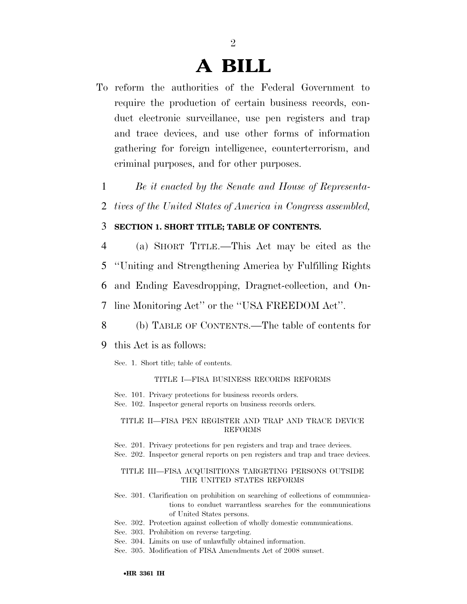# **A BILL**

2

- To reform the authorities of the Federal Government to require the production of certain business records, conduct electronic surveillance, use pen registers and trap and trace devices, and use other forms of information gathering for foreign intelligence, counterterrorism, and criminal purposes, and for other purposes.
	- 1 *Be it enacted by the Senate and House of Representa-*
	- 2 *tives of the United States of America in Congress assembled,*

#### 3 **SECTION 1. SHORT TITLE; TABLE OF CONTENTS.**

- 4 (a) SHORT TITLE.—This Act may be cited as the
- 5 ''Uniting and Strengthening America by Fulfilling Rights
- 6 and Ending Eavesdropping, Dragnet-collection, and On-
- 7 line Monitoring Act'' or the ''USA FREEDOM Act''.
- 8 (b) TABLE OF CONTENTS.—The table of contents for
- 9 this Act is as follows:
	- Sec. 1. Short title; table of contents.

#### TITLE I—FISA BUSINESS RECORDS REFORMS

- Sec. 101. Privacy protections for business records orders.
- Sec. 102. Inspector general reports on business records orders.

#### TITLE II—FISA PEN REGISTER AND TRAP AND TRACE DEVICE REFORMS

Sec. 201. Privacy protections for pen registers and trap and trace devices.

Sec. 202. Inspector general reports on pen registers and trap and trace devices.

#### TITLE III—FISA ACQUISITIONS TARGETING PERSONS OUTSIDE THE UNITED STATES REFORMS

- Sec. 301. Clarification on prohibition on searching of collections of communications to conduct warrantless searches for the communications of United States persons.
- Sec. 302. Protection against collection of wholly domestic communications.
- Sec. 303. Prohibition on reverse targeting.
- Sec. 304. Limits on use of unlawfully obtained information.
- Sec. 305. Modification of FISA Amendments Act of 2008 sunset.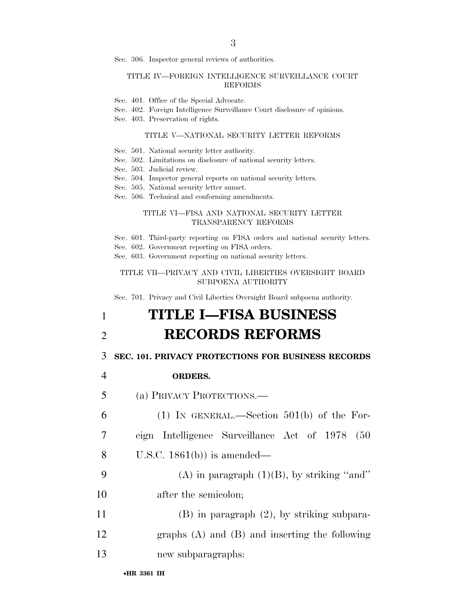Sec. 306. Inspector general reviews of authorities.

#### TITLE IV—FOREIGN INTELLIGENCE SURVEILLANCE COURT REFORMS

- Sec. 401. Office of the Special Advocate.
- Sec. 402. Foreign Intelligence Surveillance Court disclosure of opinions.

Sec. 403. Preservation of rights.

#### TITLE V—NATIONAL SECURITY LETTER REFORMS

- Sec. 501. National security letter authority.
- Sec. 502. Limitations on disclosure of national security letters.
- Sec. 503. Judicial review.
- Sec. 504. Inspector general reports on national security letters.
- Sec. 505. National security letter sunset.
- Sec. 506. Technical and conforming amendments.

#### TITLE VI—FISA AND NATIONAL SECURITY LETTER TRANSPARENCY REFORMS

- Sec. 601. Third-party reporting on FISA orders and national security letters.
- Sec. 602. Government reporting on FISA orders.

Sec. 603. Government reporting on national security letters.

#### TITLE VII—PRIVACY AND CIVIL LIBERTIES OVERSIGHT BOARD SUBPOENA AUTHORITY

Sec. 701. Privacy and Civil Liberties Oversight Board subpoena authority.

# 1 **TITLE I—FISA BUSINESS**  2 **RECORDS REFORMS**

#### 3 **SEC. 101. PRIVACY PROTECTIONS FOR BUSINESS RECORDS**

- 4 **ORDERS.**
- 5 (a) PRIVACY PROTECTIONS.—

6 (1) IN GENERAL.—Section 501(b) of the For-

- 7 eign Intelligence Surveillance Act of 1978 (50
- 8 U.S.C. 1861(b)) is amended—
- 9 (A) in paragraph  $(1)(B)$ , by striking "and" 10 after the semicolon;
- 11 (B) in paragraph (2), by striking subpara-
- 12 graphs (A) and (B) and inserting the following
- 13 new subparagraphs: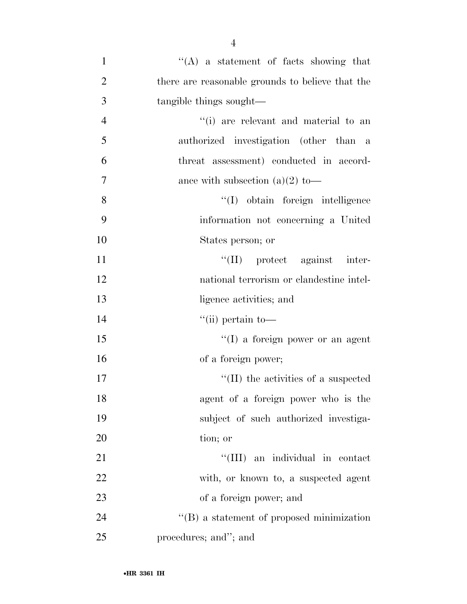| $\mathbf{1}$   | $\lq\lq$ a statement of facts showing that        |
|----------------|---------------------------------------------------|
| $\overline{2}$ | there are reasonable grounds to believe that the  |
| 3              | tangible things sought—                           |
| $\overline{4}$ | "(i) are relevant and material to an              |
| 5              | authorized investigation (other than a            |
| 6              | threat assessment) conducted in accord-           |
| $\overline{7}$ | ance with subsection (a)(2) to-                   |
| 8              | "(I) obtain foreign intelligence                  |
| 9              | information not concerning a United               |
| 10             | States person; or                                 |
| 11             | $\lq\lq$ (II) protect against inter-              |
| 12             | national terrorism or clandestine intel-          |
| 13             | ligence activities; and                           |
| 14             | $``$ (ii) pertain to-                             |
| 15             | "(I) a foreign power or an agent                  |
| 16             | of a foreign power;                               |
| 17             | $\lq\lq$ (II) the activities of a suspected       |
| 18             | agent of a foreign power who is the               |
| 19             | subject of such authorized investiga-             |
| 20             | tion; or                                          |
| 21             | "(III) an individual in contact                   |
| 22             | with, or known to, a suspected agent              |
| 23             | of a foreign power; and                           |
| 24             | $\lq\lq (B)$ a statement of proposed minimization |
| 25             | procedures; and"; and                             |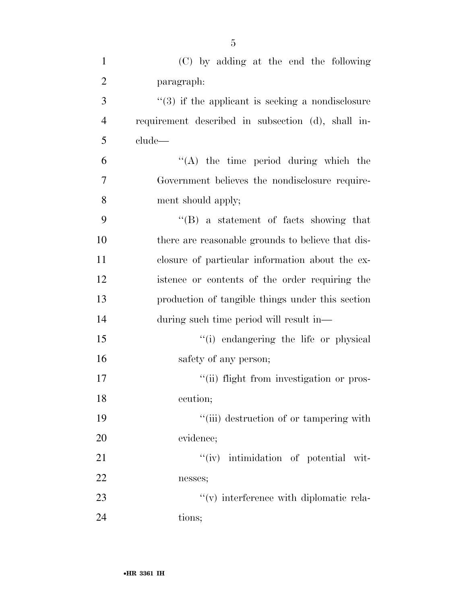| $\mathbf{1}$   | (C) by adding at the end the following              |
|----------------|-----------------------------------------------------|
| $\overline{2}$ | paragraph:                                          |
| 3              | $(3)$ if the applicant is seeking a nondisclosure   |
| $\overline{4}$ | requirement described in subsection (d), shall in-  |
| 5              | clude                                               |
| 6              | "(A) the time period during which the               |
| $\overline{7}$ | Government believes the nondisclosure require-      |
| 8              | ment should apply;                                  |
| 9              | $\lq\lq(B)$ a statement of facts showing that       |
| 10             | there are reasonable grounds to believe that dis-   |
| 11             | closure of particular information about the ex-     |
| 12             | istence or contents of the order requiring the      |
| 13             | production of tangible things under this section    |
| 14             | during such time period will result in—             |
| 15             | "(i) endangering the life or physical               |
| 16             | safety of any person;                               |
| 17             | "(ii) flight from investigation or pros-            |
| 18             | ecution;                                            |
| 19             | "(iii) destruction of or tampering with             |
| 20             | evidence;                                           |
| 21             | "(iv) intimidation of potential wit-                |
| 22             | nesses;                                             |
| 23             | $\mathcal{C}(v)$ interference with diplomatic rela- |
| 24             | tions;                                              |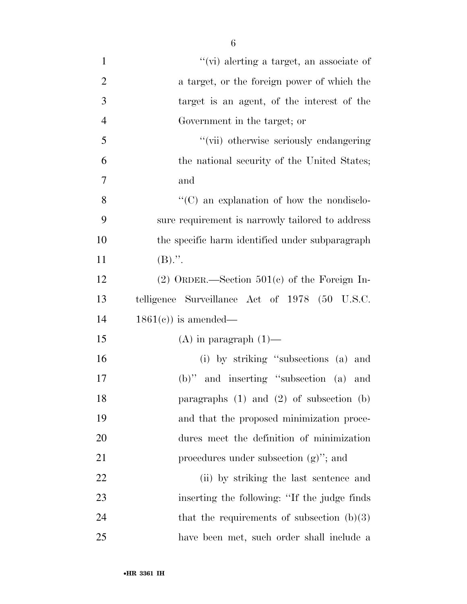| $\mathbf{1}$   | "(vi) alerting a target, an associate of          |
|----------------|---------------------------------------------------|
| $\overline{2}$ | a target, or the foreign power of which the       |
| 3              | target is an agent, of the interest of the        |
| $\overline{4}$ | Government in the target; or                      |
| 5              | "(vii) otherwise seriously endangering            |
| 6              | the national security of the United States;       |
| 7              | and                                               |
| 8              | $\lq\lq$ (C) an explanation of how the nondisclo- |
| 9              | sure requirement is narrowly tailored to address  |
| 10             | the specific harm identified under subparagraph   |
| 11             | $(B)$ .".                                         |
| 12             | $(2)$ ORDER.—Section 501 $(c)$ of the Foreign In- |
| 13             | telligence Surveillance Act of 1978 (50 U.S.C.    |
| 14             | $1861(e)$ is amended—                             |
| 15             | $(A)$ in paragraph $(1)$ —                        |
| 16             | (i) by striking "subsections (a) and              |
| 17             | $(b)$ " and inserting "subsection (a)<br>and      |
| 18             | paragraphs $(1)$ and $(2)$ of subsection $(b)$    |
| 19             | and that the proposed minimization proce-         |
| 20             | dures meet the definition of minimization         |
| 21             | procedures under subsection $(g)$ "; and          |
| 22             | (ii) by striking the last sentence and            |
| 23             | inserting the following: "If the judge finds      |
| 24             | that the requirements of subsection $(b)(3)$      |
| 25             | have been met, such order shall include a         |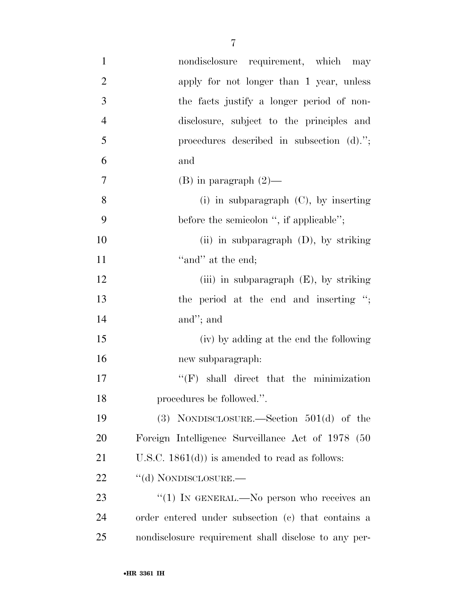| $\mathbf{1}$   | nondisclosure requirement, which may                 |
|----------------|------------------------------------------------------|
| $\mathbf{2}$   | apply for not longer than 1 year, unless             |
| 3              | the facts justify a longer period of non-            |
| $\overline{4}$ | disclosure, subject to the principles and            |
| 5              | procedures described in subsection $(d).$ ";         |
| 6              | and                                                  |
| $\overline{7}$ | $(B)$ in paragraph $(2)$ —                           |
| 8              | (i) in subparagraph $(C)$ , by inserting             |
| 9              | before the semicolon ", if applicable";              |
| 10             | (ii) in subparagraph $(D)$ , by striking             |
| 11             | "and" at the end;                                    |
| 12             | (iii) in subparagraph $(E)$ , by striking            |
| 13             | the period at the end and inserting ";               |
| 14             | and"; and                                            |
| 15             | (iv) by adding at the end the following              |
| 16             | new subparagraph:                                    |
| 17             | $\lq\lq(F)$ shall direct that the minimization       |
| 18             | procedures be followed.".                            |
| 19             | (3) NONDISCLOSURE.—Section $501(d)$ of the           |
| 20             | Foreign Intelligence Surveillance Act of 1978 (50    |
| 21             | U.S.C. $1861(d)$ is amended to read as follows:      |
| 22             | "(d) NONDISCLOSURE.—                                 |
| 23             | "(1) IN GENERAL.—No person who receives an           |
| 24             | order entered under subsection (c) that contains a   |
| 25             | nondisclosure requirement shall disclose to any per- |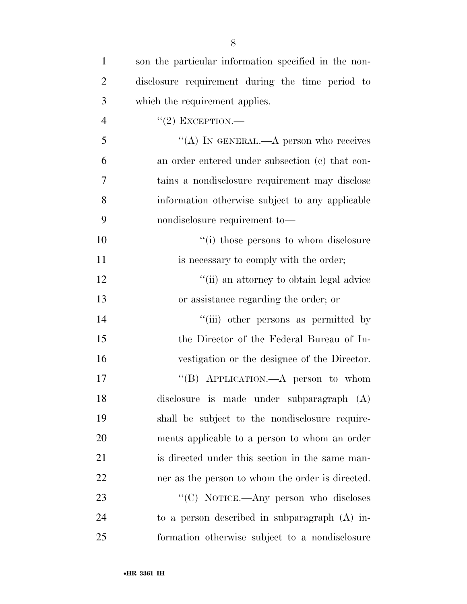| $\mathbf{1}$   | son the particular information specified in the non- |
|----------------|------------------------------------------------------|
| $\overline{2}$ | disclosure requirement during the time period to     |
| 3              | which the requirement applies.                       |
| $\overline{4}$ | $``(2)$ EXCEPTION.—                                  |
| 5              | "(A) IN GENERAL.—A person who receives               |
| 6              | an order entered under subsection (c) that con-      |
| $\overline{7}$ | tains a nondisclosure requirement may disclose       |
| 8              | information otherwise subject to any applicable      |
| 9              | nondisclosure requirement to-                        |
| 10             | "(i) those persons to whom disclosure                |
| 11             | is necessary to comply with the order;               |
| 12             | "(ii) an attorney to obtain legal advice             |
| 13             | or assistance regarding the order; or                |
| 14             | "(iii) other persons as permitted by                 |
| 15             | the Director of the Federal Bureau of In-            |
| 16             | vestigation or the designee of the Director.         |
| 17             | "(B) APPLICATION.—A person to whom                   |
| 18             | disclosure is made under subparagraph (A)            |
| 19             | shall be subject to the nondisclosure require-       |
| 20             | ments applicable to a person to whom an order        |
| 21             | is directed under this section in the same man-      |
| 22             | ner as the person to whom the order is directed.     |
| 23             | "(C) NOTICE.—Any person who discloses                |
| 24             | to a person described in subparagraph (A) in-        |
| 25             | formation otherwise subject to a nondisclosure       |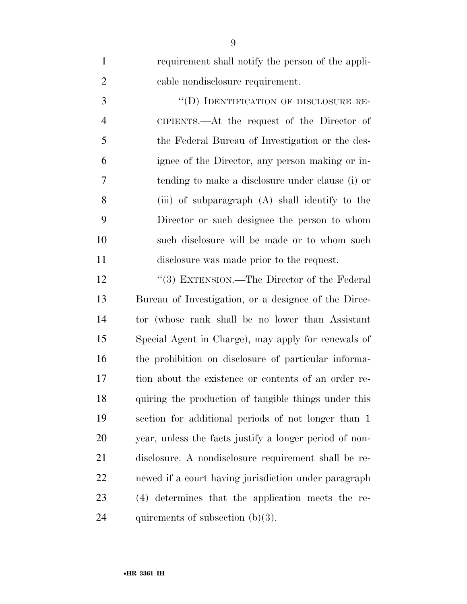| $\mathbf{1}$   | requirement shall notify the person of the appli-      |
|----------------|--------------------------------------------------------|
| $\overline{2}$ | cable nondisclosure requirement.                       |
| 3              | "(D) IDENTIFICATION OF DISCLOSURE RE-                  |
| $\overline{4}$ | CIPIENTS.— $\Delta t$ the request of the Director of   |
| 5              | the Federal Bureau of Investigation or the des-        |
| 6              | ignee of the Director, any person making or in-        |
| 7              | tending to make a disclosure under clause (i) or       |
| 8              | (iii) of subparagraph (A) shall identify to the        |
| 9              | Director or such designee the person to whom           |
| 10             | such disclosure will be made or to whom such           |
| 11             | disclosure was made prior to the request.              |
| 12             | "(3) EXTENSION.—The Director of the Federal            |
| 13             | Bureau of Investigation, or a designee of the Direc-   |
| 14             | tor (whose rank shall be no lower than Assistant       |
| 15             | Special Agent in Charge), may apply for renewals of    |
| 16             | the prohibition on disclosure of particular informa-   |
| 17             | tion about the existence or contents of an order re-   |
| 18             | quiring the production of tangible things under this   |
| 19             | section for additional periods of not longer than 1    |
| 20             | year, unless the facts justify a longer period of non- |
| 21             | disclosure. A nondisclosure requirement shall be re-   |
| 22             | newed if a court having jurisdiction under paragraph   |
| 23             | (4) determines that the application meets the re-      |
| 24             | quirements of subsection $(b)(3)$ .                    |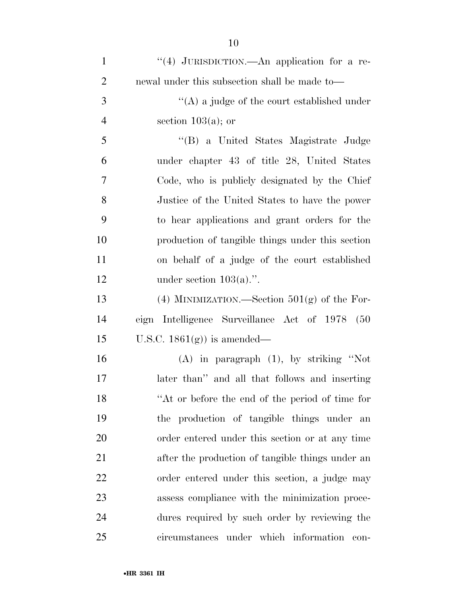| $\mathbf{1}$   | "(4) JURISDICTION.—An application for a re-      |
|----------------|--------------------------------------------------|
| $\overline{2}$ | newal under this subsection shall be made to—    |
| 3              | $\lq\lq$ a judge of the court established under  |
| $\overline{4}$ | section $103(a)$ ; or                            |
| 5              | "(B) a United States Magistrate Judge            |
| 6              | under chapter 43 of title 28, United States      |
| 7              | Code, who is publicly designated by the Chief    |
| 8              | Justice of the United States to have the power   |
| 9              | to hear applications and grant orders for the    |
| 10             | production of tangible things under this section |
| 11             | on behalf of a judge of the court established    |
| 12             | under section $103(a)$ .".                       |
| 13             | (4) MINIMIZATION.—Section $501(g)$ of the For-   |
| 14             | eign Intelligence Surveillance Act of 1978 (50   |
| 15             | U.S.C. $1861(g)$ is amended—                     |
| 16             | $(A)$ in paragraph $(1)$ , by striking "Not      |
| 17             | later than" and all that follows and inserting   |
| 18             | "At or before the end of the period of time for  |
| 19             | the production of tangible things under an       |
| 20             | order entered under this section or at any time  |
| 21             | after the production of tangible things under an |
| 22             | order entered under this section, a judge may    |
| 23             | assess compliance with the minimization proce-   |
| 24             | dures required by such order by reviewing the    |
| 25             | circumstances under which information con-       |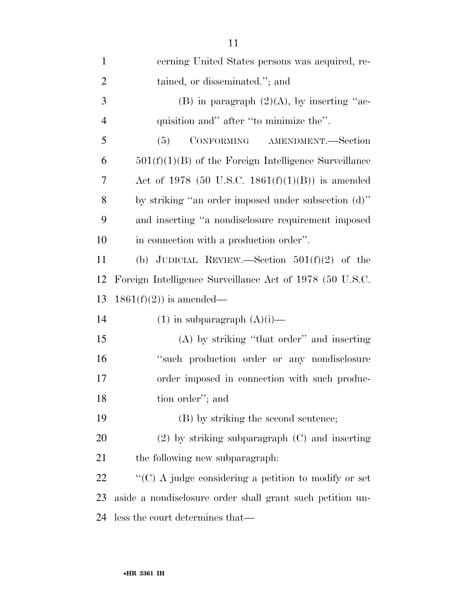| $\mathbf{1}$   | cerning United States persons was acquired, re-           |
|----------------|-----------------------------------------------------------|
| $\overline{2}$ | tained, or disseminated."; and                            |
| 3              | (B) in paragraph $(2)(A)$ , by inserting "ac-             |
| $\overline{4}$ | quisition and" after "to minimize the".                   |
| 5              | CONFORMING AMENDMENT.-Section<br>(5)                      |
| 6              | $501(f)(1)(B)$ of the Foreign Intelligence Surveillance   |
| 7              | Act of 1978 (50 U.S.C. 1861 $(f)(1)(B)$ ) is amended      |
| 8              | by striking "an order imposed under subsection (d)"       |
| 9              | and inserting "a nondisclosure requirement imposed        |
| 10             | in connection with a production order".                   |
| 11             | (b) JUDICIAL REVIEW.—Section $501(f)(2)$ of the           |
| 12             | Foreign Intelligence Surveillance Act of 1978 (50 U.S.C.  |
| 13             | $1861(f)(2)$ is amended—                                  |
| 14             | $(1)$ in subparagraph $(A)(i)$ —                          |
| 15             | (A) by striking "that order" and inserting                |
| 16             | "such production order or any nondisclosure               |
| 17             | order imposed in connection with such produc-             |
| 18             | tion order"; and                                          |
| 19             | (B) by striking the second sentence;                      |
| 20             | $(2)$ by striking subparagraph $(C)$ and inserting        |
| 21             | the following new subparagraph:                           |
| 22             | "(C) A judge considering a petition to modify or set      |
| 23             | aside a nondisclosure order shall grant such petition un- |
| 24             | less the court determines that—                           |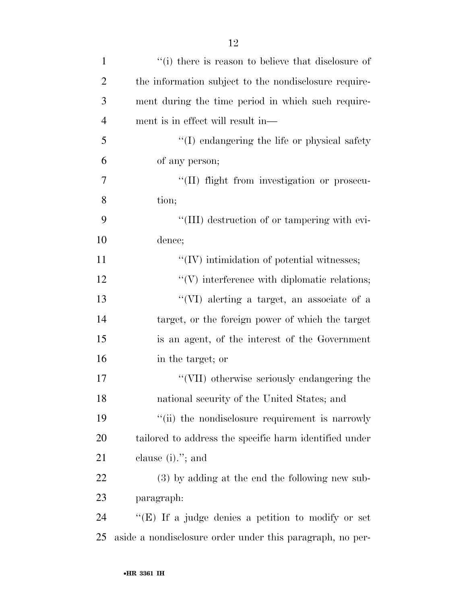| $\mathbf{1}$   | "(i) there is reason to believe that disclosure of        |
|----------------|-----------------------------------------------------------|
| $\overline{2}$ | the information subject to the nondisclosure require-     |
| 3              | ment during the time period in which such require-        |
| $\overline{4}$ | ment is in effect will result in—                         |
| 5              | "(I) endangering the life or physical safety              |
| 6              | of any person;                                            |
| 7              | "(II) flight from investigation or prosecu-               |
| 8              | tion;                                                     |
| 9              | "(III) destruction of or tampering with evi-              |
| 10             | dence;                                                    |
| 11             | $\lq\lq$ (IV) intimidation of potential witnesses;        |
| 12             | $\lq\lq$ interference with diplomatic relations;          |
| 13             | "(VI) alerting a target, an associate of a                |
| 14             | target, or the foreign power of which the target          |
| 15             | is an agent, of the interest of the Government            |
| 16             | in the target; or                                         |
| 17             | "(VII) otherwise seriously endangering the                |
| 18             | national security of the United States; and               |
| 19             | "(ii) the nondisclosure requirement is narrowly           |
| 20             | tailored to address the specific harm identified under    |
| 21             | clause $(i)$ ."; and                                      |
| 22             | (3) by adding at the end the following new sub-           |
| 23             | paragraph:                                                |
| 24             | "(E) If a judge denies a petition to modify or set        |
| 25             | aside a nondisclosure order under this paragraph, no per- |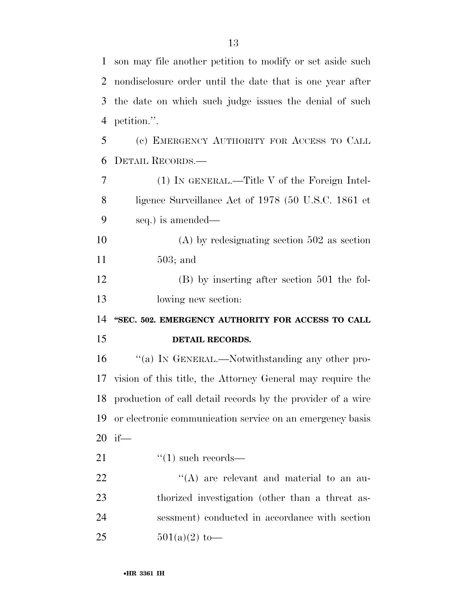| $\mathbf{1}$ | son may file another petition to modify or set aside such      |
|--------------|----------------------------------------------------------------|
| 2            | nondisclosure order until the date that is one year after      |
| 3            | the date on which such judge issues the denial of such         |
| 4            | petition.".                                                    |
| 5            | (c) EMERGENCY AUTHORITY FOR ACCESS TO CALL                     |
| 6            | DETAIL RECORDS.—                                               |
| 7            | (1) IN GENERAL.—Title V of the Foreign Intel-                  |
| 8            | ligence Surveillance Act of 1978 (50 U.S.C. 1861 et            |
| 9            | seq.) is amended—                                              |
| 10           | $(A)$ by redesignating section 502 as section                  |
| 11           | $503$ ; and                                                    |
| 12           | $(B)$ by inserting after section 501 the fol-                  |
| 13           | lowing new section:                                            |
| 14           | "SEC. 502. EMERGENCY AUTHORITY FOR ACCESS TO CALL              |
| 15           | DETAIL RECORDS.                                                |
| 16           | "(a) In GENERAL.—Notwithstanding any other pro-                |
| 17           | vision of this title, the Attorney General may require the     |
|              | 18 production of call detail records by the provider of a wire |
| 19           | or electronic communication service on an emergency basis      |
| 20           | if—                                                            |
| 21           | $\cdot$ (1) such records—                                      |
| <u>22</u>    |                                                                |
|              | $\lq\lq$ are relevant and material to an au-                   |
| 23           | thorized investigation (other than a threat as-                |
| 24           | sessment) conducted in accordance with section                 |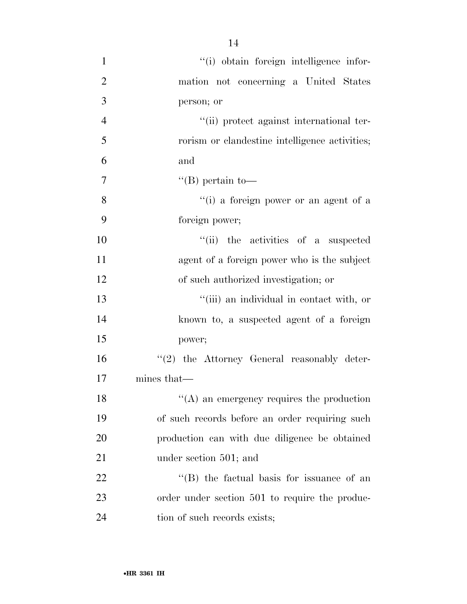| $\mathbf{1}$   | "(i) obtain foreign intelligence infor-           |
|----------------|---------------------------------------------------|
| $\overline{2}$ | mation not concerning a United States             |
| 3              | person; or                                        |
| $\overline{4}$ | "(ii) protect against international ter-          |
| 5              | rorism or clandestine intelligence activities;    |
| 6              | and                                               |
| 7              | "(B) pertain to-                                  |
| 8              | "(i) a foreign power or an agent of a             |
| 9              | foreign power;                                    |
| 10             | "(ii) the activities of a suspected               |
| 11             | agent of a foreign power who is the subject       |
| 12             | of such authorized investigation; or              |
| 13             | "(iii) an individual in contact with, or          |
| 14             | known to, a suspected agent of a foreign          |
| 15             | power;                                            |
| 16             | $\lq(2)$ the Attorney General reasonably deter-   |
| 17             | mines that—                                       |
| 18             | $\lq\lq$ an emergency requires the production     |
| 19             | of such records before an order requiring such    |
| 20             | production can with due diligence be obtained     |
| 21             | under section 501; and                            |
| 22             | $\lq\lq$ (B) the factual basis for issuance of an |
| 23             | order under section 501 to require the produc-    |
| 24             | tion of such records exists;                      |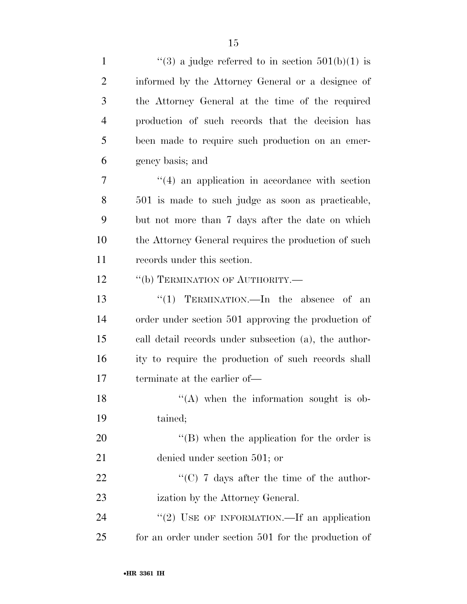| $\mathbf{1}$   | "(3) a judge referred to in section $501(b)(1)$ is    |
|----------------|-------------------------------------------------------|
| $\overline{2}$ | informed by the Attorney General or a designee of     |
| 3              | the Attorney General at the time of the required      |
| $\overline{4}$ | production of such records that the decision has      |
| 5              | been made to require such production on an emer-      |
| 6              | gency basis; and                                      |
| 7              | $\cdot$ (4) an application in accordance with section |
| 8              | 501 is made to such judge as soon as practicable,     |
| 9              | but not more than 7 days after the date on which      |
| 10             | the Attorney General requires the production of such  |
| 11             | records under this section.                           |
| 12             | "(b) TERMINATION OF AUTHORITY.—                       |
| 13             | "(1) TERMINATION.—In the absence of an                |
| 14             | order under section 501 approving the production of   |
| 15             | call detail records under subsection (a), the author- |
| 16             | ity to require the production of such records shall   |
| 17             | terminate at the earlier of—                          |
| 18             | $\lq($ A) when the information sought is ob-          |
| 19             | tained;                                               |
| 20             | "(B) when the application for the order is            |
| 21             | denied under section 501; or                          |
| 22             | "(C) $7$ days after the time of the author-           |
| 23             | ization by the Attorney General.                      |
| 24             | "(2) USE OF INFORMATION.—If an application            |
| 25             | for an order under section 501 for the production of  |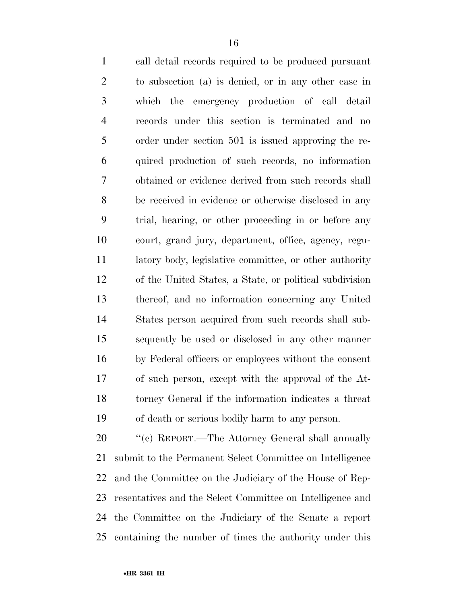call detail records required to be produced pursuant to subsection (a) is denied, or in any other case in which the emergency production of call detail records under this section is terminated and no order under section 501 is issued approving the re- quired production of such records, no information obtained or evidence derived from such records shall be received in evidence or otherwise disclosed in any trial, hearing, or other proceeding in or before any court, grand jury, department, office, agency, regu- latory body, legislative committee, or other authority of the United States, a State, or political subdivision thereof, and no information concerning any United States person acquired from such records shall sub- sequently be used or disclosed in any other manner by Federal officers or employees without the consent of such person, except with the approval of the At- torney General if the information indicates a threat of death or serious bodily harm to any person.

20 "'(c) REPORT.—The Attorney General shall annually submit to the Permanent Select Committee on Intelligence and the Committee on the Judiciary of the House of Rep- resentatives and the Select Committee on Intelligence and the Committee on the Judiciary of the Senate a report containing the number of times the authority under this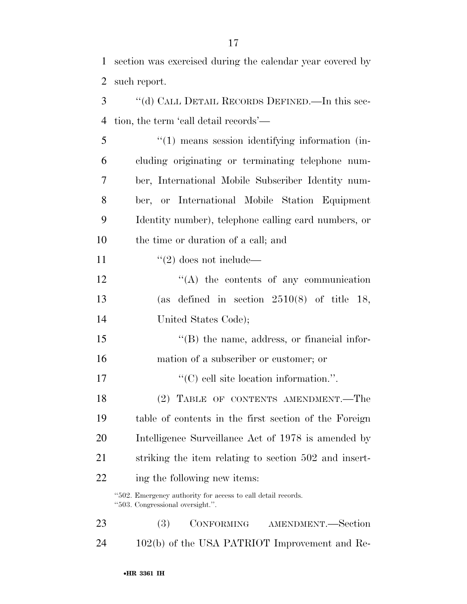section was exercised during the calendar year covered by

 such report. ''(d) CALL DETAIL RECORDS DEFINED.—In this sec- tion, the term 'call detail records'— ''(1) means session identifying information (in-

 cluding originating or terminating telephone num- ber, International Mobile Subscriber Identity num- ber, or International Mobile Station Equipment Identity number), telephone calling card numbers, or the time or duration of a call; and

11  $\frac{1}{2}$  does not include—

12 "(A) the contents of any communication (as defined in section 2510(8) of title 18, United States Code);

15 "(B) the name, address, or financial infor-mation of a subscriber or customer; or

''(C) cell site location information.''.

 (2) TABLE OF CONTENTS AMENDMENT.—The table of contents in the first section of the Foreign Intelligence Surveillance Act of 1978 is amended by striking the item relating to section 502 and insert-ing the following new items:

''502. Emergency authority for access to call detail records. ''503. Congressional oversight.''.

 (3) CONFORMING AMENDMENT.—Section 102(b) of the USA PATRIOT Improvement and Re-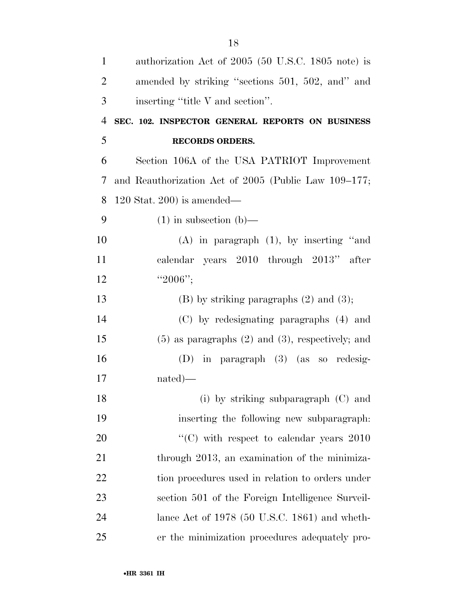| $\mathbf{1}$   | authorization Act of 2005 (50 U.S.C. 1805 note) is      |
|----------------|---------------------------------------------------------|
| $\overline{2}$ | amended by striking "sections 501, 502, and" and        |
| 3              | inserting "title V and section".                        |
| $\overline{4}$ | SEC. 102. INSPECTOR GENERAL REPORTS ON BUSINESS         |
| 5              | <b>RECORDS ORDERS.</b>                                  |
| 6              | Section 106A of the USA PATRIOT Improvement             |
| 7              | and Reauthorization Act of 2005 (Public Law 109-177;    |
| 8              | $120$ Stat. 200) is amended—                            |
| 9              | $(1)$ in subsection $(b)$ —                             |
| 10             | $(A)$ in paragraph $(1)$ , by inserting "and            |
| 11             | calendar years 2010 through 2013"<br>after              |
| 12             | " $2006$ ";                                             |
| 13             | $(B)$ by striking paragraphs $(2)$ and $(3)$ ;          |
| 14             | (C) by redesignating paragraphs (4) and                 |
| 15             | $(5)$ as paragraphs $(2)$ and $(3)$ , respectively; and |
| 16             | $(D)$ in paragraph $(3)$ (as so redesig-                |
| 17             | $nated)$ —                                              |
| 18             | (i) by striking subparagraph (C) and                    |
| 19             | inserting the following new subparagraph:               |
| 20             | $\cdot\cdot$ (C) with respect to calendar years 2010    |
| 21             | through 2013, an examination of the minimiza-           |
| 22             | tion procedures used in relation to orders under        |
| 23             | section 501 of the Foreign Intelligence Surveil-        |
| 24             | lance Act of $1978$ (50 U.S.C. 1861) and wheth-         |
| 25             | er the minimization procedures adequately pro-          |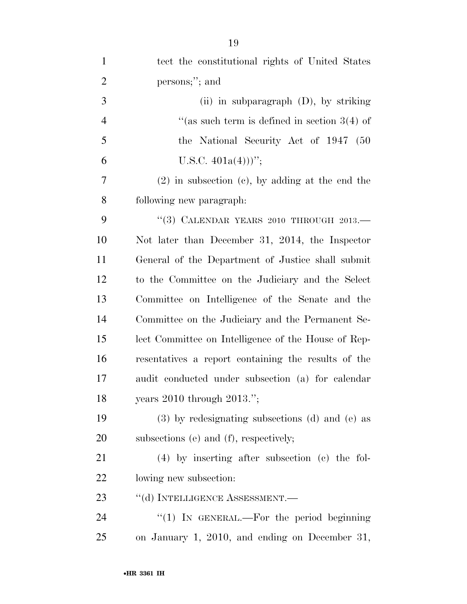| $\mathbf{1}$   | tect the constitutional rights of United States      |
|----------------|------------------------------------------------------|
| $\overline{2}$ | persons;"; and                                       |
| 3              | (ii) in subparagraph $(D)$ , by striking             |
| $\overline{4}$ | "(as such term is defined in section $3(4)$ of       |
| $\mathfrak{S}$ | the National Security Act of 1947 (50                |
| 6              | U.S.C. $401a(4))$ ";                                 |
| 7              | $(2)$ in subsection $(e)$ , by adding at the end the |
| $8\,$          | following new paragraph.                             |
| 9              | "(3) CALENDAR YEARS 2010 THROUGH $2013$ .            |
| 10             | Not later than December 31, 2014, the Inspector      |
| 11             | General of the Department of Justice shall submit    |
| 12             | to the Committee on the Judiciary and the Select     |
| 13             | Committee on Intelligence of the Senate and the      |
| 14             | Committee on the Judiciary and the Permanent Se-     |
| 15             | lect Committee on Intelligence of the House of Rep-  |
| 16             | resentatives a report containing the results of the  |
| 17             | audit conducted under subsection (a) for calendar    |
| 18             | years $2010$ through $2013."$ ;                      |
| 19             | (3) by redesignating subsections (d) and (e) as      |
| 20             | subsections (e) and (f), respectively;               |
| 21             | (4) by inserting after subsection (c) the fol-       |
| 22             | lowing new subsection:                               |
| 23             | "(d) INTELLIGENCE ASSESSMENT.—                       |
| 24             | "(1) IN GENERAL.—For the period beginning            |
| 25             | on January 1, 2010, and ending on December 31,       |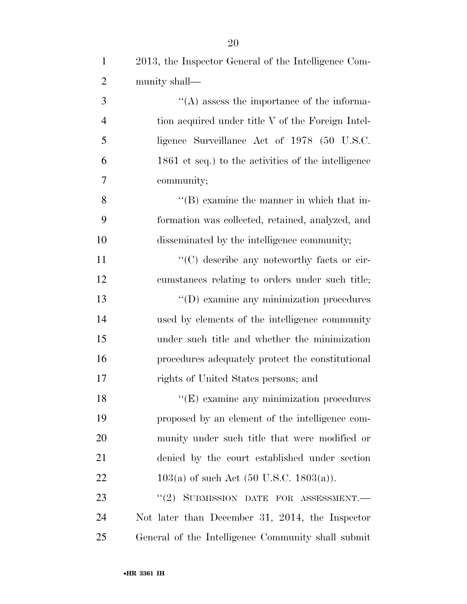| $\mathbf{1}$   | 2013, the Inspector General of the Intelligence Com-       |
|----------------|------------------------------------------------------------|
| $\overline{2}$ | munity shall—                                              |
| 3              | $\lq\lq$ assess the importance of the informa-             |
| $\overline{4}$ | tion acquired under title V of the Foreign Intel-          |
| 5              | ligence Surveillance Act of 1978 (50 U.S.C.                |
| 6              | 1861 et seq.) to the activities of the intelligence        |
| $\overline{7}$ | community;                                                 |
| 8              | $\lq\lq (B)$ examine the manner in which that in-          |
| 9              | formation was collected, retained, analyzed, and           |
| 10             | disseminated by the intelligence community;                |
| 11             | "(C) describe any noteworthy facts or cir-                 |
| 12             | cumstances relating to orders under such title;            |
| 13             | "(D) examine any minimization procedures                   |
| 14             | used by elements of the intelligence community             |
| 15             | under such title and whether the minimization              |
| 16             | procedures adequately protect the constitutional           |
| 17             | rights of United States persons; and                       |
| 18             | $\lq$ <sup>"</sup> (E) examine any minimization procedures |
| 19             | proposed by an element of the intelligence com-            |
| 20             | munity under such title that were modified or              |
| 21             | denied by the court established under section              |
| 22             | $103(a)$ of such Act (50 U.S.C. 1803(a)).                  |
| 23             | $``(2)$ SUBMISSION DATE FOR ASSESSMENT.                    |
| 24             | Not later than December 31, 2014, the Inspector            |
| 25             | General of the Intelligence Community shall submit         |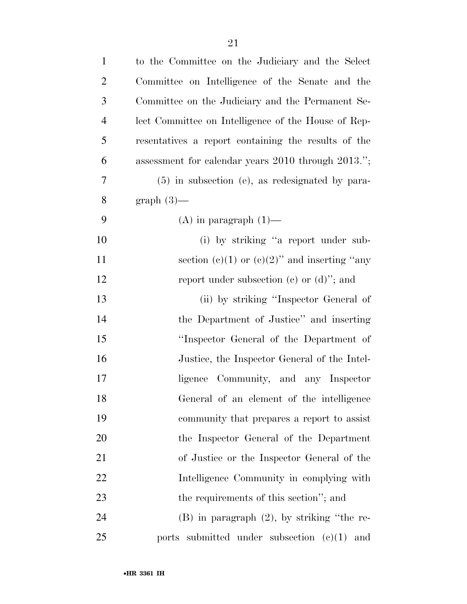| $\mathbf{1}$   | to the Committee on the Judiciary and the Select    |
|----------------|-----------------------------------------------------|
| $\overline{2}$ | Committee on Intelligence of the Senate and the     |
| 3              | Committee on the Judiciary and the Permanent Se-    |
| $\overline{4}$ | lect Committee on Intelligence of the House of Rep- |
| 5              | resentatives a report containing the results of the |
| 6              | assessment for calendar years 2010 through 2013.";  |
| 7              | $(5)$ in subsection (e), as redesignated by para-   |
| 8              | $graph(3)$ —                                        |
| 9              | $(A)$ in paragraph $(1)$ —                          |
| 10             | (i) by striking "a report under sub-                |
| 11             | section (c)(1) or (c)(2)" and inserting "any        |
| 12             | report under subsection (c) or $(d)$ "; and         |
| 13             | (ii) by striking "Inspector General of              |
| 14             | the Department of Justice" and inserting            |
| 15             | "Inspector General of the Department of             |
| 16             | Justice, the Inspector General of the Intel-        |
| 17             | ligence Community, and any Inspector                |
| 18             | General of an element of the intelligence           |
| 19             | community that prepares a report to assist          |
| 20             | the Inspector General of the Department             |
| 21             | of Justice or the Inspector General of the          |
| 22             | Intelligence Community in complying with            |
| 23             | the requirements of this section"; and              |
| 24             | $(B)$ in paragraph $(2)$ , by striking "the re-     |
| 25             | ports submitted under subsection $(e)(1)$ and       |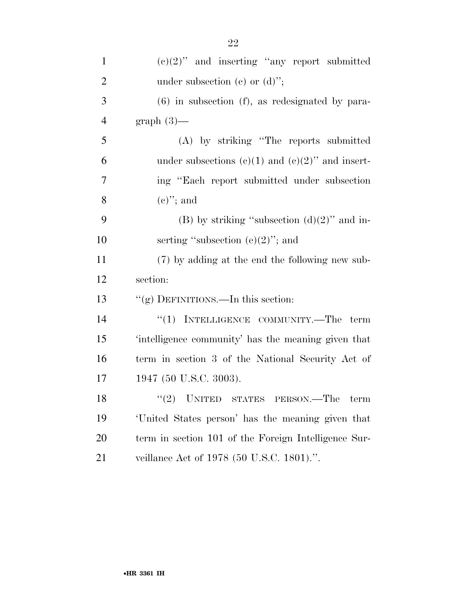| $\mathbf{1}$   | $(e)(2)$ " and inserting "any report submitted"      |
|----------------|------------------------------------------------------|
| $\overline{2}$ | under subsection (c) or $(d)$ ";                     |
| 3              | $(6)$ in subsection $(f)$ , as redesignated by para- |
| $\overline{4}$ | $graph(3)$ —                                         |
| 5              | (A) by striking "The reports submitted               |
| 6              | under subsections (c)(1) and (c)(2)" and insert-     |
| $\overline{7}$ | ing "Each report submitted under subsection          |
| 8              | $(e)$ "; and                                         |
| 9              | (B) by striking "subsection $(d)(2)$ " and in-       |
| 10             | serting "subsection $(e)(2)$ "; and                  |
| 11             | (7) by adding at the end the following new sub-      |
| 12             | section:                                             |
| 13             | "(g) DEFINITIONS.—In this section:                   |
| 14             | $``(1)$ INTELLIGENCE COMMUNITY.—The term             |
| 15             | 'intelligence community' has the meaning given that  |
| 16             | term in section 3 of the National Security Act of    |
| 17             | 1947 (50 U.S.C. 3003).                               |
| 18             | "(2) UNITED STATES PERSON.—The<br>term               |
| 19             | United States person' has the meaning given that     |
| 20             | term in section 101 of the Foreign Intelligence Sur- |
| 21             | veillance Act of 1978 (50 U.S.C. 1801).".            |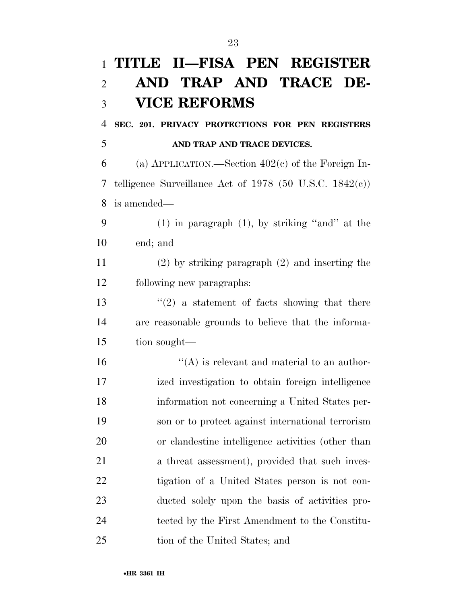|                | 1 TITLE II—FISA PEN REGISTER                                |
|----------------|-------------------------------------------------------------|
| $\overline{2}$ | AND TRAP AND TRACE DE-                                      |
| 3              | <b>VICE REFORMS</b>                                         |
| $\overline{4}$ | SEC. 201. PRIVACY PROTECTIONS FOR PEN REGISTERS             |
| 5              | AND TRAP AND TRACE DEVICES.                                 |
| 6              | (a) APPLICATION.—Section $402(c)$ of the Foreign In-        |
| 7              | telligence Surveillance Act of 1978 (50 U.S.C. 1842 $(c)$ ) |
| 8              | is amended—                                                 |
| 9              | $(1)$ in paragraph $(1)$ , by striking "and" at the         |
| 10             | end; and                                                    |
| 11             | $(2)$ by striking paragraph $(2)$ and inserting the         |
| 12             | following new paragraphs:                                   |
| 13             | $f'(2)$ a statement of facts showing that there             |
| 14             | are reasonable grounds to believe that the informa-         |
| 15             | tion sought—                                                |
| 16             | $\lq\lq$ is relevant and material to an author-             |
| 17             | ized investigation to obtain foreign intelligence           |
| 18             | information not concerning a United States per-             |
| 19             | son or to protect against international terrorism           |
| 20             | or clandestine intelligence activities (other than          |
| 21             | a threat assessment), provided that such inves-             |
| 22             | tigation of a United States person is not con-              |
| 23             | ducted solely upon the basis of activities pro-             |
| 24             | tected by the First Amendment to the Constitu-              |
| 25             | tion of the United States; and                              |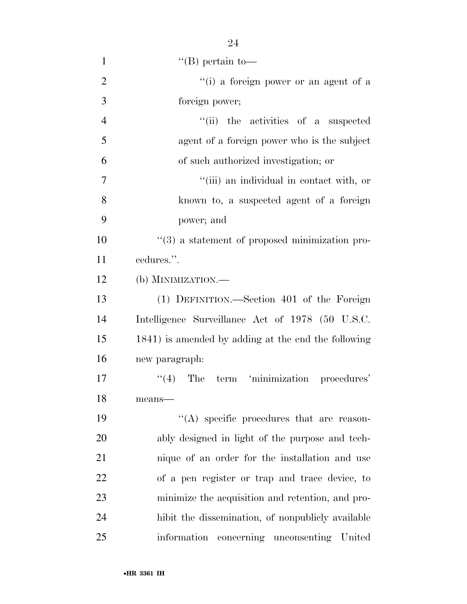| $\mathbf{1}$   | $\lq( B)$ pertain to-                                          |
|----------------|----------------------------------------------------------------|
| $\overline{2}$ | "(i) a foreign power or an agent of a                          |
| 3              | foreign power;                                                 |
| $\overline{4}$ | "(ii) the activities of a suspected                            |
| 5              | agent of a foreign power who is the subject                    |
| 6              | of such authorized investigation; or                           |
| 7              | "(iii) an individual in contact with, or                       |
| 8              | known to, a suspected agent of a foreign                       |
| 9              | power; and                                                     |
| 10             | $\cdot\cdot\cdot(3)$ a statement of proposed minimization pro- |
| 11             | cedures.".                                                     |
| 12             | (b) MINIMIZATION.—                                             |
| 13             | (1) DEFINITION.—Section 401 of the Foreign                     |
| 14             | Intelligence Surveillance Act of 1978 (50 U.S.C.               |
| 15             | 1841) is amended by adding at the end the following            |
| 16             | new paragraph:                                                 |
| 17             | $\lq(4)$ The term 'minimization procedures'                    |
| 18             | $means$ —                                                      |
| 19             | $\lq\lq$ specific procedures that are reason-                  |
| 20             | ably designed in light of the purpose and tech-                |
| 21             | nique of an order for the installation and use                 |
| 22             | of a pen register or trap and trace device, to                 |
| 23             | minimize the acquisition and retention, and pro-               |
| 24             | hibit the dissemination, of nonpublicly available              |
| 25             | information<br>concerning unconsenting United                  |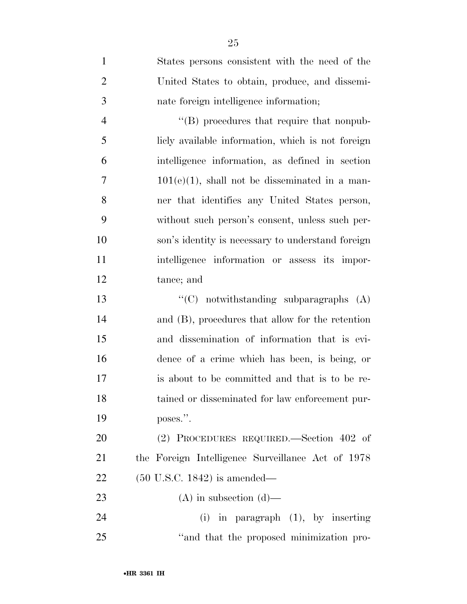| $\mathbf{1}$   | States persons consistent with the need of the    |
|----------------|---------------------------------------------------|
| $\overline{2}$ | United States to obtain, produce, and dissemi-    |
| 3              | nate foreign intelligence information;            |
| $\overline{4}$ | "(B) procedures that require that nonpub-         |
| 5              | licly available information, which is not foreign |
| 6              | intelligence information, as defined in section   |
| 7              | $101(e)(1)$ , shall not be disseminated in a man- |
| 8              | ner that identifies any United States person,     |
| 9              | without such person's consent, unless such per-   |
| 10             | son's identity is necessary to understand foreign |
| 11             | intelligence information or assess its impor-     |
| 12             | tance; and                                        |
| 13             | " $(C)$ notwithstanding subparagraphs $(A)$       |
| 14             | and (B), procedures that allow for the retention  |
| 15             | and dissemination of information that is evi-     |
| 16             | dence of a crime which has been, is being, or     |
| 17             | is about to be committed and that is to be re-    |
| 18             | tained or disseminated for law enforcement pur-   |
| 19             | poses.".                                          |
| 20             | (2) PROCEDURES REQUIRED.—Section 402 of           |
| 21             | the Foreign Intelligence Surveillance Act of 1978 |
| 22             | $(50 \text{ U.S.C. } 1842)$ is amended—           |
| 23             | $(A)$ in subsection $(d)$ —                       |
| 24             | $(i)$ in paragraph $(1)$ , by inserting           |
| 25             | "and that the proposed minimization pro-          |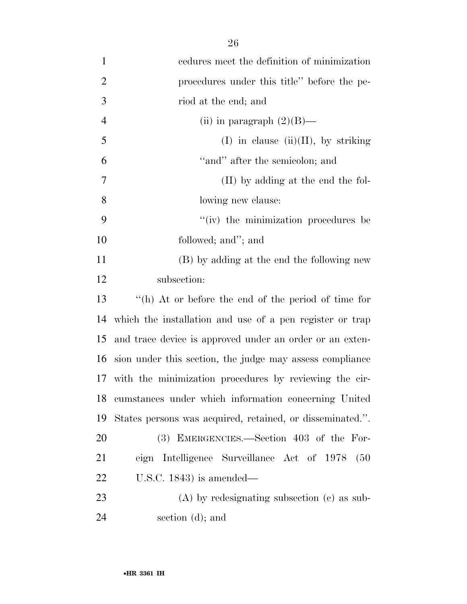| $\mathbf{1}$   | cedures meet the definition of minimization               |
|----------------|-----------------------------------------------------------|
| $\overline{2}$ | procedures under this title" before the pe-               |
| 3              | riod at the end; and                                      |
| $\overline{4}$ | (ii) in paragraph $(2)(B)$ —                              |
| 5              | $(I)$ in clause $(ii)(II)$ , by striking                  |
| 6              | "and" after the semicolon; and                            |
| 7              | (II) by adding at the end the fol-                        |
| 8              | lowing new clause:                                        |
| 9              | "(iv) the minimization procedures be                      |
| 10             | followed; and"; and                                       |
| 11             | (B) by adding at the end the following new                |
| 12             | subsection:                                               |
| 13             | "(h) At or before the end of the period of time for       |
| 14             | which the installation and use of a pen register or trap  |
| 15             | and trace device is approved under an order or an exten-  |
| 16             | sion under this section, the judge may assess compliance  |
| 17             | with the minimization procedures by reviewing the cir-    |
| 18             | cumstances under which information concerning United      |
| 19             | States persons was acquired, retained, or disseminated.". |
| 20             | (3) EMERGENCIES.—Section 403 of the For-                  |
| 21             | eign Intelligence Surveillance Act of 1978<br>(50)        |
| 22             | U.S.C. $1843$ ) is amended—                               |
| 23             | $(A)$ by redesignating subsection $(c)$ as sub-           |
| 24             | section (d); and                                          |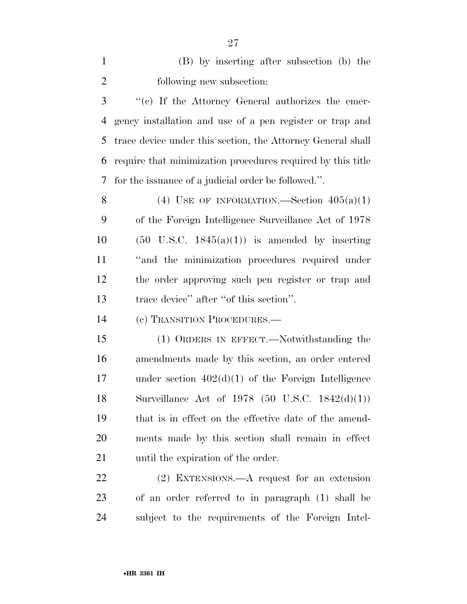(B) by inserting after subsection (b) the following new subsection:

 ''(c) If the Attorney General authorizes the emer- gency installation and use of a pen register or trap and trace device under this section, the Attorney General shall require that minimization procedures required by this title for the issuance of a judicial order be followed.''.

8 (4) USE OF INFORMATION.—Section  $405(a)(1)$  of the Foreign Intelligence Surveillance Act of 1978  $(50 \text{ U.S.C. } 1845(a)(1))$  is amended by inserting ''and the minimization procedures required under the order approving such pen register or trap and trace device'' after ''of this section''.

(c) TRANSITION PROCEDURES.—

 (1) ORDERS IN EFFECT.—Notwithstanding the amendments made by this section, an order entered under section 402(d)(1) of the Foreign Intelligence Surveillance Act of 1978 (50 U.S.C. 1842(d)(1)) that is in effect on the effective date of the amend- ments made by this section shall remain in effect 21 until the expiration of the order.

 (2) EXTENSIONS.—A request for an extension of an order referred to in paragraph (1) shall be subject to the requirements of the Foreign Intel-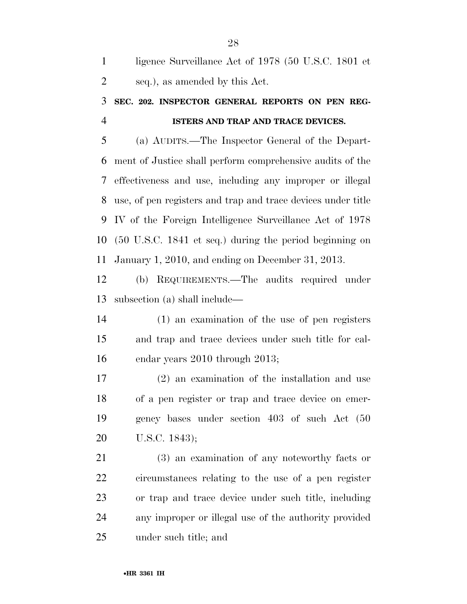| ligence Surveillance Act of 1978 (50 U.S.C. 1801 et |
|-----------------------------------------------------|
| seq.), as amended by this Act.                      |

## **SEC. 202. INSPECTOR GENERAL REPORTS ON PEN REG-ISTERS AND TRAP AND TRACE DEVICES.**

 (a) AUDITS.—The Inspector General of the Depart- ment of Justice shall perform comprehensive audits of the effectiveness and use, including any improper or illegal use, of pen registers and trap and trace devices under title IV of the Foreign Intelligence Surveillance Act of 1978 (50 U.S.C. 1841 et seq.) during the period beginning on January 1, 2010, and ending on December 31, 2013.

 (b) REQUIREMENTS.—The audits required under subsection (a) shall include—

 (1) an examination of the use of pen registers and trap and trace devices under such title for cal-endar years 2010 through 2013;

 (2) an examination of the installation and use of a pen register or trap and trace device on emer- gency bases under section 403 of such Act (50 U.S.C. 1843);

 (3) an examination of any noteworthy facts or circumstances relating to the use of a pen register or trap and trace device under such title, including any improper or illegal use of the authority provided under such title; and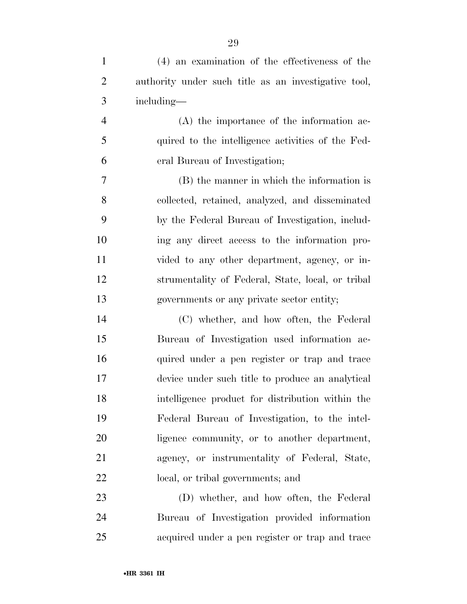| $\mathbf{1}$   | (4) an examination of the effectiveness of the       |
|----------------|------------------------------------------------------|
| $\overline{2}$ | authority under such title as an investigative tool, |
| 3              | including-                                           |
| $\overline{4}$ | $(A)$ the importance of the information ac-          |
| 5              | quired to the intelligence activities of the Fed-    |
| 6              | eral Bureau of Investigation;                        |
| 7              | (B) the manner in which the information is           |
| 8              | collected, retained, analyzed, and disseminated      |
| 9              | by the Federal Bureau of Investigation, includ-      |
| 10             | ing any direct access to the information pro-        |
| 11             | vided to any other department, agency, or in-        |
| 12             | strumentality of Federal, State, local, or tribal    |
| 13             | governments or any private sector entity;            |
| 14             | (C) whether, and how often, the Federal              |
| 15             | Bureau of Investigation used information ac-         |
| 16             | quired under a pen register or trap and trace        |
| 17             | device under such title to produce an analytical     |
| 18             | intelligence product for distribution within the     |
| 19             | Federal Bureau of Investigation, to the intel-       |
| 20             | ligence community, or to another department,         |
| 21             | agency, or instrumentality of Federal, State,        |
| 22             | local, or tribal governments; and                    |
| 23             | (D) whether, and how often, the Federal              |
| 24             | Bureau of Investigation provided information         |

acquired under a pen register or trap and trace

•**HR 3361 IH**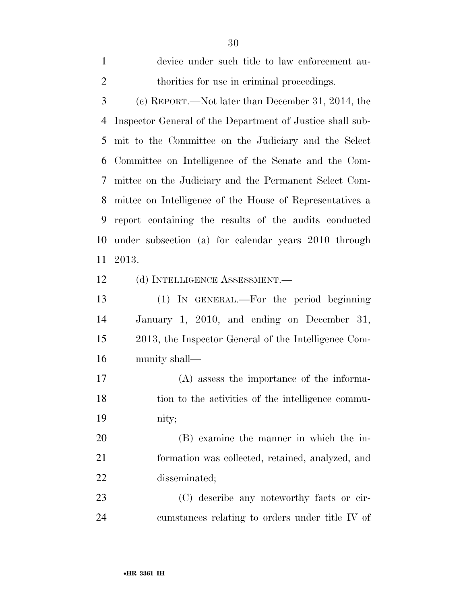Inspector General of the Department of Justice shall sub- mit to the Committee on the Judiciary and the Select Committee on Intelligence of the Senate and the Com- mittee on the Judiciary and the Permanent Select Com- mittee on Intelligence of the House of Representatives a report containing the results of the audits conducted under subsection (a) for calendar years 2010 through 2013. 12 (d) INTELLIGENCE ASSESSMENT.— (1) IN GENERAL.—For the period beginning January 1, 2010, and ending on December 31, 2013, the Inspector General of the Intelligence Com- munity shall— (A) assess the importance of the informa-18 tion to the activities of the intelligence commu- nity; (B) examine the manner in which the in- formation was collected, retained, analyzed, and disseminated; (C) describe any noteworthy facts or cir-

cumstances relating to orders under title IV of

device under such title to law enforcement au-

(c) REPORT.—Not later than December 31, 2014, the

2 thorities for use in criminal proceedings.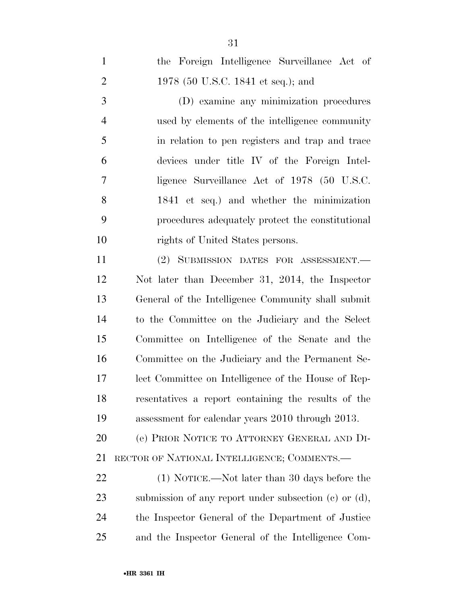| $\mathbf{1}$   | the Foreign Intelligence Surveillance Act of               |
|----------------|------------------------------------------------------------|
| $\overline{2}$ | 1978 (50 U.S.C. 1841 et seq.); and                         |
| 3              | (D) examine any minimization procedures                    |
| $\overline{4}$ | used by elements of the intelligence community             |
| 5              | in relation to pen registers and trap and trace            |
| 6              | devices under title IV of the Foreign Intel-               |
| 7              | ligence Surveillance Act of 1978 (50 U.S.C.                |
| 8              | 1841 et seq.) and whether the minimization                 |
| 9              | procedures adequately protect the constitutional           |
| 10             | rights of United States persons.                           |
| 11             | (2) SUBMISSION DATES FOR ASSESSMENT.                       |
| 12             | Not later than December 31, 2014, the Inspector            |
| 13             | General of the Intelligence Community shall submit         |
| 14             | to the Committee on the Judiciary and the Select           |
| 15             | Committee on Intelligence of the Senate and the            |
| 16             | Committee on the Judiciary and the Permanent Se-           |
| 17             | lect Committee on Intelligence of the House of Rep-        |
| 18             | resentatives a report containing the results of the        |
| 19             | assessment for calendar years 2010 through 2013.           |
| 20             | (e) PRIOR NOTICE TO ATTORNEY GENERAL AND DI-               |
| 21             | RECTOR OF NATIONAL INTELLIGENCE; COMMENTS.—                |
| 22             | (1) NOTICE.—Not later than 30 days before the              |
| 23             | submission of any report under subsection $(c)$ or $(d)$ , |
| 24             | the Inspector General of the Department of Justice         |
| 25             | and the Inspector General of the Intelligence Com-         |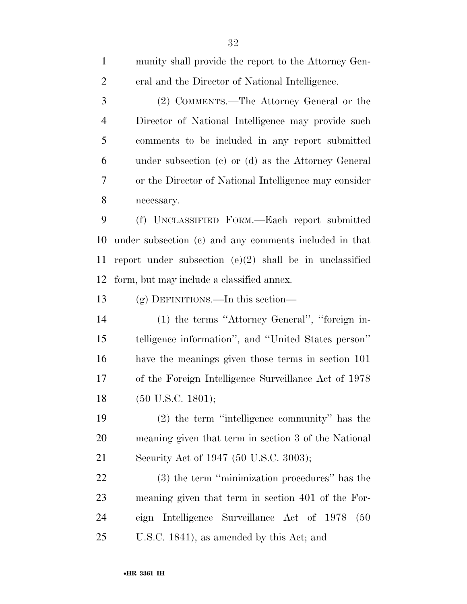| $\mathbf{1}$   | munity shall provide the report to the Attorney Gen-      |
|----------------|-----------------------------------------------------------|
| $\overline{2}$ | eral and the Director of National Intelligence.           |
| 3              | (2) COMMENTS.—The Attorney General or the                 |
| $\overline{4}$ | Director of National Intelligence may provide such        |
| 5              | comments to be included in any report submitted           |
| 6              | under subsection $(c)$ or $(d)$ as the Attorney General   |
| 7              | or the Director of National Intelligence may consider     |
| 8              | necessary.                                                |
| 9              | (f) UNCLASSIFIED FORM.—Each report submitted              |
| 10             | under subsection (c) and any comments included in that    |
| 11             | report under subsection $(e)(2)$ shall be in unclassified |
| 12             | form, but may include a classified annex.                 |
| 13             | $(g)$ DEFINITIONS.—In this section—                       |
| 14             | (1) the terms "Attorney General", "foreign in-            |
| 15             | telligence information", and "United States person"       |
| 16             | have the meanings given those terms in section 101        |
| 17             | of the Foreign Intelligence Surveillance Act of 1978      |
| 18             | $(50 \text{ U.S.C. } 1801);$                              |
| 19             | $(2)$ the term "intelligence community" has the           |
| 20             | meaning given that term in section 3 of the National      |
| 21             | Security Act of 1947 (50 U.S.C. 3003);                    |
| 22             | (3) the term "minimization procedures" has the            |
| 23             | meaning given that term in section 401 of the For-        |
| 24             | eign Intelligence Surveillance Act of 1978<br>(50)        |
| 25             | U.S.C. 1841), as amended by this Act; and                 |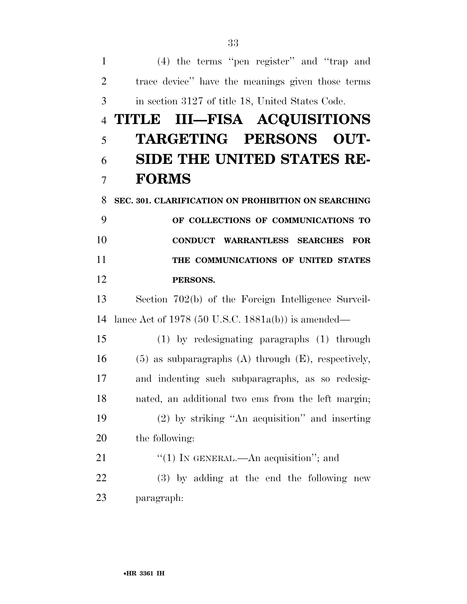(4) the terms ''pen register'' and ''trap and trace device'' have the meanings given those terms in section 3127 of title 18, United States Code. **TITLE III—FISA ACQUISITIONS TARGETING PERSONS OUT- SIDE THE UNITED STATES RE- FORMS SEC. 301. CLARIFICATION ON PROHIBITION ON SEARCHING OF COLLECTIONS OF COMMUNICATIONS TO CONDUCT WARRANTLESS SEARCHES FOR THE COMMUNICATIONS OF UNITED STATES PERSONS.**  Section 702(b) of the Foreign Intelligence Surveil- lance Act of 1978 (50 U.S.C. 1881a(b)) is amended— (1) by redesignating paragraphs (1) through (5) as subparagraphs (A) through (E), respectively, and indenting such subparagraphs, as so redesig- nated, an additional two ems from the left margin; (2) by striking ''An acquisition'' and inserting the following:  $\frac{1}{2}$  (1) In GENERAL.—An acquisition"; and (3) by adding at the end the following new paragraph: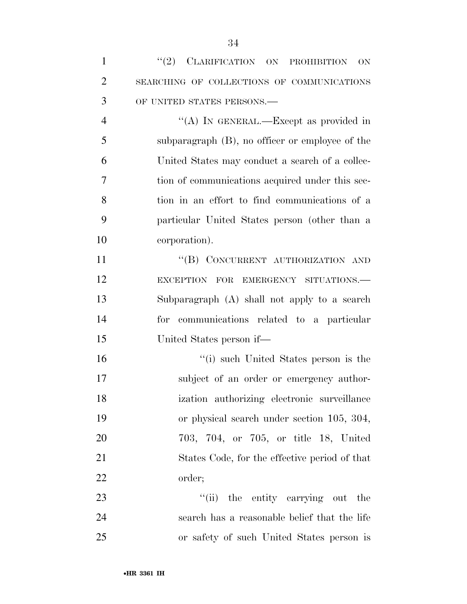| 1              | "(2) CLARIFICATION ON PROHIBITION<br><b>ON</b>  |
|----------------|-------------------------------------------------|
| $\overline{2}$ | SEARCHING OF COLLECTIONS OF COMMUNICATIONS      |
| 3              | OF UNITED STATES PERSONS.-                      |
| $\overline{4}$ | "(A) IN GENERAL.—Except as provided in          |
| 5              | subparagraph (B), no officer or employee of the |
| 6              | United States may conduct a search of a collec- |
| 7              | tion of communications acquired under this sec- |
| 8              | tion in an effort to find communications of a   |
| 9              | particular United States person (other than a   |
| 10             | corporation).                                   |
| 11             | "(B) CONCURRENT AUTHORIZATION AND               |
| 12             | EXCEPTION FOR EMERGENCY SITUATIONS.             |
| 13             | Subparagraph (A) shall not apply to a search    |
| 14             | for communications related to a particular      |
| 15             | United States person if—                        |
| 16             | "(i) such United States person is the           |
| 17             | subject of an order or emergency author-        |
| 18             | ization authorizing electronic surveillance     |
| 19             | or physical search under section 105, 304,      |
| 20             | 703, 704, or 705, or title 18, United           |
| 21             | States Code, for the effective period of that   |
| 22             | order;                                          |
| 23             | "(ii) the entity carrying out<br>the            |
| 24             | search has a reasonable belief that the life    |
| 25             | or safety of such United States person is       |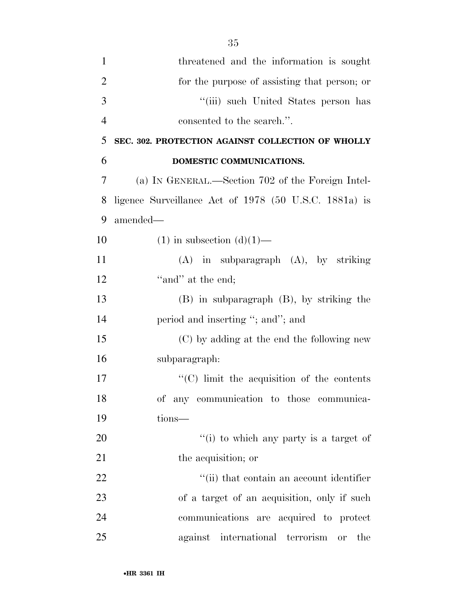| $\mathbf{1}$   | threatened and the information is sought              |
|----------------|-------------------------------------------------------|
| $\overline{2}$ | for the purpose of assisting that person; or          |
| 3              | "(iii) such United States person has                  |
| $\overline{4}$ | consented to the search.".                            |
| 5              | SEC. 302. PROTECTION AGAINST COLLECTION OF WHOLLY     |
| 6              | DOMESTIC COMMUNICATIONS.                              |
| 7              | (a) IN GENERAL.—Section 702 of the Foreign Intel-     |
| 8              | ligence Surveillance Act of 1978 (50 U.S.C. 1881a) is |
| 9              | amended-                                              |
| 10             | $(1)$ in subsection $(d)(1)$ —                        |
| 11             | $(A)$ in subparagraph $(A)$ , by striking             |
| 12             | "and" at the end;                                     |
| 13             | $(B)$ in subparagraph $(B)$ , by striking the         |
| 14             | period and inserting "; and"; and                     |
| 15             | (C) by adding at the end the following new            |
| 16             | subparagraph:                                         |
| 17             | $\cdot$ (C) limit the acquisition of the contents     |
| 18             | of any communication to those communica-              |
| 19             | tions-                                                |
| 20             | "(i) to which any party is a target of                |
| 21             | the acquisition; or                                   |
| 22             | "(ii) that contain an account identifier              |
| 23             | of a target of an acquisition, only if such           |
| 24             | communications are acquired to protect                |

against international terrorism or the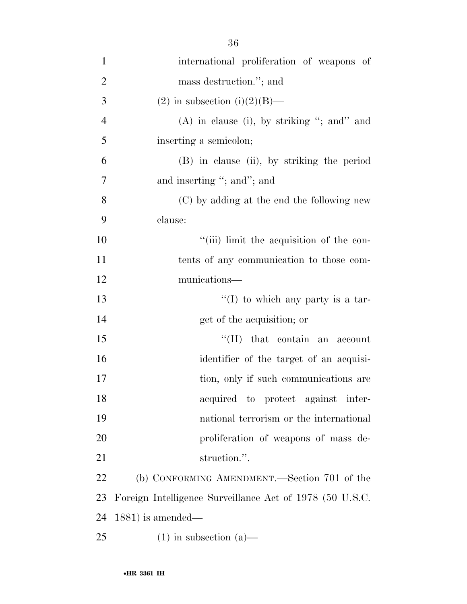| $\mathbf{1}$   | international proliferation of weapons of                |
|----------------|----------------------------------------------------------|
| $\overline{2}$ | mass destruction."; and                                  |
| 3              | $(2)$ in subsection $(i)(2)(B)$ —                        |
| $\overline{4}$ | $(A)$ in clause (i), by striking "; and" and             |
| 5              | inserting a semicolon;                                   |
| 6              | (B) in clause (ii), by striking the period               |
| 7              | and inserting "; and"; and                               |
| 8              | (C) by adding at the end the following new               |
| 9              | clause:                                                  |
| 10             | "(iii) limit the acquisition of the con-                 |
| 11             | tents of any communication to those com-                 |
| 12             | munications—                                             |
| 13             | $\lq(1)$ to which any party is a tar-                    |
| 14             | get of the acquisition; or                               |
| 15             | $\lq\lq$ (II) that contain an account                    |
| 16             | identifier of the target of an acquisi-                  |
| 17             | tion, only if such communications are                    |
| 18             | acquired to protect against inter-                       |
| 19             | national terrorism or the international                  |
| 20             | proliferation of weapons of mass de-                     |
| 21             | struction.".                                             |
| 22             | (b) CONFORMING AMENDMENT.—Section 701 of the             |
| 23             | Foreign Intelligence Surveillance Act of 1978 (50 U.S.C. |
| 24             | $1881$ ) is amended—                                     |
| 25             | $(1)$ in subsection $(a)$ —                              |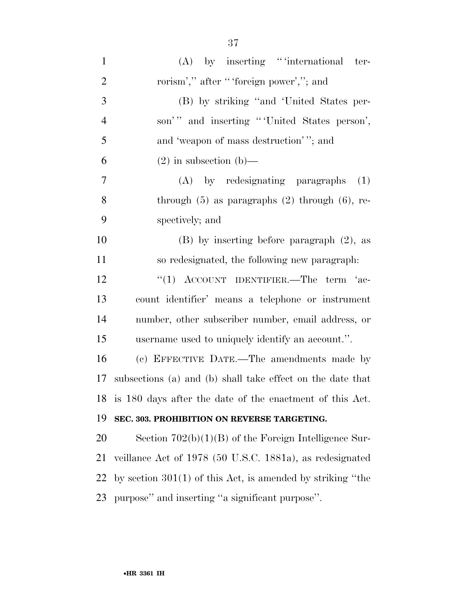| $\mathbf{1}$   | $(A)$ by inserting "international ter-                       |
|----------------|--------------------------------------------------------------|
| $\overline{2}$ | rorism'," after "'foreign power',"; and                      |
| 3              | (B) by striking "and 'United States per-                     |
| $\overline{4}$ | son'" and inserting "United States person',                  |
| 5              | and 'weapon of mass destruction'"; and                       |
| 6              | $(2)$ in subsection $(b)$ —                                  |
| $\overline{7}$ | (A) by redesignating paragraphs<br>(1)                       |
| 8              | through $(5)$ as paragraphs $(2)$ through $(6)$ , re-        |
| 9              | spectively; and                                              |
| 10             | $(B)$ by inserting before paragraph $(2)$ , as               |
| 11             | so redesignated, the following new paragraph.                |
| 12             | "(1) ACCOUNT IDENTIFIER.—The term 'ac-                       |
| 13             | count identifier' means a telephone or instrument            |
| 14             | number, other subscriber number, email address, or           |
| 15             | username used to uniquely identify an account.".             |
| 16             | (c) EFFECTIVE DATE.—The amendments made by                   |
| 17             | subsections (a) and (b) shall take effect on the date that   |
| 18             | is 180 days after the date of the enactment of this Act.     |
| 19             | SEC. 303. PROHIBITION ON REVERSE TARGETING.                  |
| 20             | Section $702(b)(1)(B)$ of the Foreign Intelligence Sur-      |
| 21             | veillance Act of 1978 (50 U.S.C. 1881a), as redesignated     |
| 22             | by section $301(1)$ of this Act, is amended by striking "the |
| 23             | purpose" and inserting "a significant purpose".              |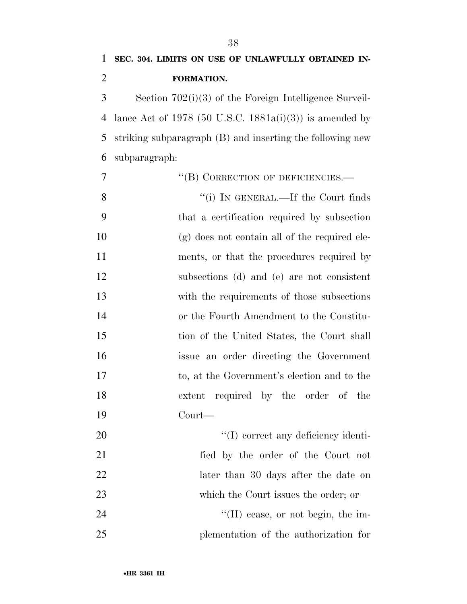# **SEC. 304. LIMITS ON USE OF UNLAWFULLY OBTAINED IN-FORMATION.**

 Section 702(i)(3) of the Foreign Intelligence Surveil- lance Act of 1978 (50 U.S.C. 1881a(i)(3)) is amended by striking subparagraph (B) and inserting the following new subparagraph:

| 7  | "(B) CORRECTION OF DEFICIENCIES.-               |
|----|-------------------------------------------------|
| 8  | "(i) IN GENERAL.—If the Court finds             |
| 9  | that a certification required by subsection     |
| 10 | $(g)$ does not contain all of the required ele- |
| 11 | ments, or that the procedures required by       |
| 12 | subsections (d) and (e) are not consistent      |
| 13 | with the requirements of those subsections      |
| 14 | or the Fourth Amendment to the Constitu-        |
| 15 | tion of the United States, the Court shall      |
| 16 | issue an order directing the Government         |
| 17 | to, at the Government's election and to the     |
| 18 | extent required by the order of the             |
| 19 | Court—                                          |
| 20 | "(I) correct any deficiency identi-             |
| 21 | fied by the order of the Court not              |
| 22 | later than 30 days after the date on            |
| 23 | which the Court issues the order; or            |
| 24 | $\lq\lq$ (II) cease, or not begin, the im-      |
| 25 | plementation of the authorization for           |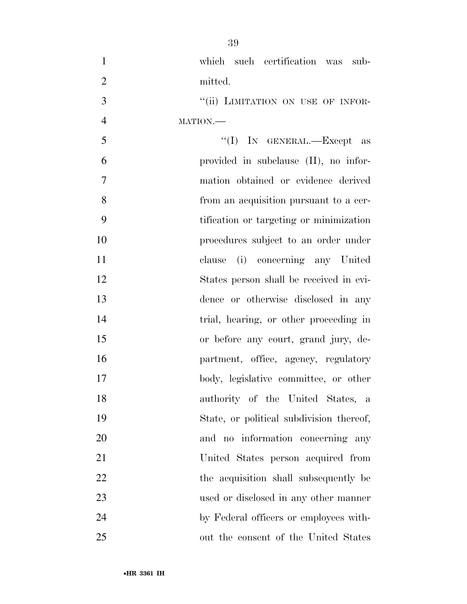| $\mathbf{1}$   | which such certification was sub-        |
|----------------|------------------------------------------|
| $\overline{2}$ | mitted.                                  |
| 3              | "(ii) LIMITATION ON USE OF INFOR-        |
| $\overline{4}$ | MATION.                                  |
| 5              | "(I) IN GENERAL.—Except as               |
| 6              | provided in subclause (II), no infor-    |
| $\tau$         | mation obtained or evidence derived      |
| 8              | from an acquisition pursuant to a cer-   |
| 9              | tification or targeting or minimization  |
| 10             | procedures subject to an order under     |
| 11             | clause (i) concerning any United         |
| 12             | States person shall be received in evi-  |
| 13             | dence or otherwise disclosed in any      |
| 14             | trial, hearing, or other proceeding in   |
| 15             | or before any court, grand jury, de-     |
| 16             | partment, office, agency, regulatory     |
| 17             | body, legislative committee, or other    |
| 18             | authority of the United States, a        |
| 19             | State, or political subdivision thereof, |
| 20             | and no information concerning any        |
| 21             | United States person acquired from       |
| 22             | the acquisition shall subsequently be    |
| 23             | used or disclosed in any other manner    |
| 24             | by Federal officers or employees with-   |
| 25             | out the consent of the United States     |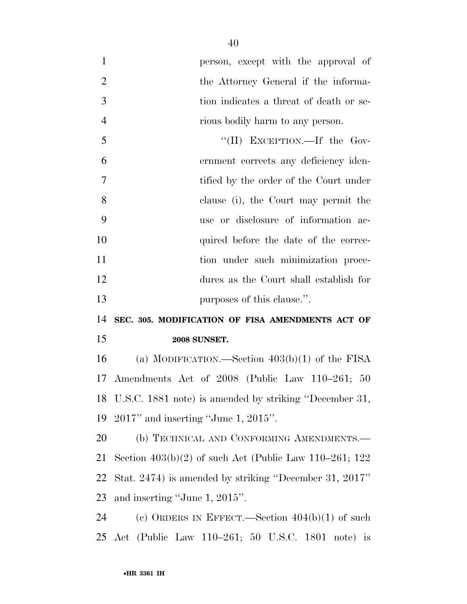| $\mathbf{1}$   | person, except with the approval of                       |
|----------------|-----------------------------------------------------------|
| $\overline{2}$ | the Attorney General if the informa-                      |
| 3              | tion indicates a threat of death or se-                   |
| $\overline{4}$ | rious bodily harm to any person.                          |
| 5              | "(II) EXCEPTION.—If the Gov-                              |
| 6              | ernment corrects any deficiency iden-                     |
| 7              | tified by the order of the Court under                    |
| 8              | clause (i), the Court may permit the                      |
| 9              | use or disclosure of information ac-                      |
| 10             | quired before the date of the correc-                     |
| 11             | tion under such minimization proce-                       |
| 12             | dures as the Court shall establish for                    |
| 13             | purposes of this clause.".                                |
| 14             | SEC. 305. MODIFICATION OF FISA AMENDMENTS ACT OF          |
| 15             | <b>2008 SUNSET.</b>                                       |
| 16             | (a) MODIFICATION.—Section $403(b)(1)$ of the FISA         |
| 17             | Amendments Act of 2008 (Public Law 110–261; 50            |
|                | 18 U.S.C. 1881 note) is amended by striking "December 31, |
| 19             | $2017$ " and inserting "June 1, $2015$ ".                 |
| 20             | (b) TECHNICAL AND CONFORMING AMENDMENTS.-                 |
| 21             | Section $403(b)(2)$ of such Act (Public Law 110–261; 122  |
| 22             | Stat. 2474) is amended by striking "December 31, 2017"    |
| 23             | and inserting "June 1, 2015".                             |
| 24             | (c) ORDERS IN EFFECT.—Section $404(b)(1)$ of such         |
| 25             | Act (Public Law 110–261; 50 U.S.C. 1801 note) is          |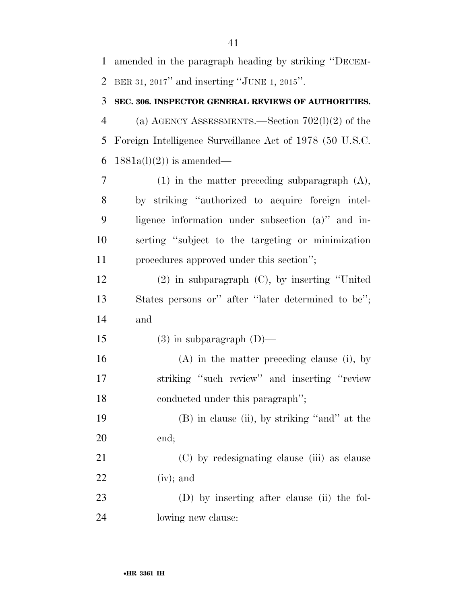amended in the paragraph heading by striking ''DECEM-BER 31, 2017'' and inserting ''JUNE 1, 2015''.

#### **SEC. 306. INSPECTOR GENERAL REVIEWS OF AUTHORITIES.**

 (a) AGENCY ASSESSMENTS.—Section 702(l)(2) of the Foreign Intelligence Surveillance Act of 1978 (50 U.S.C. 6 1881a(l)(2)) is amended—

 (1) in the matter preceding subparagraph (A), by striking ''authorized to acquire foreign intel- ligence information under subsection (a)'' and in- serting ''subject to the targeting or minimization procedures approved under this section'';

 (2) in subparagraph (C), by inserting ''United States persons or'' after ''later determined to be''; and

15 (3) in subparagraph  $(D)$ —

 (A) in the matter preceding clause (i), by striking ''such review'' and inserting ''review conducted under this paragraph'';

 (B) in clause (ii), by striking ''and'' at the end;

 (C) by redesignating clause (iii) as clause (iv); and

 (D) by inserting after clause (ii) the fol-lowing new clause: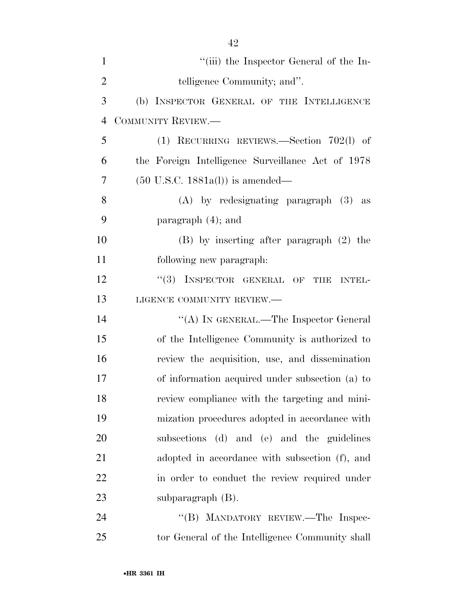| $\mathbf{1}$   | "(iii) the Inspector General of the In-           |
|----------------|---------------------------------------------------|
| $\overline{2}$ | telligence Community; and".                       |
| 3              | (b) INSPECTOR GENERAL OF THE INTELLIGENCE         |
| $\overline{4}$ | COMMUNITY REVIEW.-                                |
| 5              | $(1)$ RECURRING REVIEWS.—Section 702(1) of        |
| 6              | the Foreign Intelligence Surveillance Act of 1978 |
| 7              | $(50 \text{ U.S.C. } 1881a(l))$ is amended—       |
| 8              | $(A)$ by redesignating paragraph $(3)$ as         |
| 9              | paragraph $(4)$ ; and                             |
| 10             | $(B)$ by inserting after paragraph $(2)$ the      |
| 11             | following new paragraph.                          |
| 12             | "(3) INSPECTOR GENERAL OF THE INTEL-              |
| 13             | LIGENCE COMMUNITY REVIEW.                         |
| 14             | "(A) IN GENERAL.—The Inspector General            |
| 15             | of the Intelligence Community is authorized to    |
| 16             | review the acquisition, use, and dissemination    |
| 17             | of information acquired under subsection (a) to   |
| 18             | review compliance with the targeting and mini-    |
| 19             | mization procedures adopted in accordance with    |
| 20             | subsections (d) and (e) and the guidelines        |
| 21             | adopted in accordance with subsection (f), and    |
| 22             | in order to conduct the review required under     |
| 23             | subparagraph $(B)$ .                              |
| 24             | "(B) MANDATORY REVIEW.—The Inspec-                |
| 25             | tor General of the Intelligence Community shall   |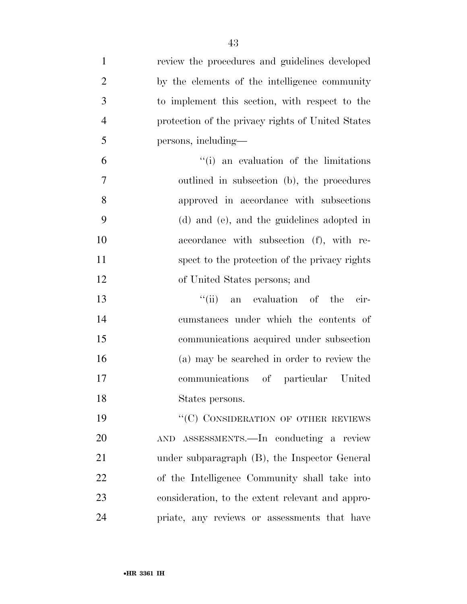| $\mathbf{1}$   | review the procedures and guidelines developed    |
|----------------|---------------------------------------------------|
| $\overline{2}$ | by the elements of the intelligence community     |
| 3              | to implement this section, with respect to the    |
| $\overline{4}$ | protection of the privacy rights of United States |
| 5              | persons, including—                               |
| 6              | "(i) an evaluation of the limitations             |
| 7              | outlined in subsection (b), the procedures        |
| 8              | approved in accordance with subsections           |
| 9              | (d) and (e), and the guidelines adopted in        |
| 10             | accordance with subsection (f), with re-          |
| 11             | spect to the protection of the privacy rights     |
| 12             | of United States persons; and                     |
| 13             | "(ii) an evaluation of the<br>cir-                |
| 14             | cumstances under which the contents of            |
| 15             | communications acquired under subsection          |
| 16             | (a) may be searched in order to review the        |
| 17             | communications of particular United               |
| 18             | States persons.                                   |
| 19             | "(C) CONSIDERATION OF OTHER REVIEWS               |
| 20             | AND ASSESSMENTS.—In conducting a review           |
| 21             | under subparagraph (B), the Inspector General     |
| 22             | of the Intelligence Community shall take into     |
| 23             | consideration, to the extent relevant and appro-  |
| 24             | priate, any reviews or assessments that have      |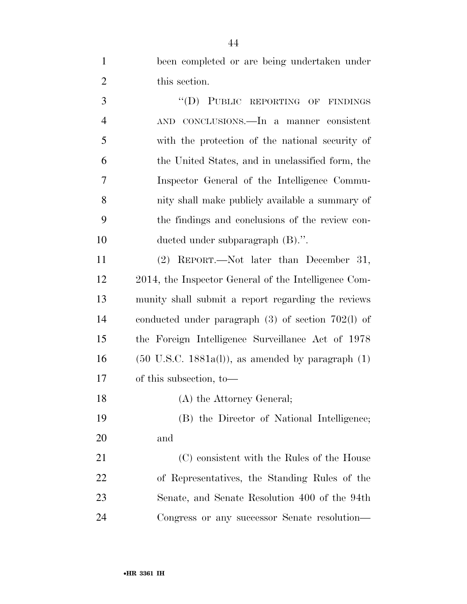been completed or are being undertaken under this section.

3 "(D) PUBLIC REPORTING OF FINDINGS AND CONCLUSIONS.—In a manner consistent with the protection of the national security of the United States, and in unclassified form, the Inspector General of the Intelligence Commu- nity shall make publicly available a summary of the findings and conclusions of the review con- ducted under subparagraph (B).''. (2) REPORT.—Not later than December 31,

 2014, the Inspector General of the Intelligence Com- munity shall submit a report regarding the reviews conducted under paragraph (3) of section 702(l) of the Foreign Intelligence Surveillance Act of 1978 (50 U.S.C. 1881a(l)), as amended by paragraph (1) of this subsection, to—

(A) the Attorney General;

 (B) the Director of National Intelligence; and

 (C) consistent with the Rules of the House of Representatives, the Standing Rules of the Senate, and Senate Resolution 400 of the 94th Congress or any successor Senate resolution—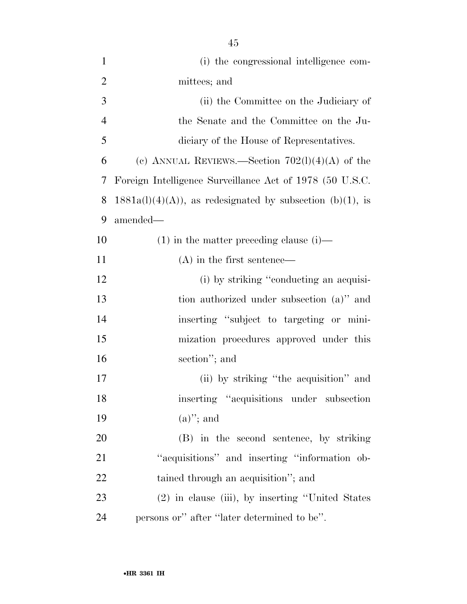| $\mathbf{1}$   | (i) the congressional intelligence com-                     |
|----------------|-------------------------------------------------------------|
| $\overline{2}$ | mittees; and                                                |
| 3              | (ii) the Committee on the Judiciary of                      |
| $\overline{4}$ | the Senate and the Committee on the Ju-                     |
| 5              | diciary of the House of Representatives.                    |
| 6              | (c) ANNUAL REVIEWS.—Section $702(1)(4)(A)$ of the           |
| 7              | Foreign Intelligence Surveillance Act of 1978 (50 U.S.C.    |
| 8              | $1881a(l)(4)(A)$ , as redesignated by subsection (b)(1), is |
| 9              | amended—                                                    |
| 10             | $(1)$ in the matter preceding clause $(i)$ —                |
| 11             | $(A)$ in the first sentence—                                |
| 12             | (i) by striking "conducting an acquisi-                     |
| 13             | tion authorized under subsection (a)" and                   |
| 14             | inserting "subject to targeting or mini-                    |
| 15             | mization procedures approved under this                     |
| 16             | section"; and                                               |
| 17             | (ii) by striking "the acquisition" and                      |
| 18             | inserting "acquisitions under subsection                    |
| 19             | $(a)$ "; and                                                |
| 20             | (B) in the second sentence, by striking                     |
| 21             | "acquisitions" and inserting "information ob-               |
| 22             | tained through an acquisition"; and                         |
| 23             | (2) in clause (iii), by inserting "United States            |
|                |                                                             |

24 persons or" after "later determined to be".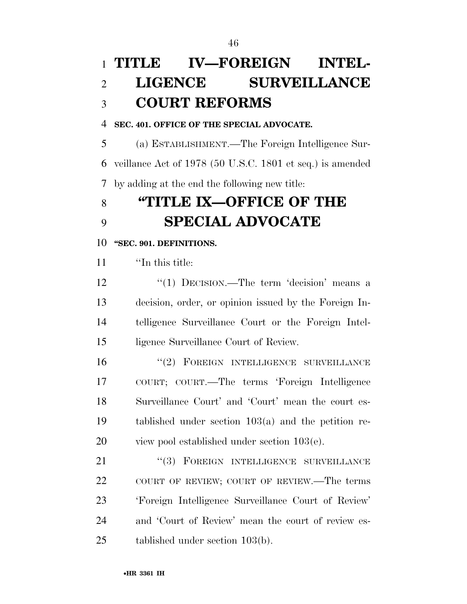## **TITLE IV—FOREIGN INTEL- LIGENCE SURVEILLANCE COURT REFORMS**

#### **SEC. 401. OFFICE OF THE SPECIAL ADVOCATE.**

 (a) ESTABLISHMENT.—The Foreign Intelligence Sur- veillance Act of 1978 (50 U.S.C. 1801 et seq.) is amended by adding at the end the following new title:

## **''TITLE IX—OFFICE OF THE SPECIAL ADVOCATE**

#### **''SEC. 901. DEFINITIONS.**

''In this title:

12 "(1) DECISION.—The term 'decision' means a decision, order, or opinion issued by the Foreign In- telligence Surveillance Court or the Foreign Intel-ligence Surveillance Court of Review.

16 "(2) FOREIGN INTELLIGENCE SURVEILLANCE COURT; COURT.—The terms 'Foreign Intelligence Surveillance Court' and 'Court' mean the court es- tablished under section 103(a) and the petition re-view pool established under section 103(e).

21 "(3) FOREIGN INTELLIGENCE SURVEILLANCE COURT OF REVIEW; COURT OF REVIEW.—The terms 'Foreign Intelligence Surveillance Court of Review' and 'Court of Review' mean the court of review es-tablished under section 103(b).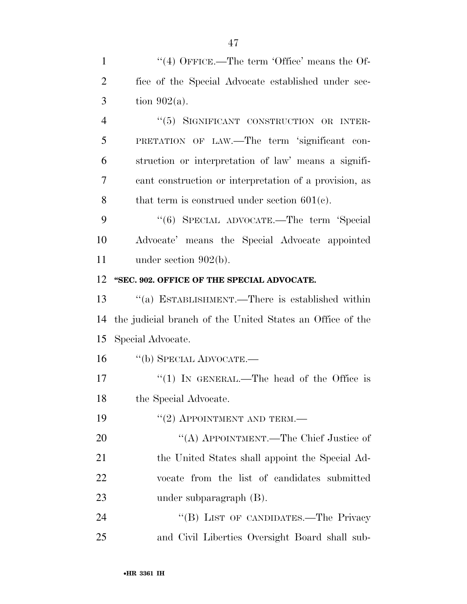1 "(4) OFFICE.—The term 'Office' means the Of-2 fice of the Special Advocate established under sec- $3 \quad \text{tion } 902(a).$ 4 "(5) SIGNIFICANT CONSTRUCTION OR INTER-

 PRETATION OF LAW.—The term 'significant con- struction or interpretation of law' means a signifi- cant construction or interpretation of a provision, as 8 that term is construed under section  $601(c)$ .

9 "(6) SPECIAL ADVOCATE.—The term 'Special 10 Advocate' means the Special Advocate appointed 11 under section 902(b).

#### 12 **''SEC. 902. OFFICE OF THE SPECIAL ADVOCATE.**

13 ''(a) ESTABLISHMENT.—There is established within 14 the judicial branch of the United States an Office of the 15 Special Advocate.

16 ''(b) SPECIAL ADVOCATE.—

17 "(1) IN GENERAL.—The head of the Office is 18 the Special Advocate.

19 "(2) APPOINTMENT AND TERM.—

20 "(A) APPOINTMENT.—The Chief Justice of 21 the United States shall appoint the Special Ad-22 vocate from the list of candidates submitted 23 under subparagraph (B).

24 "(B) LIST OF CANDIDATES.—The Privacy 25 and Civil Liberties Oversight Board shall sub-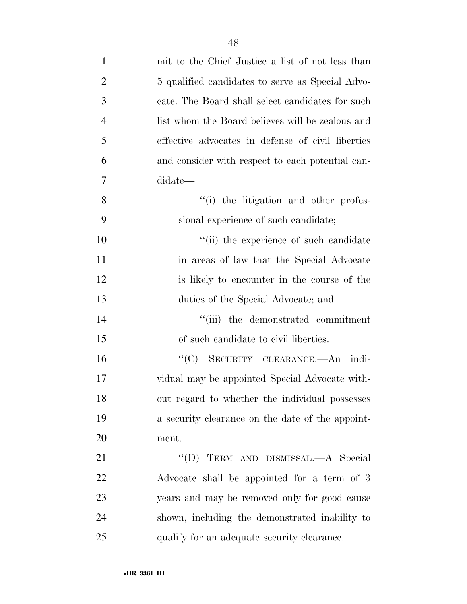| $\mathbf{1}$   | mit to the Chief Justice a list of not less than  |
|----------------|---------------------------------------------------|
| $\overline{2}$ | 5 qualified candidates to serve as Special Advo-  |
| 3              | cate. The Board shall select candidates for such  |
| $\overline{4}$ | list whom the Board believes will be zealous and  |
| 5              | effective advocates in defense of civil liberties |
| 6              | and consider with respect to each potential can-  |
| 7              | didate—                                           |
| 8              | "(i) the litigation and other profes-             |
| 9              | sional experience of such candidate;              |
| 10             | "(ii) the experience of such candidate            |
| 11             | in areas of law that the Special Advocate         |
| 12             | is likely to encounter in the course of the       |
| 13             | duties of the Special Advocate; and               |
| 14             | "(iii) the demonstrated commitment                |
| 15             | of such candidate to civil liberties.             |
| 16             | "(C) SECURITY CLEARANCE.—An indi-                 |
| 17             | vidual may be appointed Special Advocate with-    |
| 18             | out regard to whether the individual possesses    |
| 19             | a security clearance on the date of the appoint-  |
| <b>20</b>      | ment.                                             |
| 21             | "(D) TERM AND DISMISSAL.—A Special                |
| 22             | Advocate shall be appointed for a term of 3       |
| 23             | years and may be removed only for good cause      |
| 24             | shown, including the demonstrated inability to    |
| 25             | qualify for an adequate security clearance.       |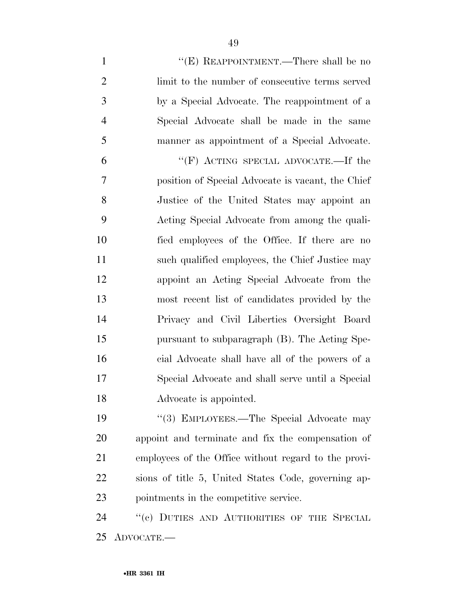| $\mathbf{1}$   | "(E) REAPPOINTMENT.—There shall be no                |
|----------------|------------------------------------------------------|
| $\overline{2}$ | limit to the number of consecutive terms served      |
| 3              | by a Special Advocate. The reappointment of a        |
| $\overline{4}$ | Special Advocate shall be made in the same           |
| 5              | manner as appointment of a Special Advocate.         |
| 6              | "(F) ACTING SPECIAL ADVOCATE.—If the                 |
| $\overline{7}$ | position of Special Advocate is vacant, the Chief    |
| 8              | Justice of the United States may appoint an          |
| 9              | Acting Special Advocate from among the quali-        |
| 10             | fied employees of the Office. If there are no        |
| 11             | such qualified employees, the Chief Justice may      |
| 12             | appoint an Acting Special Advocate from the          |
| 13             | most recent list of candidates provided by the       |
| 14             | Privacy and Civil Liberties Oversight Board          |
| 15             | pursuant to subparagraph (B). The Acting Spe-        |
| 16             | cial Advocate shall have all of the powers of a      |
| 17             | Special Advocate and shall serve until a Special     |
| 18             | Advocate is appointed.                               |
| 19             | "(3) EMPLOYEES.—The Special Advocate may             |
| 20             | appoint and terminate and fix the compensation of    |
| 21             | employees of the Office without regard to the provi- |
| 22             | sions of title 5, United States Code, governing ap-  |
| 23             | pointments in the competitive service.               |
| 24             | "(c) DUTIES AND AUTHORITIES OF THE SPECIAL           |
|                |                                                      |

ADVOCATE.—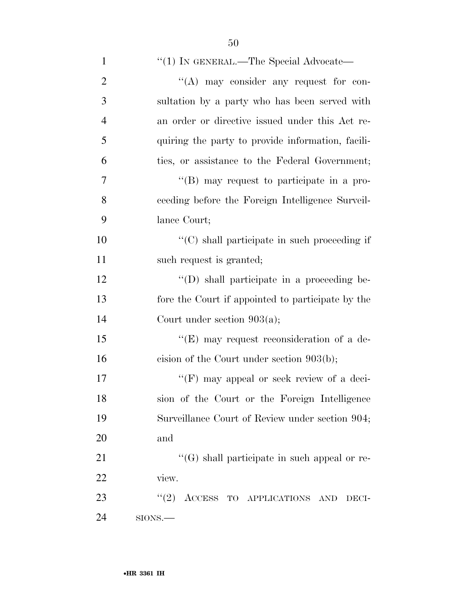| $\mathbf{1}$   | "(1) IN GENERAL.—The Special Advocate—               |
|----------------|------------------------------------------------------|
| $\overline{2}$ | "(A) may consider any request for con-               |
| 3              | sultation by a party who has been served with        |
| $\overline{4}$ | an order or directive issued under this Act re-      |
| 5              | quiring the party to provide information, facili-    |
| 6              | ties, or assistance to the Federal Government;       |
| 7              | "(B) may request to participate in a pro-            |
| 8              | ceeding before the Foreign Intelligence Surveil-     |
| 9              | lance Court;                                         |
| 10             | $\lq\lq$ (C) shall participate in such proceeding if |
| 11             | such request is granted;                             |
| 12             | "(D) shall participate in a proceeding be-           |
| 13             | fore the Court if appointed to participate by the    |
| 14             | Court under section $903(a)$ ;                       |
| 15             | "(E) may request reconsideration of a de-            |
| 16             | cision of the Court under section $903(b)$ ;         |
| 17             | "(F) may appeal or seek review of a deci-            |
| 18             | sion of the Court or the Foreign Intelligence        |
| 19             | Surveillance Court of Review under section 904;      |
| 20             | and                                                  |
| 21             | "(G) shall participate in such appeal or re-         |
| 22             | view.                                                |
| 23             | (2)<br>ACCESS TO APPLICATIONS<br><b>AND</b><br>DECI- |
| 24             | $SIONS$ .                                            |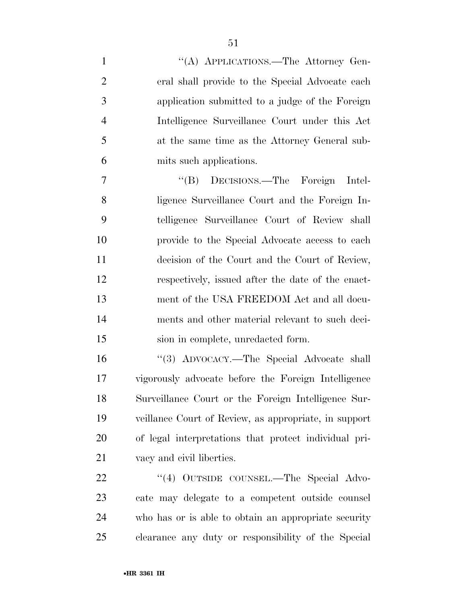1 "(A) APPLICATIONS.—The Attorney Gen- eral shall provide to the Special Advocate each application submitted to a judge of the Foreign Intelligence Surveillance Court under this Act at the same time as the Attorney General sub-mits such applications.

 ''(B) DECISIONS.—The Foreign Intel- ligence Surveillance Court and the Foreign In- telligence Surveillance Court of Review shall provide to the Special Advocate access to each decision of the Court and the Court of Review, respectively, issued after the date of the enact- ment of the USA FREEDOM Act and all docu- ments and other material relevant to such deci-sion in complete, unredacted form.

 ''(3) ADVOCACY.—The Special Advocate shall vigorously advocate before the Foreign Intelligence Surveillance Court or the Foreign Intelligence Sur- veillance Court of Review, as appropriate, in support of legal interpretations that protect individual pri-vacy and civil liberties.

22 "(4) OUTSIDE COUNSEL.—The Special Advo- cate may delegate to a competent outside counsel who has or is able to obtain an appropriate security clearance any duty or responsibility of the Special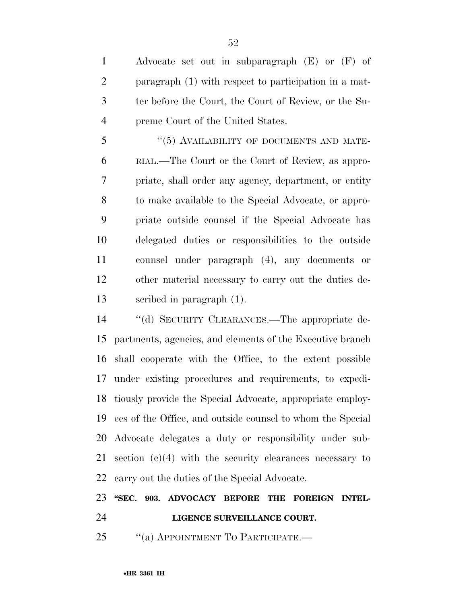Advocate set out in subparagraph (E) or (F) of paragraph (1) with respect to participation in a mat- ter before the Court, the Court of Review, or the Su-preme Court of the United States.

5 "(5) AVAILABILITY OF DOCUMENTS AND MATE- RIAL.—The Court or the Court of Review, as appro- priate, shall order any agency, department, or entity to make available to the Special Advocate, or appro- priate outside counsel if the Special Advocate has delegated duties or responsibilities to the outside counsel under paragraph (4), any documents or other material necessary to carry out the duties de-scribed in paragraph (1).

 ''(d) SECURITY CLEARANCES.—The appropriate de- partments, agencies, and elements of the Executive branch shall cooperate with the Office, to the extent possible under existing procedures and requirements, to expedi- tiously provide the Special Advocate, appropriate employ- ees of the Office, and outside counsel to whom the Special Advocate delegates a duty or responsibility under sub- section (c)(4) with the security clearances necessary to carry out the duties of the Special Advocate.

### **''SEC. 903. ADVOCACY BEFORE THE FOREIGN INTEL-LIGENCE SURVEILLANCE COURT.**

25 "(a) APPOINTMENT TO PARTICIPATE.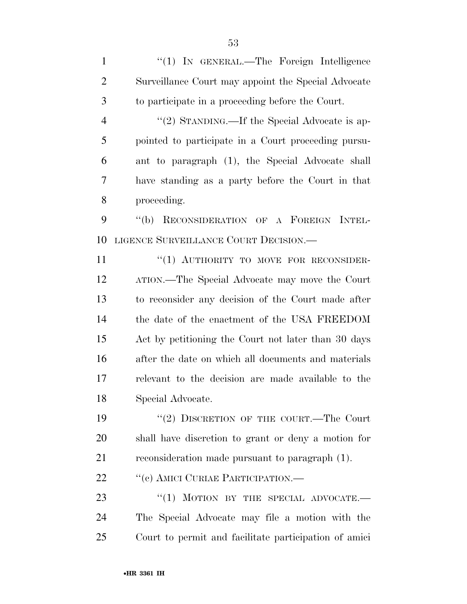1 "(1) IN GENERAL.—The Foreign Intelligence Surveillance Court may appoint the Special Advocate to participate in a proceeding before the Court. 4 "(2) STANDING.—If the Special Advocate is ap- pointed to participate in a Court proceeding pursu- ant to paragraph (1), the Special Advocate shall have standing as a party before the Court in that proceeding. ''(b) RECONSIDERATION OF A FOREIGN INTEL- LIGENCE SURVEILLANCE COURT DECISION.— 11 "(1) AUTHORITY TO MOVE FOR RECONSIDER- ATION.—The Special Advocate may move the Court to reconsider any decision of the Court made after the date of the enactment of the USA FREEDOM Act by petitioning the Court not later than 30 days after the date on which all documents and materials relevant to the decision are made available to the

Special Advocate.

19 "(2) DISCRETION OF THE COURT.—The Court shall have discretion to grant or deny a motion for reconsideration made pursuant to paragraph (1).

22 "(c) AMICI CURIAE PARTICIPATION.—

23 "(1) MOTION BY THE SPECIAL ADVOCATE. The Special Advocate may file a motion with the Court to permit and facilitate participation of amici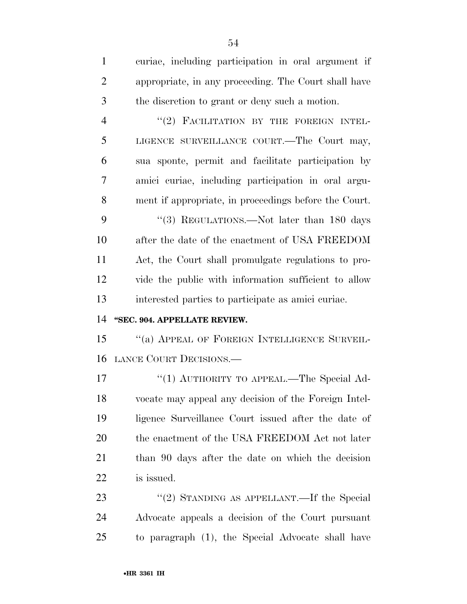| $\mathbf{1}$   | curiae, including participation in oral argument if   |
|----------------|-------------------------------------------------------|
| $\overline{2}$ | appropriate, in any proceeding. The Court shall have  |
| $\mathfrak{Z}$ | the discretion to grant or deny such a motion.        |
| $\overline{4}$ | "(2) FACILITATION BY THE FOREIGN INTEL-               |
| 5              | LIGENCE SURVEILLANCE COURT.—The Court may,            |
| 6              | sua sponte, permit and facilitate participation by    |
| 7              | amici curiae, including participation in oral argu-   |
| 8              | ment if appropriate, in proceedings before the Court. |
| 9              | "(3) REGULATIONS.—Not later than 180 days             |
| 10             | after the date of the enactment of USA FREEDOM        |
| 11             | Act, the Court shall promulgate regulations to pro-   |
| 12             | vide the public with information sufficient to allow  |
|                |                                                       |
| 13             | interested parties to participate as amici curiae.    |
| 14             | "SEC. 904. APPELLATE REVIEW.                          |
| 15             | "(a) APPEAL OF FOREIGN INTELLIGENCE SURVEIL-          |
| 16             | LANCE COURT DECISIONS.                                |
| 17             | "(1) AUTHORITY TO APPEAL.—The Special Ad-             |
| 18             | vocate may appeal any decision of the Foreign Intel-  |
| 19             | ligence Surveillance Court issued after the date of   |
| 20             | the enactment of the USA FREEDOM Act not later        |
| 21             | than 90 days after the date on which the decision     |
| 22             | is issued.                                            |
| 23             | "(2) STANDING AS APPELLANT.—If the Special            |

to paragraph (1), the Special Advocate shall have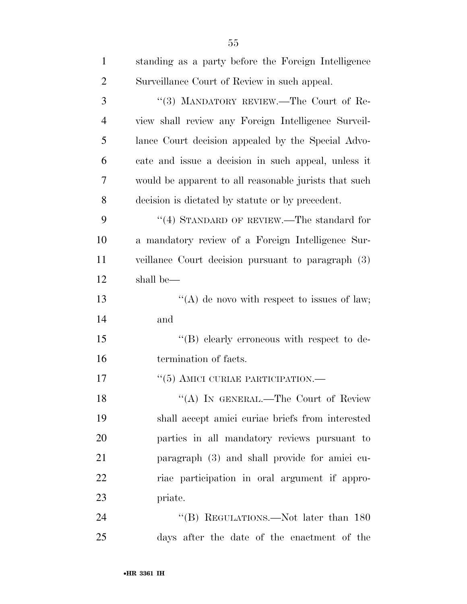| $\mathbf{1}$   | standing as a party before the Foreign Intelligence   |
|----------------|-------------------------------------------------------|
| $\overline{2}$ | Surveillance Court of Review in such appeal.          |
| 3              | "(3) MANDATORY REVIEW.—The Court of Re-               |
| $\overline{4}$ | view shall review any Foreign Intelligence Surveil-   |
| 5              | lance Court decision appealed by the Special Advo-    |
| 6              | cate and issue a decision in such appeal, unless it   |
| 7              | would be apparent to all reasonable jurists that such |
| 8              | decision is dictated by statute or by precedent.      |
| 9              | "(4) STANDARD OF REVIEW.—The standard for             |
| 10             | a mandatory review of a Foreign Intelligence Sur-     |
| 11             | veillance Court decision pursuant to paragraph (3)    |
| 12             | shall be—                                             |
| 13             | "(A) de novo with respect to issues of law;           |
| 14             | and                                                   |
| 15             | "(B) clearly erroneous with respect to de-            |
| 16             | termination of facts.                                 |
| 17             | $``(5)$ AMICI CURIAE PARTICIPATION.—                  |
| 18             | "(A) IN GENERAL.—The Court of Review                  |
| 19             | shall accept amici curiae briefs from interested      |
| 20             | parties in all mandatory reviews pursuant to          |
| 21             | paragraph (3) and shall provide for amici cu-         |
| 22             | riae participation in oral argument if appro-         |
| 23             | priate.                                               |
| 24             | "(B) REGULATIONS.—Not later than 180                  |
| 25             | days after the date of the enactment of the           |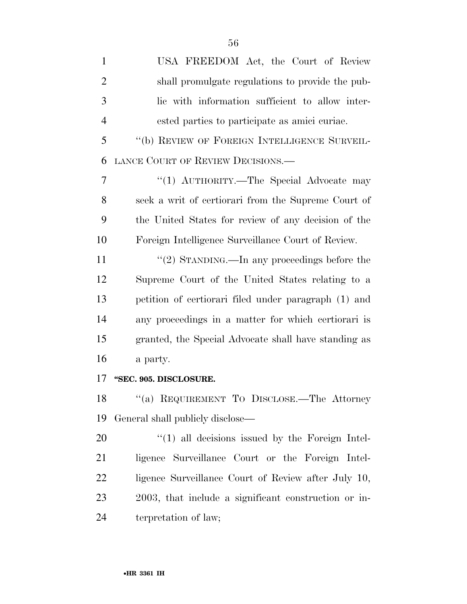| $\mathbf{1}$   | USA FREEDOM Act, the Court of Review                 |
|----------------|------------------------------------------------------|
| $\overline{2}$ | shall promulgate regulations to provide the pub-     |
| 3              | lic with information sufficient to allow inter-      |
| $\overline{4}$ | ested parties to participate as amici curiae.        |
| 5              | "(b) REVIEW OF FOREIGN INTELLIGENCE SURVEIL-         |
| 6              | LANCE COURT OF REVIEW DECISIONS.                     |
| 7              | "(1) AUTHORITY.—The Special Advocate may             |
| 8              | seek a writ of certiorari from the Supreme Court of  |
| 9              | the United States for review of any decision of the  |
| 10             | Foreign Intelligence Surveillance Court of Review.   |
| 11             | "(2) STANDING.—In any proceedings before the         |
| 12             | Supreme Court of the United States relating to a     |
| 13             | petition of certiorari filed under paragraph (1) and |
| 14             | any proceedings in a matter for which certiorari is  |
| 15             | granted, the Special Advocate shall have standing as |
| 16             | a party.                                             |
| 17             | "SEC. 905. DISCLOSURE.                               |
| 18             | "(a) REQUIREMENT TO DISCLOSE.—The Attorney           |
| 19             | General shall publicly disclose—                     |
| 20             | $\lq(1)$ all decisions issued by the Foreign Intel-  |
| 21             | ligence Surveillance Court or the Foreign Intel-     |
| 22             | ligence Surveillance Court of Review after July 10,  |
| 23             | 2003, that include a significant construction or in- |
| 24             | terpretation of law;                                 |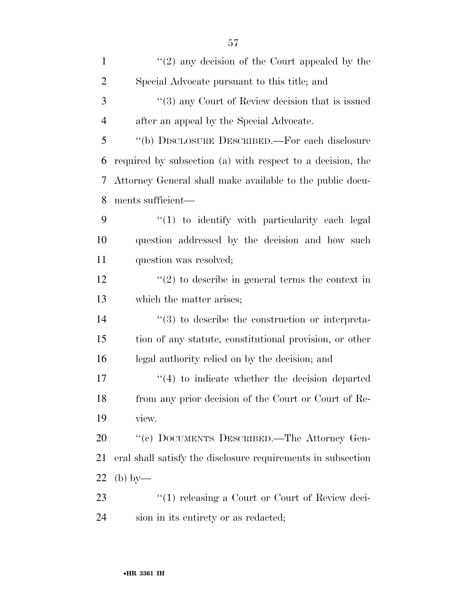| $\mathbf{1}$   | $\lq(2)$ any decision of the Court appealed by the               |
|----------------|------------------------------------------------------------------|
| $\overline{2}$ | Special Advocate pursuant to this title; and                     |
| 3              | $\cdot\cdot$ (3) any Court of Review decision that is issued     |
| $\overline{4}$ | after an appeal by the Special Advocate.                         |
| 5              | "(b) DISCLOSURE DESCRIBED.—For each disclosure                   |
| 6              | required by subsection (a) with respect to a decision, the       |
| 7              | Attorney General shall make available to the public docu-        |
| 8              | ments sufficient—                                                |
| 9              | $\lq(1)$ to identify with particularity each legal               |
| 10             | question addressed by the decision and how such                  |
| 11             | question was resolved;                                           |
| 12             | $f'(2)$ to describe in general terms the context in              |
| 13             | which the matter arises;                                         |
| 14             | $\cdot\cdot\cdot(3)$ to describe the construction or interpreta- |
| 15             | tion of any statute, constitutional provision, or other          |
| 16             | legal authority relied on by the decision; and                   |
| 17             | $\cdot$ (4) to indicate whether the decision departed            |
| 18             | from any prior decision of the Court or Court of Re-             |
| 19             | view.                                                            |
| 20             | "(c) DOCUMENTS DESCRIBED.—The Attorney Gen-                      |
| 21             | eral shall satisfy the disclosure requirements in subsection     |
| 22             | $(b)$ by—                                                        |
| 23             | "(1) releasing a Court or Court of Review deci-                  |
| 24             | sion in its entirety or as redacted;                             |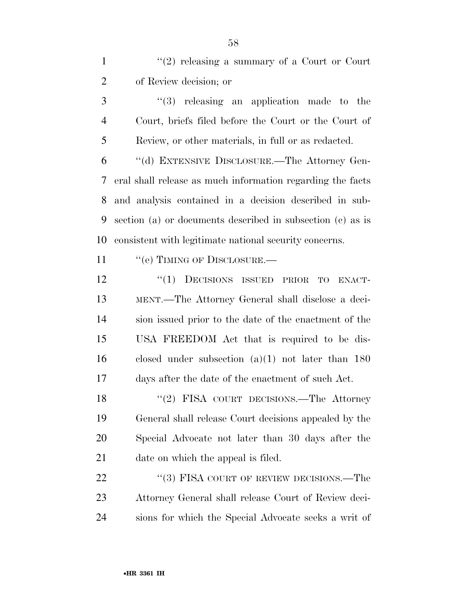1 ''(2) releasing a summary of a Court or Court of Review decision; or

 ''(3) releasing an application made to the Court, briefs filed before the Court or the Court of Review, or other materials, in full or as redacted.

 ''(d) EXTENSIVE DISCLOSURE.—The Attorney Gen- eral shall release as much information regarding the facts and analysis contained in a decision described in sub- section (a) or documents described in subsection (c) as is consistent with legitimate national security concerns.

11 "(e) TIMING OF DISCLOSURE.—

 ''(1) DECISIONS ISSUED PRIOR TO ENACT- MENT.—The Attorney General shall disclose a deci- sion issued prior to the date of the enactment of the USA FREEDOM Act that is required to be dis- closed under subsection (a)(1) not later than 180 days after the date of the enactment of such Act.

18 "(2) FISA COURT DECISIONS.—The Attorney General shall release Court decisions appealed by the Special Advocate not later than 30 days after the 21 date on which the appeal is filed.

22 "(3) FISA COURT OF REVIEW DECISIONS.—The Attorney General shall release Court of Review deci-sions for which the Special Advocate seeks a writ of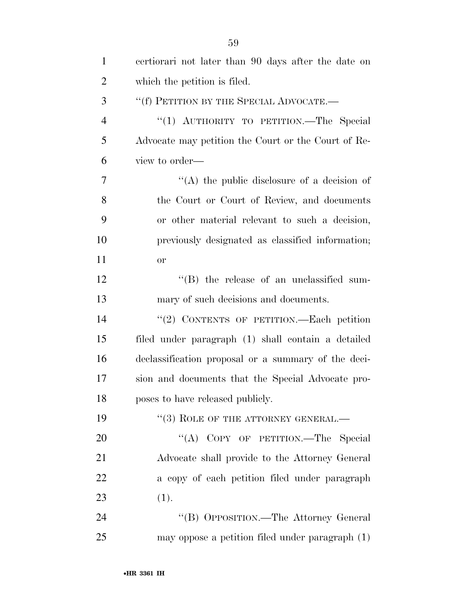| $\mathbf{1}$   | certiorari not later than 90 days after the date on |
|----------------|-----------------------------------------------------|
| $\overline{2}$ | which the petition is filed.                        |
| 3              | "(f) PETITION BY THE SPECIAL ADVOCATE.—             |
| $\overline{4}$ | "(1) AUTHORITY TO PETITION.—The Special             |
| 5              | Advocate may petition the Court or the Court of Re- |
| 6              | view to order—                                      |
| 7              | "(A) the public disclosure of a decision of         |
| 8              | the Court or Court of Review, and documents         |
| 9              | or other material relevant to such a decision,      |
| 10             | previously designated as classified information;    |
| 11             | <b>or</b>                                           |
| 12             | $\lq\lq$ (B) the release of an unclassified sum-    |
| 13             | mary of such decisions and documents.               |
| 14             | "(2) CONTENTS OF PETITION.—Each petition            |
| 15             | filed under paragraph (1) shall contain a detailed  |
| 16             | declassification proposal or a summary of the deci- |
| 17             | sion and documents that the Special Advocate pro-   |
| 18             | poses to have released publicly.                    |
| 19             | $``(3)$ ROLE OF THE ATTORNEY GENERAL.—              |
| 20             | "(A) COPY OF PETITION.—The Special                  |
| 21             | Advocate shall provide to the Attorney General      |
| 22             | a copy of each petition filed under paragraph       |
| 23             | (1).                                                |
| 24             | "(B) OPPOSITION.—The Attorney General               |
| 25             | may oppose a petition filed under paragraph (1)     |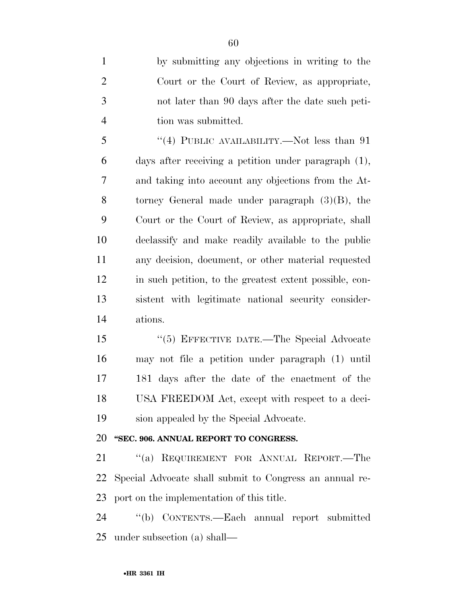by submitting any objections in writing to the Court or the Court of Review, as appropriate, not later than 90 days after the date such peti-tion was submitted.

 ''(4) PUBLIC AVAILABILITY.—Not less than 91 days after receiving a petition under paragraph (1), and taking into account any objections from the At- torney General made under paragraph (3)(B), the Court or the Court of Review, as appropriate, shall declassify and make readily available to the public any decision, document, or other material requested in such petition, to the greatest extent possible, con- sistent with legitimate national security consider-ations.

 ''(5) EFFECTIVE DATE.—The Special Advocate may not file a petition under paragraph (1) until 181 days after the date of the enactment of the USA FREEDOM Act, except with respect to a deci-sion appealed by the Special Advocate.

#### **''SEC. 906. ANNUAL REPORT TO CONGRESS.**

 ''(a) REQUIREMENT FOR ANNUAL REPORT.—The Special Advocate shall submit to Congress an annual re-port on the implementation of this title.

 ''(b) CONTENTS.—Each annual report submitted under subsection (a) shall—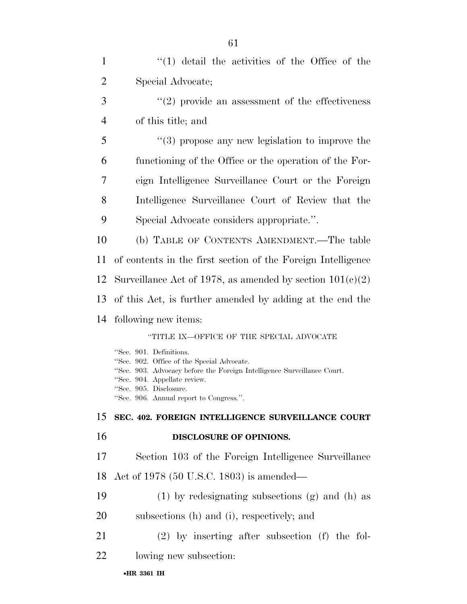| $\mathbf{1}$   | $(1)$ detail the activities of the Office of the                                                                                                 |
|----------------|--------------------------------------------------------------------------------------------------------------------------------------------------|
| $\overline{2}$ | Special Advocate;                                                                                                                                |
| 3              | $\cdot\cdot(2)$ provide an assessment of the effectiveness                                                                                       |
| $\overline{4}$ | of this title; and                                                                                                                               |
| 5              | $(3)$ propose any new legislation to improve the                                                                                                 |
| 6              | functioning of the Office or the operation of the For-                                                                                           |
| 7              | eign Intelligence Surveillance Court or the Foreign                                                                                              |
| 8              | Intelligence Surveillance Court of Review that the                                                                                               |
| 9              | Special Advocate considers appropriate.".                                                                                                        |
| 10             | (b) TABLE OF CONTENTS AMENDMENT.—The table                                                                                                       |
| 11             | of contents in the first section of the Foreign Intelligence                                                                                     |
| 12             | Surveillance Act of 1978, as amended by section $101(c)(2)$                                                                                      |
| 13             | of this Act, is further amended by adding at the end the                                                                                         |
| 14             | following new items:                                                                                                                             |
|                | "TITLE IX—OFFICE OF THE SPECIAL ADVOCATE                                                                                                         |
|                | "Sec. 901. Definitions.<br>"Sec. 902. Office of the Special Advocate.<br>"Sec. 903. Advocacy before the Foreign Intelligence Surveillance Court. |
|                | "Sec. 904. Appellate review.<br>"Sec. 905. Disclosure.<br>"Sec. 906. Annual report to Congress.".                                                |
| 15             | SEC. 402. FOREIGN INTELLIGENCE SURVEILLANCE COURT                                                                                                |
| 16             | DISCLOSURE OF OPINIONS.                                                                                                                          |
| 17             | Section 103 of the Foreign Intelligence Surveillance                                                                                             |
| 18             | Act of 1978 (50 U.S.C. 1803) is amended—                                                                                                         |
| 19             | $(1)$ by redesignating subsections $(g)$ and $(h)$ as                                                                                            |
| 20             | subsections (h) and (i), respectively; and                                                                                                       |
| 21             | $(2)$ by inserting after subsection (f) the fol-                                                                                                 |
| 22             | lowing new subsection:                                                                                                                           |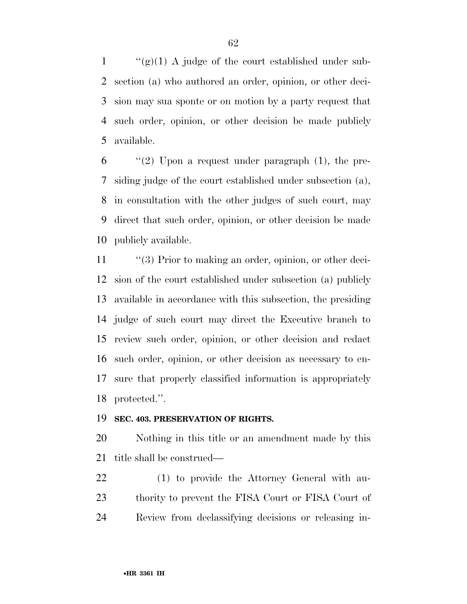$\langle (g)(1) \rangle$  A judge of the court established under sub- section (a) who authored an order, opinion, or other deci- sion may sua sponte or on motion by a party request that such order, opinion, or other decision be made publicly available.

 "(2) Upon a request under paragraph (1), the pre- siding judge of the court established under subsection (a), in consultation with the other judges of such court, may direct that such order, opinion, or other decision be made publicly available.

11 ''(3) Prior to making an order, opinion, or other deci- sion of the court established under subsection (a) publicly available in accordance with this subsection, the presiding judge of such court may direct the Executive branch to review such order, opinion, or other decision and redact such order, opinion, or other decision as necessary to en- sure that properly classified information is appropriately protected.''.

#### **SEC. 403. PRESERVATION OF RIGHTS.**

 Nothing in this title or an amendment made by this title shall be construed—

 (1) to provide the Attorney General with au- thority to prevent the FISA Court or FISA Court of Review from declassifying decisions or releasing in-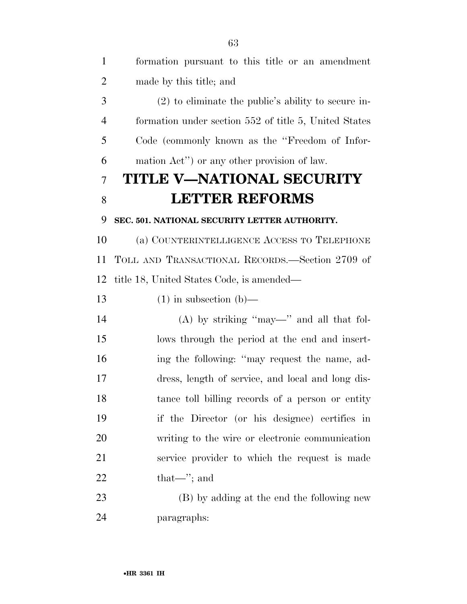| $\mathbf{1}$     | formation pursuant to this title or an amendment      |
|------------------|-------------------------------------------------------|
| $\overline{2}$   | made by this title; and                               |
| 3                | $(2)$ to eliminate the public's ability to secure in- |
| $\overline{4}$   | formation under section 552 of title 5, United States |
| 5                | Code (commonly known as the "Freedom of Infor-        |
| 6                | mation Act") or any other provision of law.           |
| 7                | <b>TITLE V-NATIONAL SECURITY</b>                      |
| 8                | <b>LETTER REFORMS</b>                                 |
| 9                | SEC. 501. NATIONAL SECURITY LETTER AUTHORITY.         |
| 10               | (a) COUNTERINTELLIGENCE ACCESS TO TELEPHONE           |
| 11               | TOLL AND TRANSACTIONAL RECORDS.—Section 2709 of       |
| 12               | title 18, United States Code, is amended—             |
| 13               | $(1)$ in subsection $(b)$ —                           |
| 14               | $(A)$ by striking "may—" and all that fol-            |
| 15               | lows through the period at the end and insert-        |
| 16               | ing the following: "may request the name, ad-         |
| 17               | dress, length of service, and local and long dis-     |
| 18               | tance toll billing records of a person or entity      |
| 19               | if the Director (or his designee) certifies in        |
| 20               | writing to the wire or electronic communication       |
| 21               | service provider to which the request is made         |
| 22               | $that \rightarrow$ ; and                              |
| 23               | (B) by adding at the end the following new            |
| $\sim$ $\lambda$ |                                                       |

paragraphs: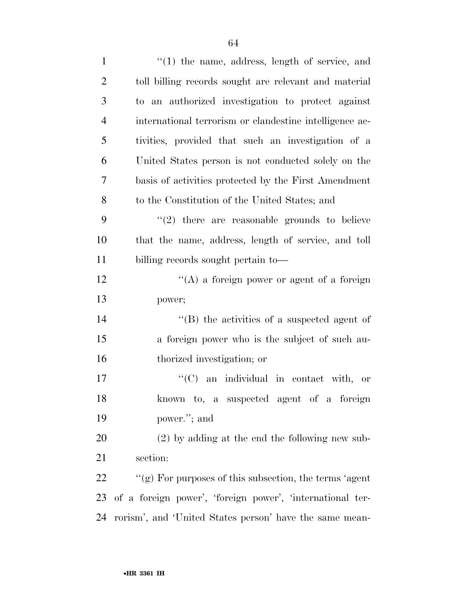| $\mathbf{1}$   | $\lq(1)$ the name, address, length of service, and         |
|----------------|------------------------------------------------------------|
| $\overline{2}$ | toll billing records sought are relevant and material      |
| 3              | to an authorized investigation to protect against          |
| $\overline{4}$ | international terrorism or clandestine intelligence ac-    |
| 5              | tivities, provided that such an investigation of a         |
| 6              | United States person is not conducted solely on the        |
| 7              | basis of activities protected by the First Amendment       |
| 8              | to the Constitution of the United States; and              |
| 9              | $(2)$ there are reasonable grounds to believe              |
| 10             | that the name, address, length of service, and toll        |
| 11             | billing records sought pertain to-                         |
| 12             | $\lq\lq$ a foreign power or agent of a foreign             |
| 13             | power;                                                     |
| 14             | $\lq\lq$ the activities of a suspected agent of            |
| 15             | a foreign power who is the subject of such au-             |
| 16             | thorized investigation; or                                 |
| 17             | $\lq\lq$ (C) an individual in contact with, or             |
| 18             | known to, a suspected agent of a foreign                   |
| 19             | power."; and                                               |
| 20             | $(2)$ by adding at the end the following new sub-          |
| 21             | section:                                                   |
| 22             | " $(g)$ For purposes of this subsection, the terms 'agent' |
| 23             | of a foreign power', 'foreign power', 'international ter-  |
| 24             | rorism', and 'United States person' have the same mean-    |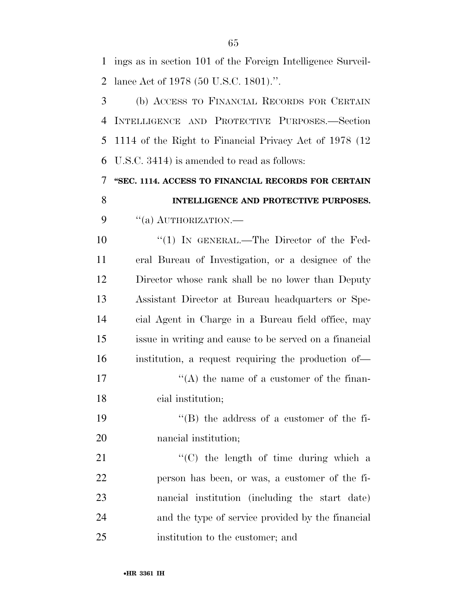ings as in section 101 of the Foreign Intelligence Surveil-lance Act of 1978 (50 U.S.C. 1801).''.

 (b) ACCESS TO FINANCIAL RECORDS FOR CERTAIN INTELLIGENCE AND PROTECTIVE PURPOSES.—Section 1114 of the Right to Financial Privacy Act of 1978 (12 U.S.C. 3414) is amended to read as follows:

 **''SEC. 1114. ACCESS TO FINANCIAL RECORDS FOR CERTAIN INTELLIGENCE AND PROTECTIVE PURPOSES.** 

9 "(a) AUTHORIZATION.—

 $\frac{10}{10}$  In GENERAL.—The Director of the Fed- eral Bureau of Investigation, or a designee of the Director whose rank shall be no lower than Deputy Assistant Director at Bureau headquarters or Spe- cial Agent in Charge in a Bureau field office, may issue in writing and cause to be served on a financial institution, a request requiring the production of—

17  $\langle (A)$  the name of a customer of the finan-cial institution;

19 ''(B) the address of a customer of the fi-nancial institution;

21 "'(C) the length of time during which a person has been, or was, a customer of the fi- nancial institution (including the start date) and the type of service provided by the financial institution to the customer; and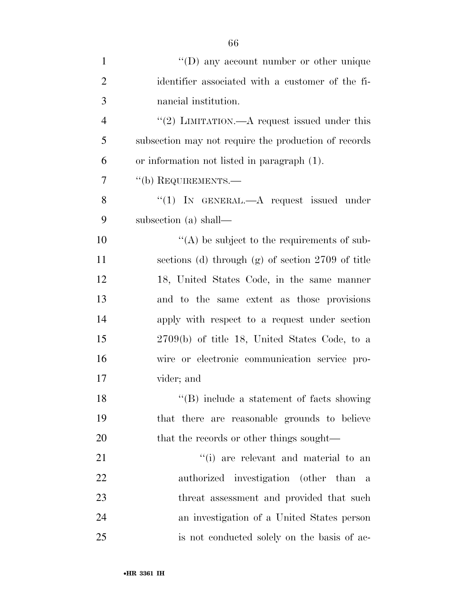| $\mathbf{1}$   | $\lq\lq$ (D) any account number or other unique      |
|----------------|------------------------------------------------------|
| $\overline{2}$ | identifier associated with a customer of the fi-     |
| 3              | nancial institution.                                 |
| $\overline{4}$ | "(2) LIMITATION.—A request issued under this         |
| 5              | subsection may not require the production of records |
| 6              | or information not listed in paragraph (1).          |
| 7              | "(b) REQUIREMENTS.—                                  |
| 8              | "(1) IN GENERAL.—A request issued under              |
| 9              | subsection (a) shall—                                |
| 10             | $\lq\lq$ be subject to the requirements of sub-      |
| 11             | sections (d) through (g) of section 2709 of title    |
| 12             | 18, United States Code, in the same manner           |
| 13             | and to the same extent as those provisions           |
| 14             | apply with respect to a request under section        |
| 15             | $2709(b)$ of title 18, United States Code, to a      |
| 16             | wire or electronic communication service pro-        |
| 17             | vider; and                                           |
| 18             | "(B) include a statement of facts showing            |
| 19             | that there are reasonable grounds to believe         |
| 20             | that the records or other things sought—             |
| 21             | "(i) are relevant and material to an                 |
| 22             | authorized investigation (other than a               |
| 23             | threat assessment and provided that such             |
| 24             | an investigation of a United States person           |
| 25             | is not conducted solely on the basis of ac-          |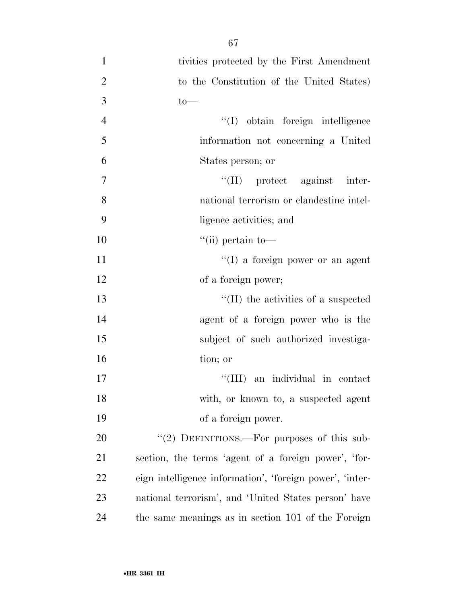| $\mathbf{1}$   | tivities protected by the First Amendment                |
|----------------|----------------------------------------------------------|
| $\overline{2}$ | to the Constitution of the United States)                |
| 3              | $to-$                                                    |
| $\overline{4}$ | "(I) obtain foreign intelligence                         |
| 5              | information not concerning a United                      |
| 6              | States person; or                                        |
| 7              | $\lq\lq$ (II) protect against inter-                     |
| 8              | national terrorism or clandestine intel-                 |
| 9              | ligence activities; and                                  |
| 10             | $\lq\lq$ (ii) pertain to-                                |
| 11             | "(I) a foreign power or an agent                         |
| 12             | of a foreign power;                                      |
| 13             | $\lq\lq$ (II) the activities of a suspected              |
| 14             | agent of a foreign power who is the                      |
| 15             | subject of such authorized investiga-                    |
| 16             | tion; or                                                 |
| 17             | an individual in contact<br>``(III)                      |
| 18             | with, or known to, a suspected agent                     |
| 19             | of a foreign power.                                      |
| 20             | "(2) DEFINITIONS.—For purposes of this sub-              |
| 21             | section, the terms 'agent of a foreign power', 'for-     |
| 22             | eign intelligence information', 'foreign power', 'inter- |
| 23             | national terrorism', and 'United States person' have     |
| 24             | the same meanings as in section 101 of the Foreign       |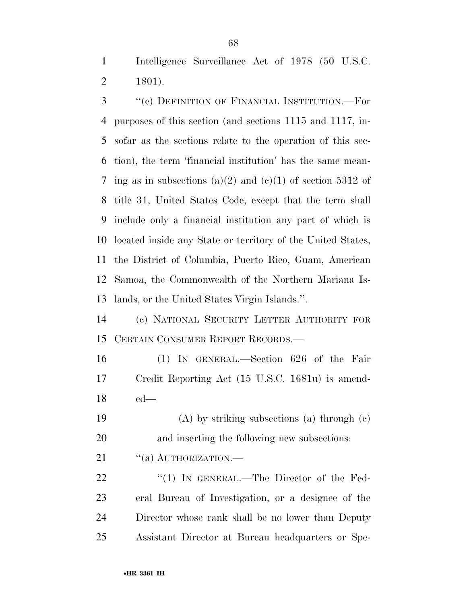Intelligence Surveillance Act of 1978 (50 U.S.C. 1801).

 ''(c) DEFINITION OF FINANCIAL INSTITUTION.—For purposes of this section (and sections 1115 and 1117, in- sofar as the sections relate to the operation of this sec- tion), the term 'financial institution' has the same mean-7 ing as in subsections (a)(2) and (c)(1) of section 5312 of title 31, United States Code, except that the term shall include only a financial institution any part of which is located inside any State or territory of the United States, the District of Columbia, Puerto Rico, Guam, American Samoa, the Commonwealth of the Northern Mariana Is-lands, or the United States Virgin Islands.''.

 (c) NATIONAL SECURITY LETTER AUTHORITY FOR CERTAIN CONSUMER REPORT RECORDS.—

 (1) IN GENERAL.—Section 626 of the Fair Credit Reporting Act (15 U.S.C. 1681u) is amend-ed—

 (A) by striking subsections (a) through (c) and inserting the following new subsections:

21 "(a) AUTHORIZATION.—

22 "(1) In GENERAL.—The Director of the Fed- eral Bureau of Investigation, or a designee of the Director whose rank shall be no lower than Deputy Assistant Director at Bureau headquarters or Spe-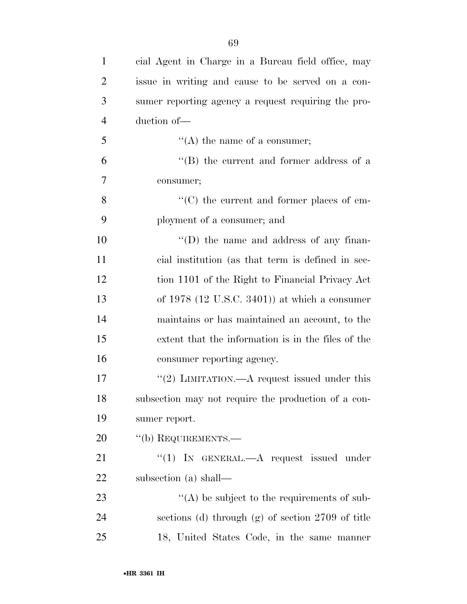| $\mathbf{1}$   | cial Agent in Charge in a Bureau field office, may  |
|----------------|-----------------------------------------------------|
| $\overline{2}$ | issue in writing and cause to be served on a con-   |
| 3              | sumer reporting agency a request requiring the pro- |
| $\overline{4}$ | duction of-                                         |
| 5              | $\lq\lq$ the name of a consumer;                    |
| 6              | $\lq\lq$ the current and former address of a        |
| 7              | consumer;                                           |
| 8              | $\lq\lq$ (C) the current and former places of em-   |
| 9              | ployment of a consumer; and                         |
| 10             | $\lq\lq$ the name and address of any finan-         |
| 11             | cial institution (as that term is defined in sec-   |
| 12             | tion 1101 of the Right to Financial Privacy Act     |
| 13             | of $1978$ (12 U.S.C. 3401)) at which a consumer     |
| 14             | maintains or has maintained an account, to the      |
| 15             | extent that the information is in the files of the  |
| 16             | consumer reporting agency.                          |
| 17             | "(2) LIMITATION.—A request issued under this        |
| 18             | subsection may not require the production of a con- |
| 19             | sumer report.                                       |
| 20             | "(b) REQUIREMENTS.—                                 |
| 21             | "(1) IN GENERAL.— $A$ request issued under          |
| 22             | subsection (a) shall—                               |
| 23             | $\lq\lq$ be subject to the requirements of sub-     |
| 24             | sections (d) through $(g)$ of section 2709 of title |
| 25             | 18, United States Code, in the same manner          |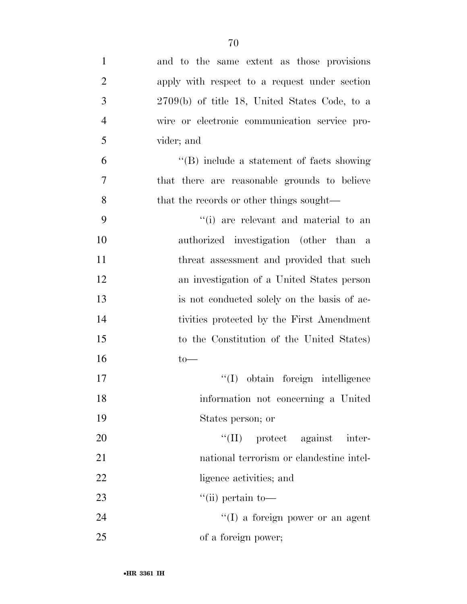| $\mathbf{1}$   | and to the same extent as those provisions      |
|----------------|-------------------------------------------------|
| $\overline{2}$ | apply with respect to a request under section   |
| 3              | $2709(b)$ of title 18, United States Code, to a |
| $\overline{4}$ | wire or electronic communication service pro-   |
| 5              | vider; and                                      |
| 6              | $\lq\lq$ include a statement of facts showing   |
| $\overline{7}$ | that there are reasonable grounds to believe    |
| 8              | that the records or other things sought—        |
| 9              | "(i) are relevant and material to an            |
| 10             | authorized investigation (other than a          |
| 11             | threat assessment and provided that such        |
| 12             | an investigation of a United States person      |
| 13             | is not conducted solely on the basis of ac-     |
| 14             | tivities protected by the First Amendment       |
| 15             | to the Constitution of the United States)       |
| 16             | $to-$                                           |
| 17             | "(I) obtain foreign intelligence                |
| 18             | information not concerning a United             |
| 19             | States person; or                               |
| 20             | $\lq\lq$ (II) protect against inter-            |
| 21             | national terrorism or clandestine intel-        |
| 22             | ligence activities; and                         |
| 23             | $\lq\lq$ (ii) pertain to-                       |
| 24             | $\lq\lq$ (I) a foreign power or an agent        |
| 25             | of a foreign power;                             |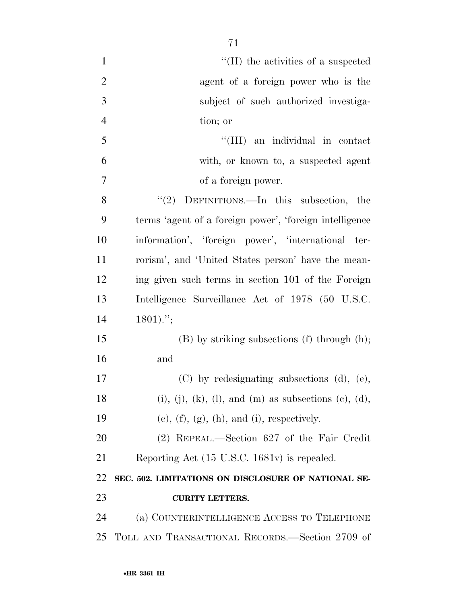| $\mathbf{1}$   | $\lq$ (II) the activities of a suspected                                 |
|----------------|--------------------------------------------------------------------------|
| $\overline{2}$ | agent of a foreign power who is the                                      |
| 3              | subject of such authorized investiga-                                    |
| $\overline{4}$ | tion; or                                                                 |
| 5              | "(III) an individual in contact                                          |
| 6              | with, or known to, a suspected agent                                     |
| $\tau$         | of a foreign power.                                                      |
| 8              | " $(2)$ DEFINITIONS.—In this subsection, the                             |
| 9              | terms 'agent of a foreign power', 'foreign intelligence                  |
| 10             | information', 'foreign power', 'international ter-                       |
| 11             | rorism', and 'United States person' have the mean-                       |
| 12             | ing given such terms in section 101 of the Foreign                       |
| 13             | Intelligence Surveillance Act of 1978 (50 U.S.C.                         |
| 14             | $1801$ .";                                                               |
| 15             | $(B)$ by striking subsections $(f)$ through $(h)$ ;                      |
| 16             | and                                                                      |
| 17             | (C) by redesignating subsections (d), (e),                               |
| 18             | $(i)$ , $(j)$ , $(k)$ , $(l)$ , and $(m)$ as subsections $(e)$ , $(d)$ , |
| 19             | $(e)$ , $(f)$ , $(g)$ , $(h)$ , and $(i)$ , respectively.                |
| 20             | (2) REPEAL.—Section 627 of the Fair Credit                               |
| 21             | Reporting Act (15 U.S.C. 1681v) is repealed.                             |
| 22             | SEC. 502. LIMITATIONS ON DISCLOSURE OF NATIONAL SE-                      |
| 23             | <b>CURITY LETTERS.</b>                                                   |
| 24             | (a) COUNTERINTELLIGENCE ACCESS TO TELEPHONE                              |
| 25             | TOLL AND TRANSACTIONAL RECORDS.—Section 2709 of                          |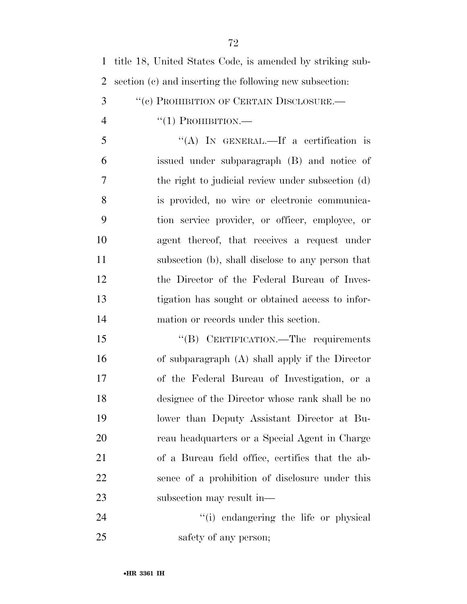| 1 title 18, United States Code, is amended by striking sub- |
|-------------------------------------------------------------|
| 2 section (c) and inserting the following new subsection:   |

- 3 "(c) PROHIBITION OF CERTAIN DISCLOSURE.—
- $\frac{4}{1}$   $\frac{1}{1}$  PROHIBITION.

 ''(A) IN GENERAL.—If a certification is issued under subparagraph (B) and notice of the right to judicial review under subsection (d) is provided, no wire or electronic communica- tion service provider, or officer, employee, or agent thereof, that receives a request under subsection (b), shall disclose to any person that the Director of the Federal Bureau of Inves- tigation has sought or obtained access to infor-mation or records under this section.

15 "(B) CERTIFICATION.—The requirements of subparagraph (A) shall apply if the Director of the Federal Bureau of Investigation, or a designee of the Director whose rank shall be no lower than Deputy Assistant Director at Bu- reau headquarters or a Special Agent in Charge of a Bureau field office, certifies that the ab- sence of a prohibition of disclosure under this subsection may result in—

24 ''(i) endangering the life or physical 25 safety of any person;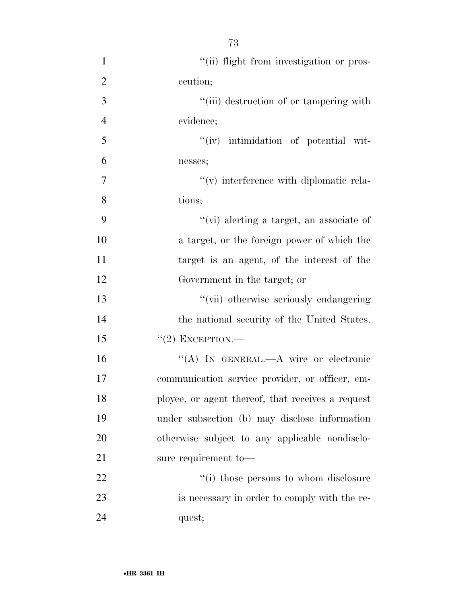$"$ (ii) flight from investigation or pros- ecution;  $\frac{1}{1}$  (iii) destruction of or tampering with evidence;  $\frac{1}{\sqrt{1-\frac{1}{\sqrt{1-\frac{1}{\sqrt{1-\frac{1}{\sqrt{1-\frac{1}{\sqrt{1-\frac{1}{\sqrt{1-\frac{1}{\sqrt{1-\frac{1}{\sqrt{1-\frac{1}{\sqrt{1-\frac{1}{\sqrt{1-\frac{1}{\sqrt{1-\frac{1}{\sqrt{1-\frac{1}{\sqrt{1-\frac{1}{\sqrt{1-\frac{1}{\sqrt{1-\frac{1}{\sqrt{1-\frac{1}{\sqrt{1-\frac{1}{\sqrt{1-\frac{1}{\sqrt{1-\frac{1}{\sqrt{1-\frac{1}{\sqrt{1-\frac{1}{\sqrt{1-\frac{1}{\sqrt{1-\frac{1}{\sqrt{1-\frac{$  nesses;  $''(v)$  interference with diplomatic rela- tions; ''(vi) alerting a target, an associate of a target, or the foreign power of which the target is an agent, of the interest of the Government in the target; or ''(vii) otherwise seriously endangering the national security of the United States. ''(2) EXCEPTION.— ''(A) IN GENERAL.—A wire or electronic communication service provider, or officer, em- ployee, or agent thereof, that receives a request under subsection (b) may disclose information otherwise subject to any applicable nondisclo- sure requirement to—  $\frac{1}{2}$   $\frac{1}{2}$   $\frac{1}{2}$  those persons to whom disclosure

 is necessary in order to comply with the re-quest;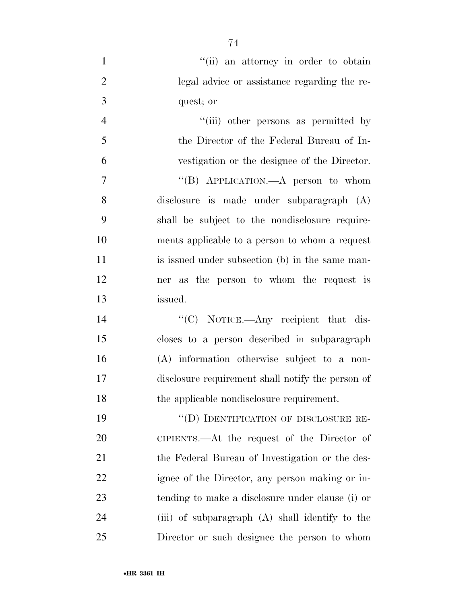| "(ii) an attorney in order to obtain         |
|----------------------------------------------|
| legal advice or assistance regarding the re- |
| quest; or                                    |

4 ''(iii) other persons as permitted by the Director of the Federal Bureau of In- vestigation or the designee of the Director. 7 "(B) APPLICATION.—A person to whom disclosure is made under subparagraph (A) shall be subject to the nondisclosure require- ments applicable to a person to whom a request 11 is issued under subsection (b) in the same man- ner as the person to whom the request is issued.

 $C$  NOTICE.—Any recipient that dis- closes to a person described in subparagraph (A) information otherwise subject to a non- disclosure requirement shall notify the person of the applicable nondisclosure requirement.

19 "(D) IDENTIFICATION OF DISCLOSURE RE- CIPIENTS.—At the request of the Director of 21 the Federal Bureau of Investigation or the des- ignee of the Director, any person making or in- tending to make a disclosure under clause (i) or (iii) of subparagraph (A) shall identify to the Director or such designee the person to whom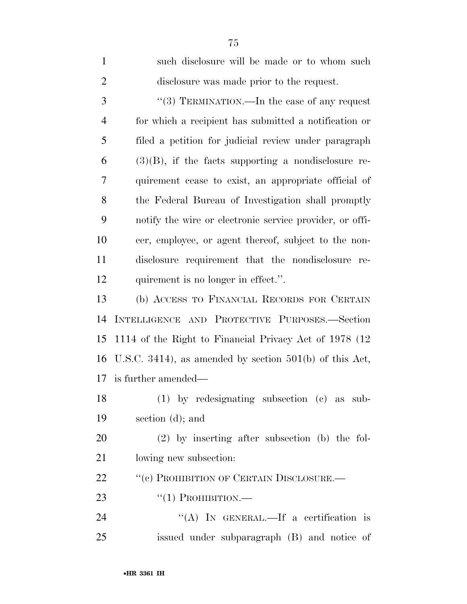| $\mathbf{1}$   | such disclosure will be made or to whom such              |
|----------------|-----------------------------------------------------------|
| $\overline{2}$ | disclosure was made prior to the request.                 |
| 3              | "(3) TERMINATION.—In the case of any request              |
| $\overline{4}$ | for which a recipient has submitted a notification or     |
| 5              | filed a petition for judicial review under paragraph      |
| 6              | $(3)(B)$ , if the facts supporting a nondisclosure re-    |
| 7              | quirement cease to exist, an appropriate official of      |
| 8              | the Federal Bureau of Investigation shall promptly        |
| 9              | notify the wire or electronic service provider, or offi-  |
| 10             | cer, employee, or agent thereof, subject to the non-      |
| 11             | disclosure requirement that the nondisclosure re-         |
| 12             | quirement is no longer in effect.".                       |
| 13             | (b) ACCESS TO FINANCIAL RECORDS FOR CERTAIN               |
| 14             | INTELLIGENCE AND PROTECTIVE PURPOSES.-Section             |
| 15             | 1114 of the Right to Financial Privacy Act of 1978 (12)   |
| 16             | U.S.C. 3414), as amended by section $501(b)$ of this Act, |
| 17             | is further amended—                                       |
| 18             | $(1)$ by redesignating subsection $(e)$ as sub-           |
| 19             | section $(d)$ ; and                                       |
| 20             | $(2)$ by inserting after subsection (b) the fol-          |
| 21             | lowing new subsection:                                    |
| 22             | "(c) PROHIBITION OF CERTAIN DISCLOSURE.—                  |
| 23             | $``(1)$ PROHIBITION.—                                     |
| 24             | "(A) IN GENERAL.—If a certification is                    |
| 25             | issued under subparagraph (B) and notice of               |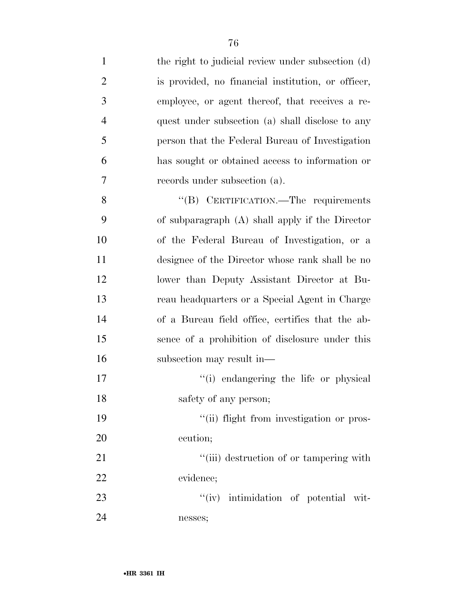| $\mathbf{1}$   | the right to judicial review under subsection (d)  |
|----------------|----------------------------------------------------|
| $\overline{2}$ | is provided, no financial institution, or officer, |
| 3              | employee, or agent thereof, that receives a re-    |
| $\overline{4}$ | quest under subsection (a) shall disclose to any   |
| 5              | person that the Federal Bureau of Investigation    |
| 6              | has sought or obtained access to information or    |
| 7              | records under subsection (a).                      |
| 8              | "(B) CERTIFICATION.—The requirements               |
| 9              | of subparagraph $(A)$ shall apply if the Director  |
| 10             | of the Federal Bureau of Investigation, or a       |
| 11             | designee of the Director whose rank shall be no    |
| 12             | lower than Deputy Assistant Director at Bu-        |
| 13             | reau headquarters or a Special Agent in Charge     |
| 14             | of a Bureau field office, certifies that the ab-   |
| 15             | sence of a prohibition of disclosure under this    |
| 16             | subsection may result in—                          |
| 17             | "(i) endangering the life or physical              |
| 18             | safety of any person;                              |
| 19             | "(ii) flight from investigation or pros-           |
| 20             | ecution;                                           |
| 21             | "(iii) destruction of or tampering with            |
| 22             | evidence;                                          |
| 23             | "(iv) intimidation of potential wit-               |
| 24             | nesses;                                            |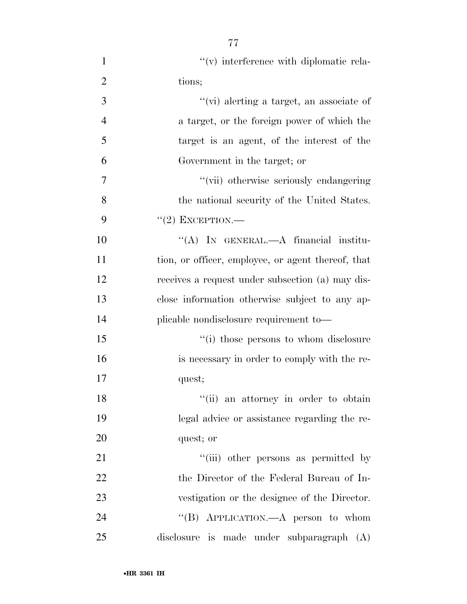| $\mathbf{1}$   | $\lq\lq$ interference with diplomatic rela-        |
|----------------|----------------------------------------------------|
| $\overline{2}$ | tions;                                             |
| 3              | "(vi) alerting a target, an associate of           |
| $\overline{4}$ | a target, or the foreign power of which the        |
| 5              | target is an agent, of the interest of the         |
| 6              | Government in the target; or                       |
| 7              | "(vii) otherwise seriously endangering             |
| 8              | the national security of the United States.        |
| 9              | $``(2)$ EXCEPTION.—                                |
| 10             | "(A) IN GENERAL.—A financial institu-              |
| 11             | tion, or officer, employee, or agent thereof, that |
| 12             | receives a request under subsection (a) may dis-   |
| 13             | close information otherwise subject to any ap-     |
| 14             | plicable nondisclosure requirement to-             |
| 15             | "(i) those persons to whom disclosure              |
| 16             | is necessary in order to comply with the re-       |
| 17             | quest;                                             |
| 18             | "(ii) an attorney in order to obtain               |
| 19             | legal advice or assistance regarding the re-       |
| 20             | quest; or                                          |
| 21             | "(iii) other persons as permitted by               |
| 22             | the Director of the Federal Bureau of In-          |
| 23             | vestigation or the designee of the Director.       |
| 24             | "(B) APPLICATION.—A person to whom                 |
| 25             | disclosure is made under subparagraph (A)          |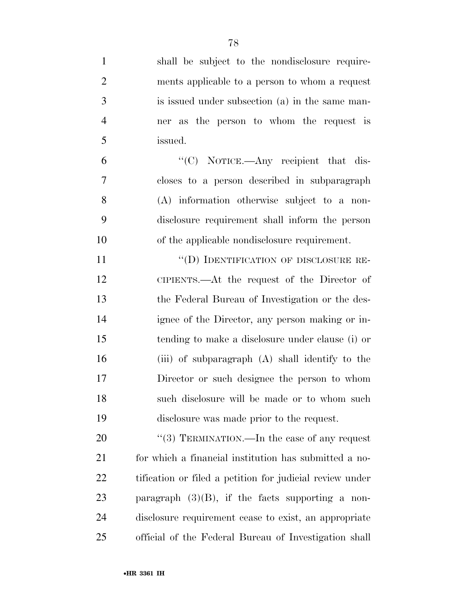| $\mathbf{1}$   | shall be subject to the nondisclosure require-           |
|----------------|----------------------------------------------------------|
| $\mathfrak{2}$ | ments applicable to a person to whom a request           |
| 3              | is issued under subsection (a) in the same man-          |
| $\overline{4}$ | ner as the person to whom the request is                 |
| 5              | issued.                                                  |
| 6              | "(C) NOTICE.—Any recipient that dis-                     |
| 7              | closes to a person described in subparagraph             |
| 8              | $(A)$ information otherwise subject to a non-            |
| 9              | disclosure requirement shall inform the person           |
| 10             | of the applicable nondisclosure requirement.             |
| 11             | "(D) IDENTIFICATION OF DISCLOSURE RE-                    |
| 12             | CIPIENTS.—At the request of the Director of              |
| 13             | the Federal Bureau of Investigation or the des-          |
| 14             | ignee of the Director, any person making or in-          |
| 15             | tending to make a disclosure under clause (i) or         |
| 16             | (iii) of subparagraph (A) shall identify to the          |
| 17             | Director or such designee the person to whom             |
| 18             | such disclosure will be made or to whom such             |
| 19             | disclosure was made prior to the request.                |
| 20             | "(3) TERMINATION.—In the case of any request             |
| 21             | for which a financial institution has submitted a no-    |
| 22             | tification or filed a petition for judicial review under |
| 23             | paragraph $(3)(B)$ , if the facts supporting a non-      |
| 24             | disclosure requirement cease to exist, an appropriate    |
| 25             | official of the Federal Bureau of Investigation shall    |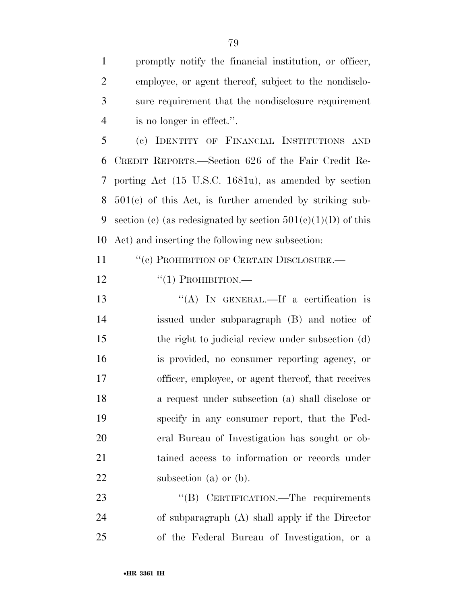promptly notify the financial institution, or officer, employee, or agent thereof, subject to the nondisclo- sure requirement that the nondisclosure requirement is no longer in effect.''.

 (c) IDENTITY OF FINANCIAL INSTITUTIONS AND CREDIT REPORTS.—Section 626 of the Fair Credit Re- porting Act (15 U.S.C. 1681u), as amended by section 501(c) of this Act, is further amended by striking sub-9 section (c) (as redesignated by section  $501(c)(1)(D)$  of this Act) and inserting the following new subsection:

11 "(c) PROHIBITION OF CERTAIN DISCLOSURE.—

12  $\frac{((1) \text{ PROHIBITION}}{((1) \text{ PROHIBITION}}$ 

 ''(A) IN GENERAL.—If a certification is issued under subparagraph (B) and notice of the right to judicial review under subsection (d) is provided, no consumer reporting agency, or officer, employee, or agent thereof, that receives a request under subsection (a) shall disclose or specify in any consumer report, that the Fed- eral Bureau of Investigation has sought or ob- tained access to information or records under 22 subsection (a) or (b).

23 "(B) CERTIFICATION.—The requirements of subparagraph (A) shall apply if the Director of the Federal Bureau of Investigation, or a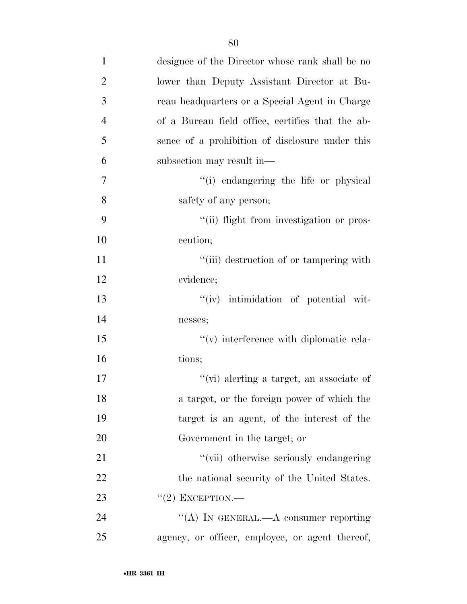| $\mathbf{1}$   | designee of the Director whose rank shall be no     |
|----------------|-----------------------------------------------------|
| $\overline{2}$ | lower than Deputy Assistant Director at Bu-         |
| 3              | reau headquarters or a Special Agent in Charge      |
| $\overline{4}$ | of a Bureau field office, certifies that the ab-    |
| 5              | sence of a prohibition of disclosure under this     |
| 6              | subsection may result in—                           |
| 7              | "(i) endangering the life or physical               |
| 8              | safety of any person;                               |
| 9              | "(ii) flight from investigation or pros-            |
| 10             | ecution;                                            |
| 11             | "(iii) destruction of or tampering with             |
| 12             | evidence;                                           |
| 13             | "(iv) intimidation of potential wit-                |
| 14             | nesses;                                             |
| 15             | $\mathcal{C}(v)$ interference with diplomatic rela- |
| 16             | tions;                                              |
| 17             | "(vi) alerting a target, an associate of            |
| 18             | a target, or the foreign power of which the         |
| 19             | target is an agent, of the interest of the          |
| 20             | Government in the target; or                        |
| 21             | "(vii) otherwise seriously endangering              |
| 22             | the national security of the United States.         |
| 23             | $"(2)$ EXCEPTION.—                                  |
| 24             | "(A) IN GENERAL.—A consumer reporting               |
| 25             | agency, or officer, employee, or agent thereof,     |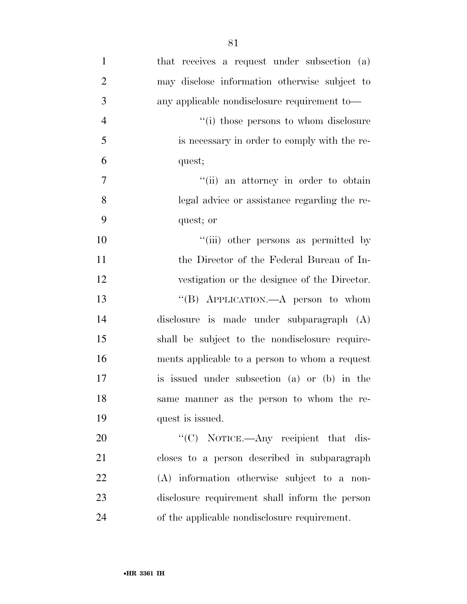| $\mathbf{1}$   | that receives a request under subsection (a)   |
|----------------|------------------------------------------------|
| $\overline{2}$ | may disclose information otherwise subject to  |
| 3              | any applicable nondisclosure requirement to—   |
| $\overline{4}$ | "(i) those persons to whom disclosure          |
| 5              | is necessary in order to comply with the re-   |
| 6              | quest;                                         |
| $\tau$         | "(ii) an attorney in order to obtain           |
| 8              | legal advice or assistance regarding the re-   |
| 9              | quest; or                                      |
| 10             | "(iii) other persons as permitted by           |
| 11             | the Director of the Federal Bureau of In-      |
| 12             | vestigation or the designee of the Director.   |
| 13             | "(B) APPLICATION.—A person to whom             |
| 14             | disclosure is made under subparagraph (A)      |
| 15             | shall be subject to the nondisclosure require- |
| 16             | ments applicable to a person to whom a request |
| 17             | is issued under subsection (a) or (b) in the   |
| 18             | same manner as the person to whom the re-      |
| 19             | quest is issued.                               |
| 20             | " $(C)$ NOTICE.—Any recipient that dis-        |
| 21             | closes to a person described in subparagraph   |
| 22             | (A) information otherwise subject to a non-    |
| 23             | disclosure requirement shall inform the person |
| 24             | of the applicable nondisclosure requirement.   |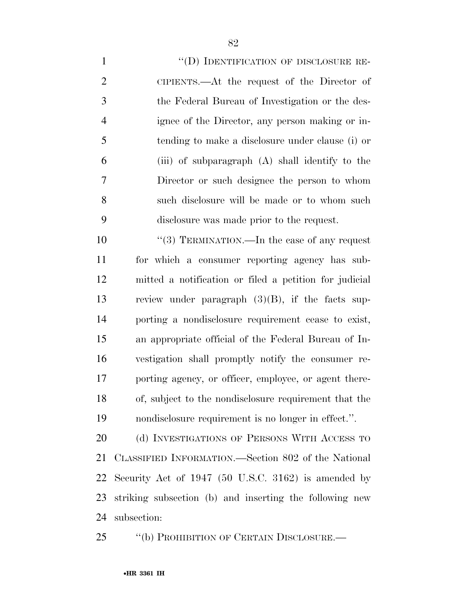1 "(D) IDENTIFICATION OF DISCLOSURE RE- CIPIENTS.—At the request of the Director of the Federal Bureau of Investigation or the des- ignee of the Director, any person making or in- tending to make a disclosure under clause (i) or (iii) of subparagraph (A) shall identify to the Director or such designee the person to whom such disclosure will be made or to whom such disclosure was made prior to the request.

 $\frac{10}{2}$  TERMINATION.—In the case of any request for which a consumer reporting agency has sub- mitted a notification or filed a petition for judicial review under paragraph (3)(B), if the facts sup- porting a nondisclosure requirement cease to exist, an appropriate official of the Federal Bureau of In- vestigation shall promptly notify the consumer re- porting agency, or officer, employee, or agent there- of, subject to the nondisclosure requirement that the nondisclosure requirement is no longer in effect.''.

20 (d) INVESTIGATIONS OF PERSONS WITH ACCESS TO CLASSIFIED INFORMATION.—Section 802 of the National Security Act of 1947 (50 U.S.C. 3162) is amended by striking subsection (b) and inserting the following new subsection:

''(b) PROHIBITION OF CERTAIN DISCLOSURE.—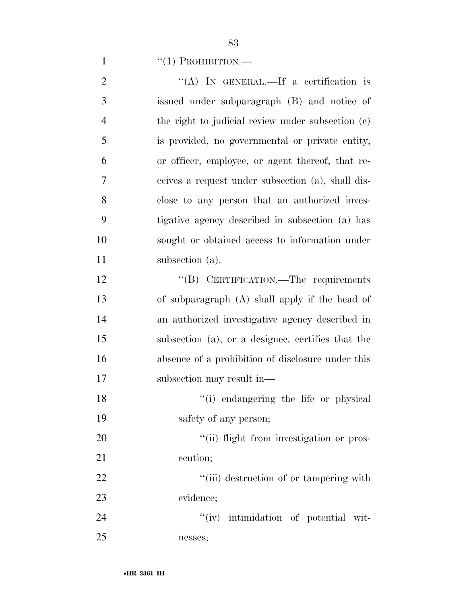1  $``(1)$  PROHIBITION.—

| $\overline{2}$ | "(A) IN GENERAL.—If a certification is            |
|----------------|---------------------------------------------------|
| 3              | issued under subparagraph (B) and notice of       |
| $\overline{4}$ | the right to judicial review under subsection (c) |
| 5              | is provided, no governmental or private entity,   |
| 6              | or officer, employee, or agent thereof, that re-  |
| 7              | ceives a request under subsection (a), shall dis- |
| 8              | close to any person that an authorized inves-     |
| 9              | tigative agency described in subsection (a) has   |
| 10             | sought or obtained access to information under    |
| 11             | subsection (a).                                   |
| 12             | "(B) CERTIFICATION.—The requirements              |
| 13             | of subparagraph (A) shall apply if the head of    |
| 14             | an authorized investigative agency described in   |
| 15             | subsection (a), or a designee, certifies that the |
| 16             | absence of a prohibition of disclosure under this |
| 17             | subsection may result in—                         |
| 18             | "(i) endangering the life or physical             |
| 19             | safety of any person;                             |
| 20             | "(ii) flight from investigation or pros-          |
| 21             | ecution;                                          |
| 22             | "(iii) destruction of or tampering with           |
| 23             | evidence;                                         |
| 24             | "(iv) intimidation of potential wit-              |
| 25             | nesses;                                           |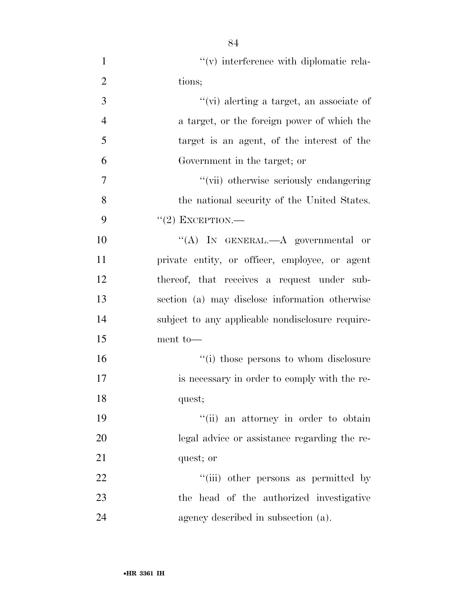| $\mathbf{1}$   | $\mathcal{C}(v)$ interference with diplomatic rela- |
|----------------|-----------------------------------------------------|
| $\overline{2}$ | tions;                                              |
| 3              | "(vi) alerting a target, an associate of            |
| $\overline{4}$ | a target, or the foreign power of which the         |
| 5              | target is an agent, of the interest of the          |
| 6              | Government in the target; or                        |
| 7              | "(vii) otherwise seriously endangering              |
| 8              | the national security of the United States.         |
| 9              | $``(2)$ EXCEPTION.—                                 |
| 10             | "(A) IN GENERAL.—A governmental or                  |
| 11             | private entity, or officer, employee, or agent      |
| 12             | thereof, that receives a request under sub-         |
| 13             | section (a) may disclose information otherwise      |
| 14             | subject to any applicable nondisclosure require-    |
| 15             | ment to-                                            |
| 16             | "(i) those persons to whom disclosure               |
| 17             | is necessary in order to comply with the re-        |
| 18             | quest;                                              |
| 19             | "(ii) an attorney in order to obtain                |
| 20             | legal advice or assistance regarding the re-        |
| 21             | quest; or                                           |
| 22             | "(iii) other persons as permitted by                |
| 23             | the head of the authorized investigative            |
| 24             | agency described in subsection (a).                 |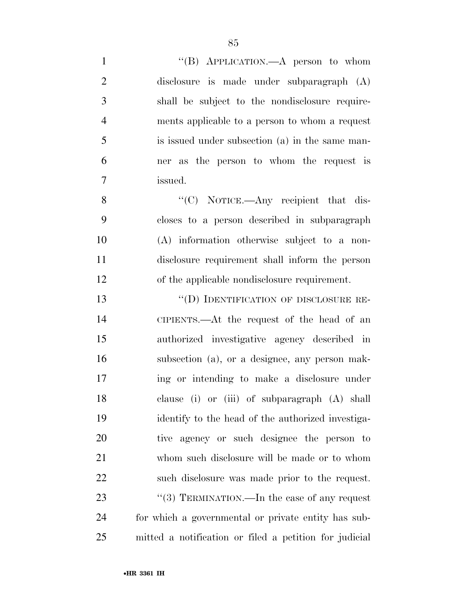| $\mathbf{1}$   | "(B) APPLICATION.—A person to whom                     |
|----------------|--------------------------------------------------------|
| $\overline{2}$ | disclosure is made under subparagraph (A)              |
| 3              | shall be subject to the nondisclosure require-         |
| $\overline{4}$ | ments applicable to a person to whom a request         |
| 5              | is issued under subsection (a) in the same man-        |
| 6              | ner as the person to whom the request is               |
| $\overline{7}$ | issued.                                                |
| 8              | " $(C)$ NOTICE.—Any recipient that dis-                |
| 9              | closes to a person described in subparagraph           |
| 10             | $(A)$ information otherwise subject to a non-          |
| 11             | disclosure requirement shall inform the person         |
| 12             | of the applicable nondisclosure requirement.           |
| 13             | "(D) IDENTIFICATION OF DISCLOSURE RE-                  |
| 14             | CIPIENTS.—At the request of the head of an             |
| 15             | authorized investigative agency described in           |
| 16             | subsection (a), or a designee, any person mak-         |
| 17             | ing or intending to make a disclosure under            |
| 18             | clause (i) or (iii) of subparagraph (A) shall          |
| 19             | identify to the head of the authorized investiga-      |
| 20             | tive agency or such designee the person to             |
| 21             | whom such disclosure will be made or to whom           |
| 22             | such disclosure was made prior to the request.         |
| 23             | "(3) TERMINATION.—In the case of any request           |
| 24             | for which a governmental or private entity has sub-    |
| 25             | mitted a notification or filed a petition for judicial |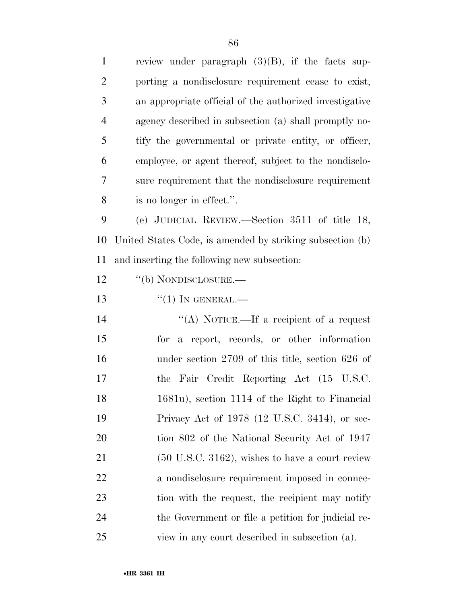| $\mathbf{1}$   | review under paragraph $(3)(B)$ , if the facts sup-         |
|----------------|-------------------------------------------------------------|
| $\overline{2}$ | porting a nondisclosure requirement cease to exist,         |
| 3              | an appropriate official of the authorized investigative     |
| $\overline{4}$ | agency described in subsection (a) shall promptly no-       |
| 5              | tify the governmental or private entity, or officer,        |
| 6              | employee, or agent thereof, subject to the nondisclo-       |
| 7              | sure requirement that the nondisclosure requirement         |
| 8              | is no longer in effect.".                                   |
| 9              | (e) JUDICIAL REVIEW.—Section 3511 of title 18,              |
| 10             | United States Code, is amended by striking subsection (b)   |
| 11             | and inserting the following new subsection:                 |
| 12             | "(b) NONDISCLOSURE.—                                        |
| 13             | $``(1)$ In GENERAL.—                                        |
| 14             | "(A) NOTICE.—If a recipient of a request                    |
| 15             | for a report, records, or other information                 |
| 16             | under section $2709$ of this title, section $626$ of        |
| 17             | the Fair Credit Reporting Act (15 U.S.C.                    |
| 18             | 1681u), section 1114 of the Right to Financial              |
| 19             | Privacy Act of 1978 (12 U.S.C. 3414), or sec-               |
| 20             | tion 802 of the National Security Act of 1947               |
| 21             | $(50 \text{ U.S.C. } 3162)$ , wishes to have a court review |
| 22             | a nondisclosure requirement imposed in connec-              |
| 23             | tion with the request, the recipient may notify             |
| 24             | the Government or file a petition for judicial re-          |
| 25             | view in any court described in subsection (a).              |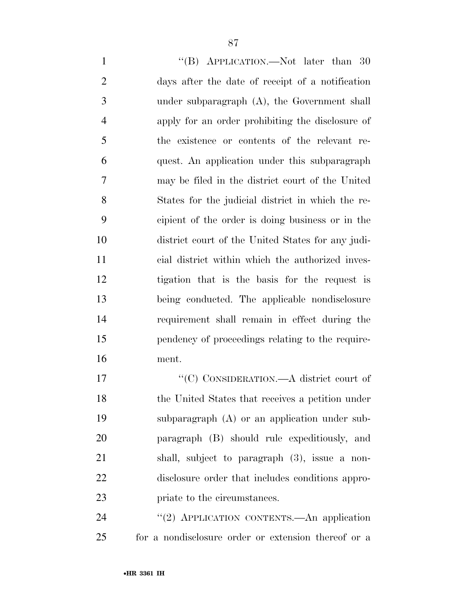1 ''(B) APPLICATION.—Not later than 30 days after the date of receipt of a notification under subparagraph (A), the Government shall apply for an order prohibiting the disclosure of the existence or contents of the relevant re- quest. An application under this subparagraph may be filed in the district court of the United States for the judicial district in which the re- cipient of the order is doing business or in the district court of the United States for any judi- cial district within which the authorized inves- tigation that is the basis for the request is being conducted. The applicable nondisclosure requirement shall remain in effect during the pendency of proceedings relating to the require-ment.

 $C(C)$  CONSIDERATION.—A district court of the United States that receives a petition under subparagraph (A) or an application under sub- paragraph (B) should rule expeditiously, and shall, subject to paragraph (3), issue a non- disclosure order that includes conditions appro-priate to the circumstances.

24 "(2) APPLICATION CONTENTS.—An application for a nondisclosure order or extension thereof or a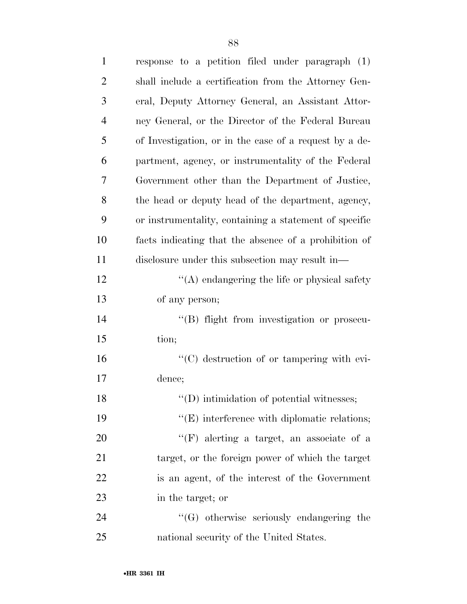| $\mathbf{1}$   | response to a petition filed under paragraph (1)       |
|----------------|--------------------------------------------------------|
| $\overline{2}$ | shall include a certification from the Attorney Gen-   |
| 3              | eral, Deputy Attorney General, an Assistant Attor-     |
| $\overline{4}$ | ney General, or the Director of the Federal Bureau     |
| 5              | of Investigation, or in the case of a request by a de- |
| 6              | partment, agency, or instrumentality of the Federal    |
| 7              | Government other than the Department of Justice,       |
| 8              | the head or deputy head of the department, agency,     |
| 9              | or instrumentality, containing a statement of specific |
| 10             | facts indicating that the absence of a prohibition of  |
| 11             | disclosure under this subsection may result in—        |
| 12             | $\lq\lq$ endangering the life or physical safety       |
| 13             | of any person;                                         |
| 14             | "(B) flight from investigation or prosecu-             |
| 15             | tion;                                                  |
| 16             | "(C) destruction of or tampering with evi-             |
| 17             | dence;                                                 |
| 18             | $\lq\lq$ (D) intimidation of potential witnesses;      |
| 19             | $\lq\lq$ (E) interference with diplomatic relations;   |
| 20             | $\lq\lq(F)$ alerting a target, an associate of a       |
| 21             | target, or the foreign power of which the target       |
| 22             | is an agent, of the interest of the Government         |
| 23             | in the target; or                                      |
| 24             | $\lq\lq(G)$ otherwise seriously endangering the        |
| 25             | national security of the United States.                |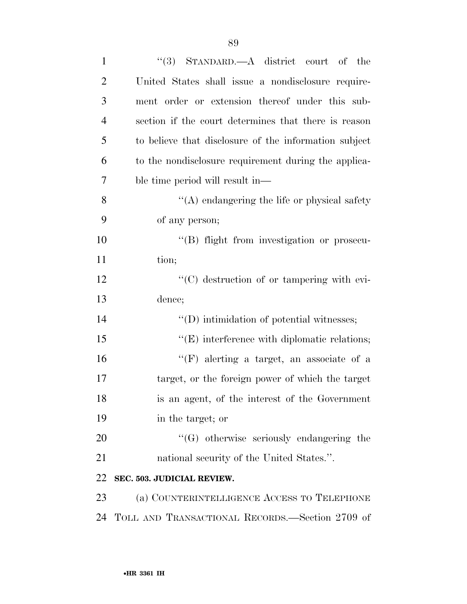| $\mathbf{1}$   | "(3) STANDARD.—A district court of the                |
|----------------|-------------------------------------------------------|
| $\overline{2}$ | United States shall issue a nondisclosure require-    |
| 3              | ment order or extension thereof under this sub-       |
| $\overline{4}$ | section if the court determines that there is reason  |
| 5              | to believe that disclosure of the information subject |
| 6              | to the nondisclosure requirement during the applica-  |
| $\overline{7}$ | ble time period will result in—                       |
| 8              | $\lq\lq$ endangering the life or physical safety      |
| 9              | of any person;                                        |
| 10             | "(B) flight from investigation or prosecu-            |
| 11             | tion;                                                 |
| 12             | $\lq\lq$ destruction of or tampering with evi-        |
| 13             | dence;                                                |
| 14             | $\lq\lq$ (D) intimidation of potential witnesses;     |
| 15             | $\lq\lq$ (E) interference with diplomatic relations;  |
| 16             | "(F) alerting a target, an associate of a             |
| 17             | target, or the foreign power of which the target      |
| 18             | is an agent, of the interest of the Government        |
| 19             | in the target; or                                     |
| 20             | $\lq\lq(G)$ otherwise seriously endangering the       |
| 21             | national security of the United States.".             |
| 22             | SEC. 503. JUDICIAL REVIEW.                            |
| 23             | (a) COUNTERINTELLIGENCE ACCESS TO TELEPHONE           |
| 24             | TOLL AND TRANSACTIONAL RECORDS.—Section 2709 of       |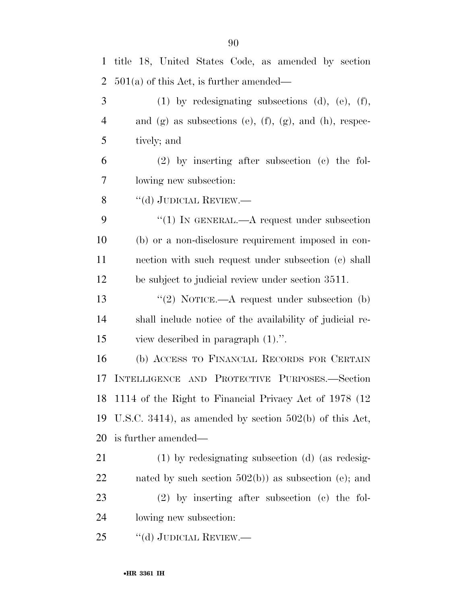| $\mathbf{1}$   | title 18, United States Code, as amended by section             |
|----------------|-----------------------------------------------------------------|
| $\overline{2}$ | $501(a)$ of this Act, is further amended—                       |
| 3              | $(1)$ by redesignating subsections $(d)$ , $(e)$ , $(f)$ ,      |
| $\overline{4}$ | and (g) as subsections (e), $(f)$ , $(g)$ , and $(h)$ , respec- |
| 5              | tively; and                                                     |
| 6              | $(2)$ by inserting after subsection $(e)$ the fol-              |
| 7              | lowing new subsection:                                          |
| 8              | "(d) JUDICIAL REVIEW.—                                          |
| 9              | "(1) IN GENERAL.—A request under subsection                     |
| 10             | (b) or a non-disclosure requirement imposed in con-             |
| 11             | nection with such request under subsection (c) shall            |
| 12             | be subject to judicial review under section 3511.               |
| 13             | "(2) NOTICE.— $A$ request under subsection (b)                  |
| 14             | shall include notice of the availability of judicial re-        |
| 15             | view described in paragraph $(1)$ .".                           |
| 16             | (b) ACCESS TO FINANCIAL RECORDS FOR CERTAIN                     |
| 17             | INTELLIGENCE AND PROTECTIVE PURPOSES.-Section                   |
|                | 18 1114 of the Right to Financial Privacy Act of 1978 (12)      |
| 19             | U.S.C. 3414), as amended by section $502(b)$ of this Act,       |
| 20             | is further amended—                                             |
| 21             | $(1)$ by redesignating subsection $(d)$ (as redesig-            |
| 22             | nated by such section $502(b)$ as subsection (e); and           |
| 23             | $(2)$ by inserting after subsection $(e)$ the fol-              |
| 24             | lowing new subsection:                                          |
| 25             | $``$ (d) JUDICIAL REVIEW.—                                      |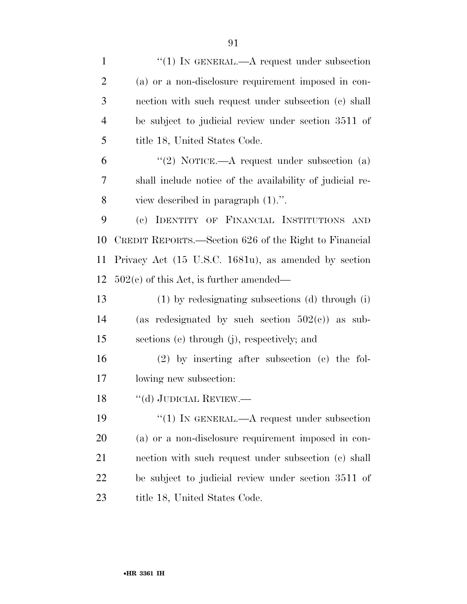| $\mathbf{1}$   | "(1) IN GENERAL.—A request under subsection              |
|----------------|----------------------------------------------------------|
| $\overline{2}$ | (a) or a non-disclosure requirement imposed in con-      |
| 3              | nection with such request under subsection (c) shall     |
| $\overline{4}$ | be subject to judicial review under section 3511 of      |
| 5              | title 18, United States Code.                            |
| 6              | "(2) NOTICE.—A request under subsection (a)              |
| 7              | shall include notice of the availability of judicial re- |
| 8              | view described in paragraph $(1)$ .".                    |
| 9              | IDENTITY OF FINANCIAL INSTITUTIONS AND<br>(e)            |
| 10             | CREDIT REPORTS.—Section 626 of the Right to Financial    |
| 11             | Privacy Act (15 U.S.C. 1681u), as amended by section     |
| 12             | $502(c)$ of this Act, is further amended—                |
| 13             | (1) by redesignating subsections (d) through (i)         |
| 14             | (as redesignated by such section $502(c)$ ) as sub-      |
| 15             | sections (e) through (j), respectively; and              |
| 16             | $(2)$ by inserting after subsection $(e)$ the fol-       |
| 17             | lowing new subsection:                                   |
| 18             | $\lq\lq(d)$ JUDICIAL REVIEW.—                            |
| 19             | "(1) IN GENERAL.— $A$ request under subsection           |
| <b>20</b>      | (a) or a non-disclosure requirement imposed in con-      |
| 21             | nection with such request under subsection (c) shall     |
| 22             | be subject to judicial review under section 3511 of      |
| 23             | title 18, United States Code.                            |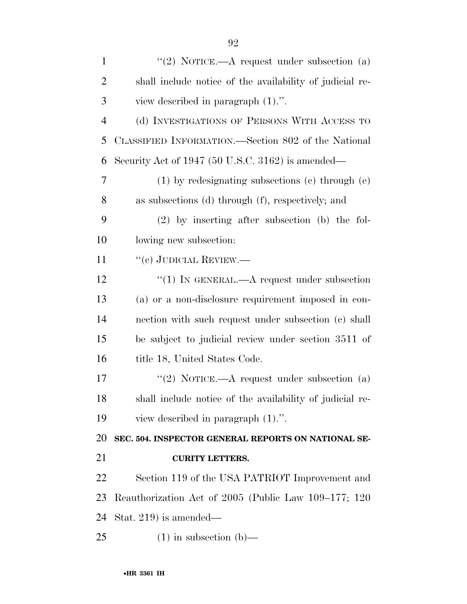| $\mathbf{1}$   | "(2) NOTICE.—A request under subsection $(a)$            |
|----------------|----------------------------------------------------------|
| $\overline{2}$ | shall include notice of the availability of judicial re- |
| 3              | view described in paragraph $(1)$ .".                    |
| $\overline{4}$ | (d) INVESTIGATIONS OF PERSONS WITH ACCESS TO             |
| 5              | CLASSIFIED INFORMATION.—Section 802 of the National      |
| 6              | Security Act of 1947 (50 U.S.C. 3162) is amended—        |
| 7              | $(1)$ by redesignating subsections $(e)$ through $(e)$   |
| 8              | as subsections (d) through (f), respectively; and        |
| 9              | $(2)$ by inserting after subsection (b) the fol-         |
| 10             | lowing new subsection:                                   |
| 11             | $``$ (c) JUDICIAL REVIEW.—                               |
| 12             | "(1) IN GENERAL.— $A$ request under subsection           |
| 13             | (a) or a non-disclosure requirement imposed in con-      |
| 14             | nection with such request under subsection (c) shall     |
| 15             | be subject to judicial review under section 3511 of      |
| 16             | title 18, United States Code.                            |
| 17             | "(2) NOTICE.—A request under subsection (a)              |
| 18             | shall include notice of the availability of judicial re- |
| 19             | view described in paragraph $(1)$ .".                    |
| 20             | SEC. 504. INSPECTOR GENERAL REPORTS ON NATIONAL SE-      |
| 21             | <b>CURITY LETTERS.</b>                                   |
| 22             | Section 119 of the USA PATRIOT Improvement and           |
| 23             | Reauthorization Act of 2005 (Public Law 109–177; 120     |
| 24             | Stat. 219) is amended—                                   |

(1) in subsection (b)—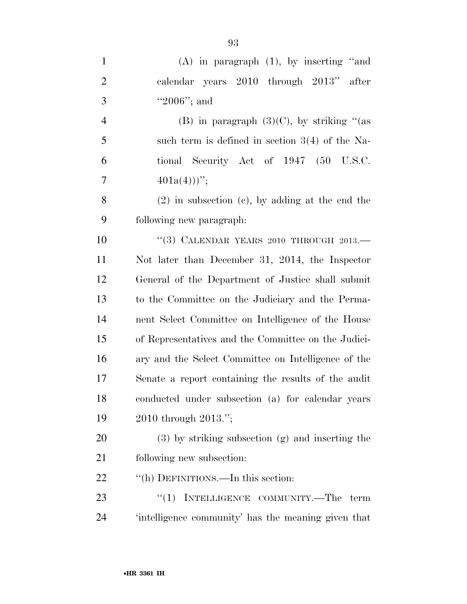| $\mathbf{1}$   | $(A)$ in paragraph $(1)$ , by inserting "and         |
|----------------|------------------------------------------------------|
| $\overline{2}$ | calendar years 2010 through 2013" after              |
| 3              | "2006"; and                                          |
| $\overline{4}$ | (B) in paragraph $(3)(C)$ , by striking "(as         |
| 5              | such term is defined in section $3(4)$ of the Na-    |
| 6              | tional Security Act of 1947 (50 U.S.C.               |
| $\overline{7}$ | $401a(4))$ ";                                        |
| 8              | $(2)$ in subsection $(e)$ , by adding at the end the |
| 9              | following new paragraph:                             |
| 10             | "(3) CALENDAR YEARS 2010 THROUGH $2013$ .            |
| 11             | Not later than December 31, 2014, the Inspector      |
| 12             | General of the Department of Justice shall submit    |
| 13             | to the Committee on the Judiciary and the Perma-     |
| 14             | nent Select Committee on Intelligence of the House   |
| 15             | of Representatives and the Committee on the Judici-  |
| 16             | ary and the Select Committee on Intelligence of the  |
| 17             | Senate a report containing the results of the audit  |
| 18             | conducted under subsection (a) for calendar years    |
| 19             | 2010 through 2013.";                                 |
| 20             | $(3)$ by striking subsection $(g)$ and inserting the |
| 21             | following new subsection:                            |
| 22             | "(h) DEFINITIONS.—In this section:                   |
| 23             | INTELLIGENCE COMMUNITY.—The term<br>``(1)            |

'intelligence community' has the meaning given that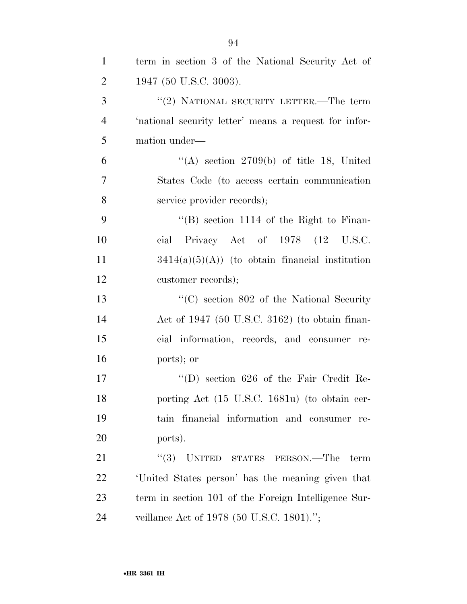| $\mathbf{1}$   | term in section 3 of the National Security Act of     |
|----------------|-------------------------------------------------------|
| $\overline{2}$ | 1947 (50 U.S.C. 3003).                                |
| 3              | "(2) NATIONAL SECURITY LETTER.—The term               |
| $\overline{4}$ | 'national security letter' means a request for infor- |
| 5              | mation under—                                         |
| 6              | "(A) section 2709(b) of title 18, United              |
| $\overline{7}$ | States Code (to access certain communication          |
| 8              | service provider records);                            |
| 9              | "(B) section $1114$ of the Right to Finan-            |
| 10             | cial Privacy Act of 1978 (12 U.S.C.                   |
| 11             | $3414(a)(5)(A)$ (to obtain financial institution      |
| 12             | customer records);                                    |
| 13             | " $(C)$ section 802 of the National Security"         |
| 14             | Act of $1947$ (50 U.S.C. 3162) (to obtain finan-      |
| 15             | cial information, records, and consumer re-           |
| 16             | ports); or                                            |
| 17             | $\lq\lq$ (D) section 626 of the Fair Credit Re-       |
| 18             | porting Act (15 U.S.C. 1681u) (to obtain cer-         |
| 19             | tain financial information and consumer re-           |
| 20             | ports).                                               |
| 21             | $``(3)$ UNITED STATES PERSON.—The<br>term             |
| 22             | United States person' has the meaning given that      |
| 23             | term in section 101 of the Foreign Intelligence Sur-  |
| 24             | veillance Act of 1978 (50 U.S.C. 1801).";             |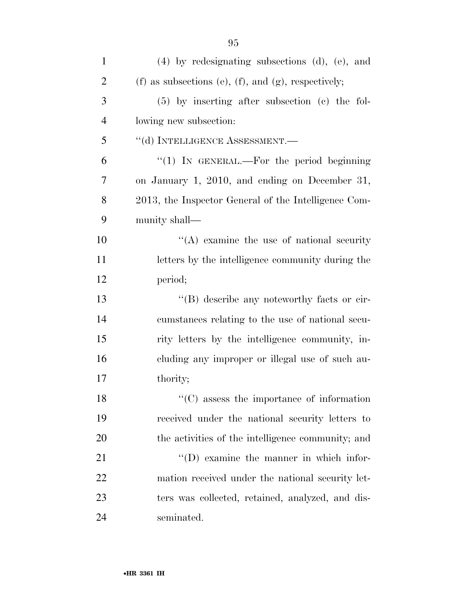| $\mathbf{1}$   | $(4)$ by redesignating subsections $(d)$ , $(e)$ , and |
|----------------|--------------------------------------------------------|
| $\overline{2}$ | (f) as subsections (e), (f), and (g), respectively;    |
| 3              | $(5)$ by inserting after subsection $(e)$ the fol-     |
| $\overline{4}$ | lowing new subsection:                                 |
| 5              | "(d) INTELLIGENCE ASSESSMENT.-                         |
| 6              | " $(1)$ IN GENERAL.—For the period beginning           |
| 7              | on January 1, 2010, and ending on December 31,         |
| 8              | 2013, the Inspector General of the Intelligence Com-   |
| 9              | munity shall—                                          |
| 10             | $\lq\lq$ examine the use of national security          |
| 11             | letters by the intelligence community during the       |
| 12             | period;                                                |
| 13             | "(B) describe any noteworthy facts or cir-             |
| 14             | cumstances relating to the use of national secu-       |
| 15             | rity letters by the intelligence community, in-        |
| 16             | cluding any improper or illegal use of such au-        |
| 17             | thority;                                               |
| 18             | $\lq\lq$ (C) assess the importance of information      |
| 19             | received under the national security letters to        |
| 20             | the activities of the intelligence community; and      |
| 21             | $\lq\lq$ (D) examine the manner in which infor-        |
| 22             | mation received under the national security let-       |
| 23             | ters was collected, retained, analyzed, and dis-       |
| 24             | seminated.                                             |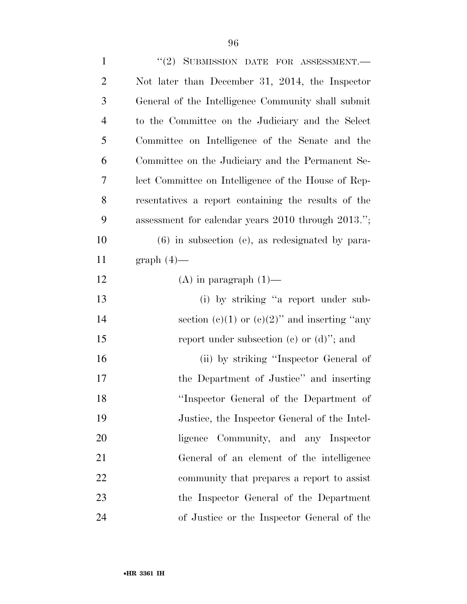| $\mathbf{1}$   | "(2) SUBMISSION DATE FOR ASSESSMENT.-               |
|----------------|-----------------------------------------------------|
| $\overline{2}$ | Not later than December 31, 2014, the Inspector     |
| 3              | General of the Intelligence Community shall submit  |
| $\overline{4}$ | to the Committee on the Judiciary and the Select    |
| 5              | Committee on Intelligence of the Senate and the     |
| 6              | Committee on the Judiciary and the Permanent Se-    |
| 7              | lect Committee on Intelligence of the House of Rep- |
| 8              | resentatives a report containing the results of the |
| 9              | assessment for calendar years 2010 through 2013.";  |
| 10             | $(6)$ in subsection (e), as redesignated by para-   |
| 11             | $graph(4)$ —                                        |
| 12             | $(A)$ in paragraph $(1)$ —                          |
| 13             | (i) by striking "a report under sub-                |
| 14             | section (c)(1) or (c)(2)" and inserting "any        |
| 15             | report under subsection (c) or $(d)$ "; and         |
| 16             | (ii) by striking "Inspector General of              |
| 17             | the Department of Justice" and inserting            |
| 18             | "Inspector General of the Department of             |
| 19             | Justice, the Inspector General of the Intel-        |
| 20             | ligence Community, and any Inspector                |
| 21             | General of an element of the intelligence           |
| 22             | community that prepares a report to assist          |
| 23             | the Inspector General of the Department             |
| 24             | of Justice or the Inspector General of the          |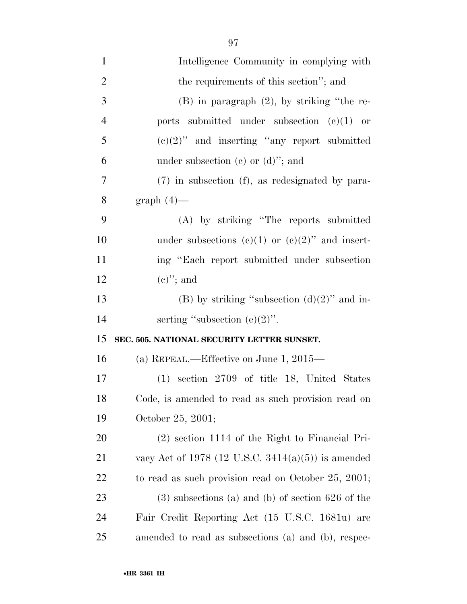| $\mathbf{1}$   | Intelligence Community in complying with            |
|----------------|-----------------------------------------------------|
| $\overline{2}$ | the requirements of this section"; and              |
| 3              | $(B)$ in paragraph $(2)$ , by striking "the re-     |
| $\overline{4}$ | ports submitted under subsection $(e)(1)$ or        |
| 5              | $(e)(2)$ " and inserting "any report submitted      |
| 6              | under subsection (c) or $(d)$ "; and                |
| $\overline{7}$ | (7) in subsection (f), as redesignated by para-     |
| 8              | $graph(4)$ —                                        |
| 9              | (A) by striking "The reports submitted              |
| 10             | under subsections (e)(1) or (e)(2)" and insert-     |
| 11             | ing "Each report submitted under subsection"        |
| 12             | $(e)$ "; and                                        |
| 13             | (B) by striking "subsection $(d)(2)$ " and in-      |
| 14             | serting "subsection $(e)(2)$ ".                     |
| 15             | SEC. 505. NATIONAL SECURITY LETTER SUNSET.          |
| 16             | (a) REPEAL.—Effective on June 1, $2015$ —           |
| 17             | (1) section 2709 of title 18, United States         |
| 18             | Code, is amended to read as such provision read on  |
| 19             | October 25, 2001;                                   |
| 20             | $(2)$ section 1114 of the Right to Financial Pri-   |
| 21             | vacy Act of 1978 (12 U.S.C. 3414(a)(5)) is amended  |
| 22             | to read as such provision read on October 25, 2001; |
| 23             | $(3)$ subsections (a) and (b) of section 626 of the |
| 24             | Fair Credit Reporting Act (15 U.S.C. 1681u) are     |
| 25             | amended to read as subsections (a) and (b), respec- |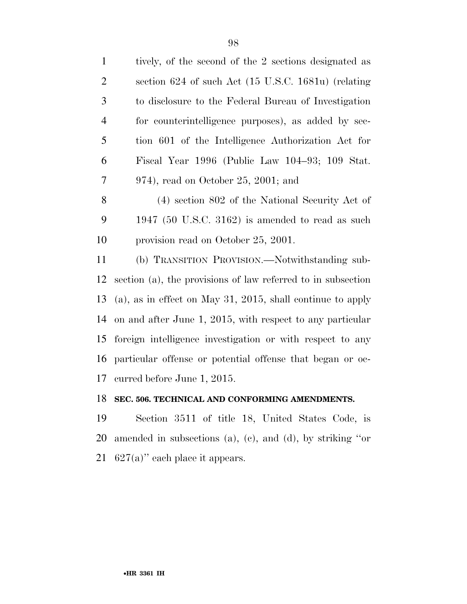| $\mathbf{1}$   | tively, of the second of the 2 sections designated as        |
|----------------|--------------------------------------------------------------|
| $\mathfrak{2}$ | section 624 of such Act (15 U.S.C. 1681u) (relating          |
| 3              | to disclosure to the Federal Bureau of Investigation         |
| $\overline{4}$ | for counterintelligence purposes), as added by sec-          |
| 5              | tion 601 of the Intelligence Authorization Act for           |
| 6              | Fiscal Year 1996 (Public Law 104–93; 109 Stat.               |
| $\tau$         | $974$ , read on October 25, 2001; and                        |
| $8\phantom{1}$ | (4) section 802 of the National Security Act of              |
| 9              | 1947 (50 U.S.C. 3162) is amended to read as such             |
| 10             | provision read on October 25, 2001.                          |
| 11             | (b) TRANSITION PROVISION.—Notwithstanding sub-               |
| 12             | section (a), the provisions of law referred to in subsection |
| 13             | (a), as in effect on May 31, 2015, shall continue to apply   |
| 14             | on and after June 1, 2015, with respect to any particular    |
| 15             | foreign intelligence investigation or with respect to any    |
| 16             | particular offense or potential offense that began or oc-    |
| 17             | curred before June 1, 2015.                                  |
|                |                                                              |

## **SEC. 506. TECHNICAL AND CONFORMING AMENDMENTS.**

 Section 3511 of title 18, United States Code, is amended in subsections (a), (c), and (d), by striking ''or 627(a)'' each place it appears.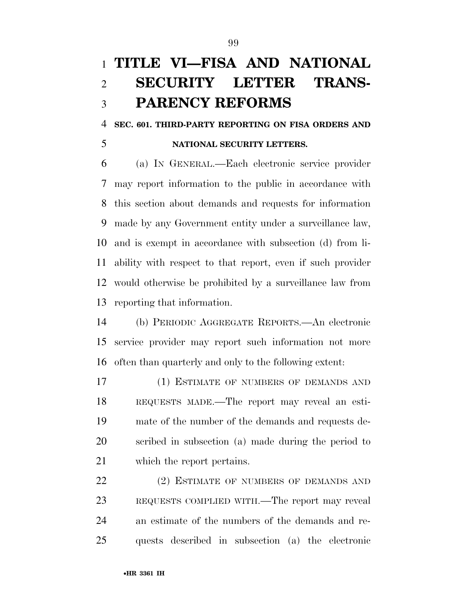# **TITLE VI—FISA AND NATIONAL SECURITY LETTER TRANS-PARENCY REFORMS**

#### **SEC. 601. THIRD-PARTY REPORTING ON FISA ORDERS AND**

#### **NATIONAL SECURITY LETTERS.**

 (a) IN GENERAL.—Each electronic service provider may report information to the public in accordance with this section about demands and requests for information made by any Government entity under a surveillance law, and is exempt in accordance with subsection (d) from li- ability with respect to that report, even if such provider would otherwise be prohibited by a surveillance law from reporting that information.

 (b) PERIODIC AGGREGATE REPORTS.—An electronic service provider may report such information not more often than quarterly and only to the following extent:

 (1) ESTIMATE OF NUMBERS OF DEMANDS AND REQUESTS MADE.—The report may reveal an esti- mate of the number of the demands and requests de- scribed in subsection (a) made during the period to which the report pertains.

22 (2) ESTIMATE OF NUMBERS OF DEMANDS AND REQUESTS COMPLIED WITH.—The report may reveal an estimate of the numbers of the demands and re-quests described in subsection (a) the electronic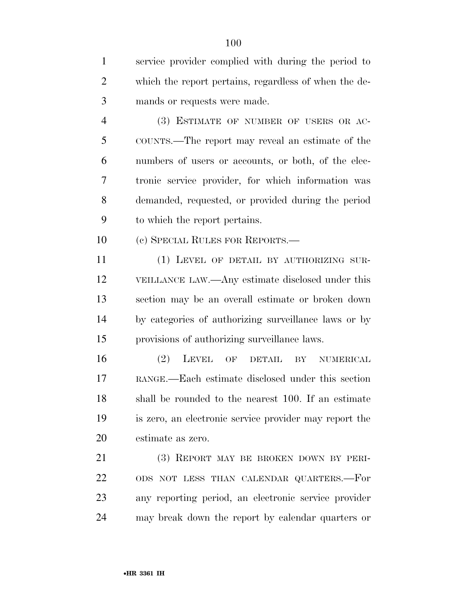service provider complied with during the period to which the report pertains, regardless of when the de-mands or requests were made.

 (3) ESTIMATE OF NUMBER OF USERS OR AC- COUNTS.—The report may reveal an estimate of the numbers of users or accounts, or both, of the elec- tronic service provider, for which information was demanded, requested, or provided during the period to which the report pertains.

(c) SPECIAL RULES FOR REPORTS.—

 (1) LEVEL OF DETAIL BY AUTHORIZING SUR- VEILLANCE LAW.—Any estimate disclosed under this section may be an overall estimate or broken down by categories of authorizing surveillance laws or by provisions of authorizing surveillance laws.

 (2) LEVEL OF DETAIL BY NUMERICAL RANGE.—Each estimate disclosed under this section shall be rounded to the nearest 100. If an estimate is zero, an electronic service provider may report the estimate as zero.

 (3) REPORT MAY BE BROKEN DOWN BY PERI- ODS NOT LESS THAN CALENDAR QUARTERS.—For any reporting period, an electronic service provider may break down the report by calendar quarters or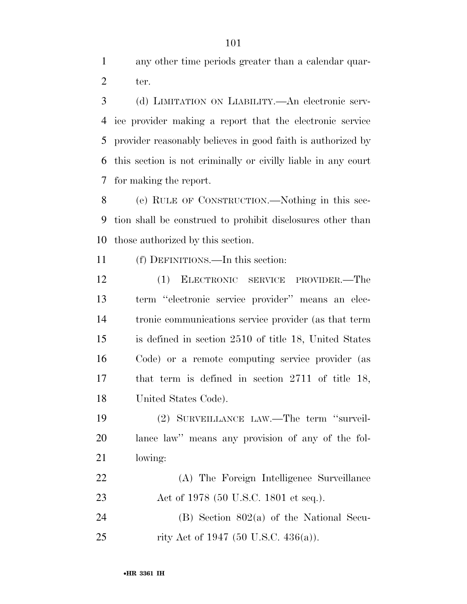any other time periods greater than a calendar quar-ter.

 (d) LIMITATION ON LIABILITY.—An electronic serv- ice provider making a report that the electronic service provider reasonably believes in good faith is authorized by this section is not criminally or civilly liable in any court for making the report.

 (e) RULE OF CONSTRUCTION.—Nothing in this sec- tion shall be construed to prohibit disclosures other than those authorized by this section.

(f) DEFINITIONS.—In this section:

 (1) ELECTRONIC SERVICE PROVIDER.—The term ''electronic service provider'' means an elec- tronic communications service provider (as that term is defined in section 2510 of title 18, United States Code) or a remote computing service provider (as that term is defined in section 2711 of title 18, United States Code).

 (2) SURVEILLANCE LAW.—The term ''surveil- lance law'' means any provision of any of the fol-lowing:

 (A) The Foreign Intelligence Surveillance 23 Act of 1978 (50 U.S.C. 1801 et seq.).

 (B) Section 802(a) of the National Secu-25 rity Act of 1947 (50 U.S.C. 436(a)).

•**HR 3361 IH**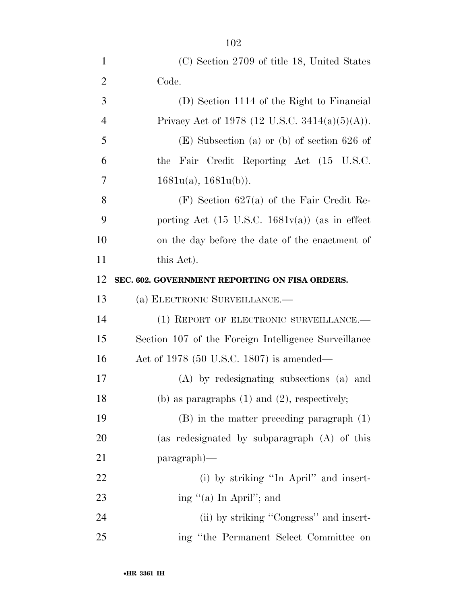| $\mathbf{1}$   | (C) Section 2709 of title 18, United States    |
|----------------|------------------------------------------------|
| $\overline{2}$ | Code.                                          |
| 3              | (D) Section 1114 of the Right to Financial     |
| 4              | Privacy Act of 1978 (12 U.S.C. 3414(a)(5)(A)). |
| 5              | $(E)$ Subsection (a) or (b) of section 626 of  |
| 6              | the Fair Credit Reporting Act (15 U.S.C.       |
|                |                                                |

 (F) Section 627(a) of the Fair Credit Re- porting Act (15 U.S.C. 1681v(a)) (as in effect on the day before the date of the enactment of 11 this Act).

#### **SEC. 602. GOVERNMENT REPORTING ON FISA ORDERS.**

## (a) ELECTRONIC SURVEILLANCE.—

7  $1681u(a), 1681u(b)$ .

14 (1) REPORT OF ELECTRONIC SURVEILLANCE. Section 107 of the Foreign Intelligence Surveillance Act of 1978 (50 U.S.C. 1807) is amended—

 (A) by redesignating subsections (a) and (b) as paragraphs (1) and (2), respectively;

 (B) in the matter preceding paragraph (1) (as redesignated by subparagraph (A) of this paragraph)—

22 (i) by striking "In April" and insert-23 ing "(a) In April"; and

24 (ii) by striking "Congress" and insert-ing ''the Permanent Select Committee on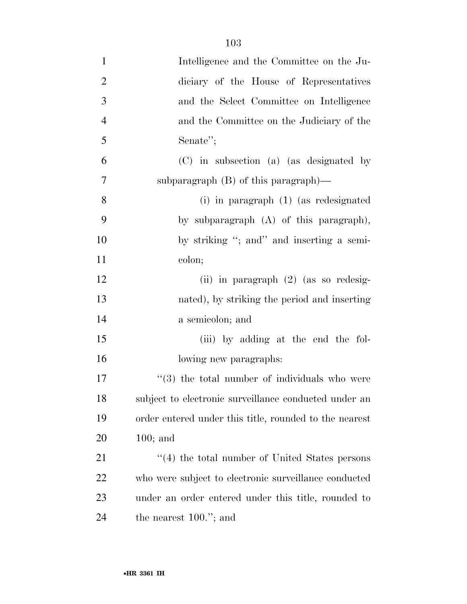| $\mathbf{1}$   | Intelligence and the Committee on the Ju-                     |
|----------------|---------------------------------------------------------------|
| $\overline{2}$ | diciary of the House of Representatives                       |
| 3              | and the Select Committee on Intelligence                      |
| $\overline{4}$ | and the Committee on the Judiciary of the                     |
| 5              | Senate";                                                      |
| 6              | (C) in subsection (a) (as designated by                       |
| $\tau$         | subparagraph $(B)$ of this paragraph)—                        |
| 8              | $(i)$ in paragraph $(1)$ (as redesignated                     |
| 9              | by subparagraph (A) of this paragraph),                       |
| 10             | by striking "; and" and inserting a semi-                     |
| 11             | colon;                                                        |
| 12             | (ii) in paragraph $(2)$ (as so redesig-                       |
| 13             | nated), by striking the period and inserting                  |
| 14             | a semicolon; and                                              |
| 15             | (iii) by adding at the end the fol-                           |
| 16             | lowing new paragraphs:                                        |
| 17             | $\cdot\cdot\cdot(3)$ the total number of individuals who were |
| 18             | subject to electronic surveillance conducted under an         |
| 19             | order entered under this title, rounded to the nearest        |
| 20             | $100;$ and                                                    |
| 21             | $\cdot$ (4) the total number of United States persons         |
| 22             | who were subject to electronic surveillance conducted         |
| 23             | under an order entered under this title, rounded to           |
| 24             | the nearest $100."$ ; and                                     |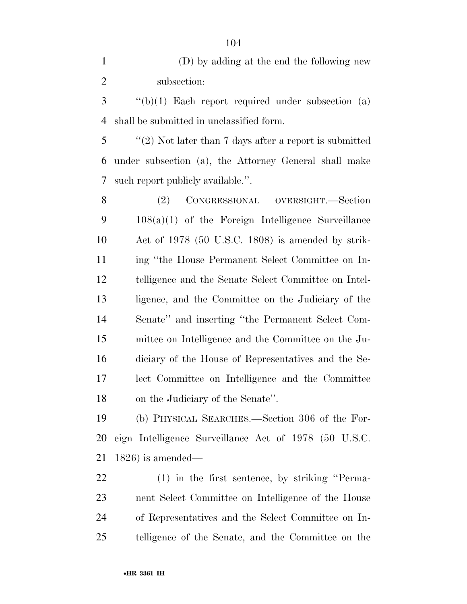| $\mathbf{1}$   | (D) by adding at the end the following new             |
|----------------|--------------------------------------------------------|
| $\overline{2}$ | subsection:                                            |
| 3              | $f'(b)(1)$ Each report required under subsection (a)   |
| 4              | shall be submitted in unclassified form.               |
| 5              | "(2) Not later than 7 days after a report is submitted |
| 6              | under subsection (a), the Attorney General shall make  |
| 7              | such report publicly available.".                      |
| 8              | CONGRESSIONAL OVERSIGHT.-Section<br>(2)                |
| 9              | $108(a)(1)$ of the Foreign Intelligence Surveillance   |
| 10             | Act of 1978 (50 U.S.C. 1808) is amended by strik-      |
| 11             | ing "the House Permanent Select Committee on In-       |
| 12             | telligence and the Senate Select Committee on Intel-   |
| 13             | ligence, and the Committee on the Judiciary of the     |
|                |                                                        |

 Senate'' and inserting ''the Permanent Select Com- mittee on Intelligence and the Committee on the Ju- diciary of the House of Representatives and the Se- lect Committee on Intelligence and the Committee on the Judiciary of the Senate''.

 (b) PHYSICAL SEARCHES.—Section 306 of the For- eign Intelligence Surveillance Act of 1978 (50 U.S.C. 1826) is amended—

 (1) in the first sentence, by striking ''Perma- nent Select Committee on Intelligence of the House of Representatives and the Select Committee on In-telligence of the Senate, and the Committee on the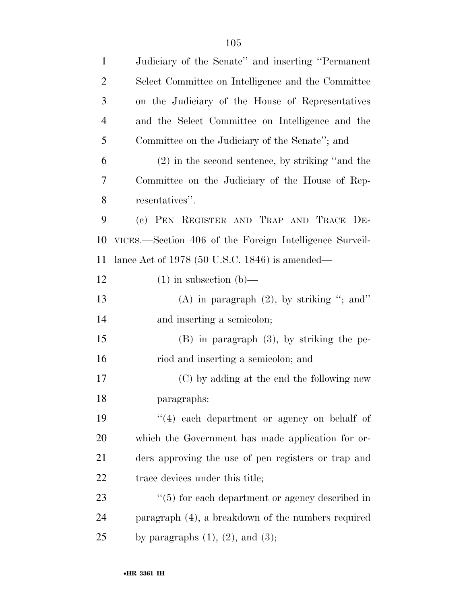| $\mathbf{1}$   | Judiciary of the Senate" and inserting "Permanent"      |
|----------------|---------------------------------------------------------|
| $\overline{2}$ | Select Committee on Intelligence and the Committee      |
| 3              | on the Judiciary of the House of Representatives        |
| $\overline{4}$ | and the Select Committee on Intelligence and the        |
| 5              | Committee on the Judiciary of the Senate"; and          |
| 6              | $(2)$ in the second sentence, by striking "and the      |
| 7              | Committee on the Judiciary of the House of Rep-         |
| 8              | resentatives".                                          |
| 9              | (c) PEN REGISTER AND TRAP AND TRACE DE-                 |
| 10             | VICES.—Section 406 of the Foreign Intelligence Surveil- |
| 11             | lance Act of $1978$ (50 U.S.C. 1846) is amended—        |
| 12             | $(1)$ in subsection $(b)$ —                             |
| 13             | (A) in paragraph $(2)$ , by striking "; and"            |
| 14             | and inserting a semicolon;                              |
| 15             | $(B)$ in paragraph $(3)$ , by striking the pe-          |
| 16             | riod and inserting a semicolon; and                     |
| 17             | (C) by adding at the end the following new              |
| 18             | paragraphs:                                             |
| 19             | "(4) each department or agency on behalf of             |
| 20             | which the Government has made application for or-       |
| 21             | ders approving the use of pen registers or trap and     |
| 22             | trace devices under this title;                         |
| 23             | $\cdot$ (5) for each department or agency described in  |
| 24             | paragraph (4), a breakdown of the numbers required      |
| 25             | by paragraphs $(1)$ , $(2)$ , and $(3)$ ;               |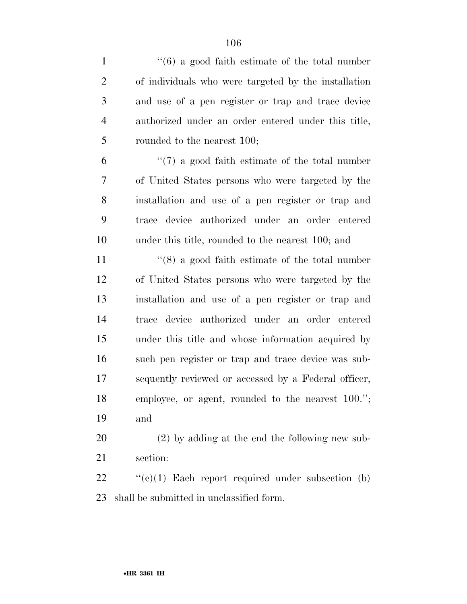| $\mathbf{1}$   | $\cdot\cdot(6)$ a good faith estimate of the total number |
|----------------|-----------------------------------------------------------|
| $\overline{2}$ | of individuals who were targeted by the installation      |
| 3              | and use of a pen register or trap and trace device        |
| $\overline{4}$ | authorized under an order entered under this title,       |
| 5              | rounded to the nearest 100;                               |
| 6              | $\lq(7)$ a good faith estimate of the total number        |
| 7              | of United States persons who were targeted by the         |
| 8              | installation and use of a pen register or trap and        |
| 9              | device authorized under an order entered<br>trace         |
| 10             | under this title, rounded to the nearest 100; and         |
| 11             | $\cdot$ (8) a good faith estimate of the total number     |
| 12             | of United States persons who were targeted by the         |
| 13             | installation and use of a pen register or trap and        |
| 14             | trace device authorized under an order entered            |
| 15             | under this title and whose information acquired by        |
| 16             | such pen register or trap and trace device was sub-       |
| 17             | sequently reviewed or accessed by a Federal officer,      |
| 18             | employee, or agent, rounded to the nearest 100.";         |
| 19             | and                                                       |
| 20             | $(2)$ by adding at the end the following new sub-         |
| 21             | section:                                                  |
| 22             | $\lq\lq(c)(1)$ Each report required under subsection (b)  |
| 23             | shall be submitted in unclassified form.                  |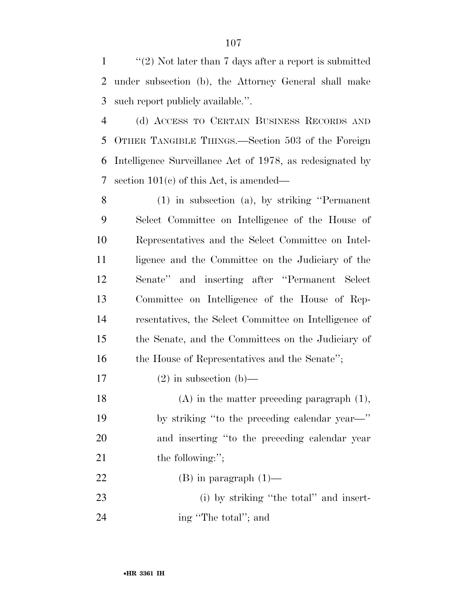''(2) Not later than 7 days after a report is submitted under subsection (b), the Attorney General shall make such report publicly available.''.

 (d) ACCESS TO CERTAIN BUSINESS RECORDS AND OTHER TANGIBLE THINGS.—Section 503 of the Foreign Intelligence Surveillance Act of 1978, as redesignated by section 101(c) of this Act, is amended—

 (1) in subsection (a), by striking ''Permanent Select Committee on Intelligence of the House of Representatives and the Select Committee on Intel-11 ligence and the Committee on the Judiciary of the Senate'' and inserting after ''Permanent Select Committee on Intelligence of the House of Rep- resentatives, the Select Committee on Intelligence of the Senate, and the Committees on the Judiciary of the House of Representatives and the Senate'';

### 17 (2) in subsection (b)—

 (A) in the matter preceding paragraph (1), by striking ''to the preceding calendar year—'' and inserting ''to the preceding calendar year 21 the following:";

22 (B) in paragraph  $(1)$ —

23 (i) by striking "the total" and insert-24 ing "The total"; and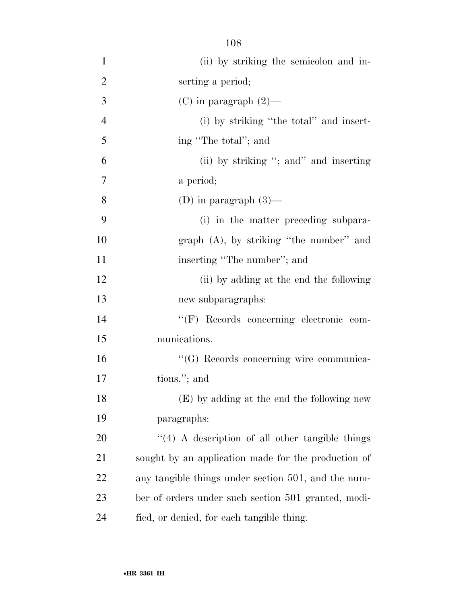- (ii) by striking the semicolon and in- serting a period; 3 (C) in paragraph  $(2)$ — (i) by striking ''the total'' and insert- ing ''The total''; and (ii) by striking ''; and'' and inserting a period; 8 (D) in paragraph  $(3)$ — (i) in the matter preceding subpara- graph (A), by striking ''the number'' and 11 inserting "The number"; and 12 (ii) by adding at the end the following new subparagraphs: ''(F) Records concerning electronic com- munications. ''(G) Records concerning wire communica- tions.''; and (E) by adding at the end the following new paragraphs: 20  $\frac{1}{4}$  A description of all other tangible things sought by an application made for the production of any tangible things under section 501, and the num-ber of orders under such section 501 granted, modi-
- fied, or denied, for each tangible thing.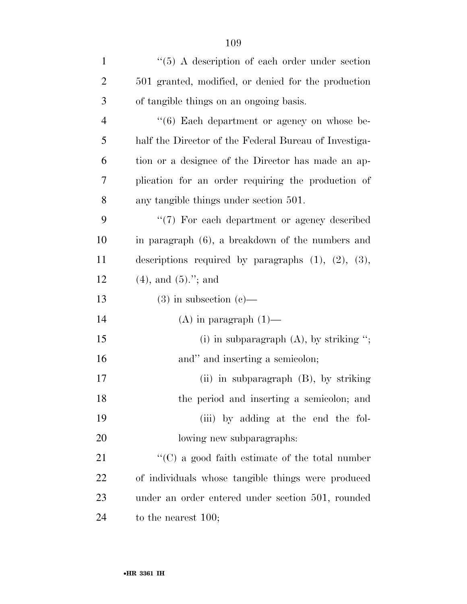| $\mathbf{1}$   | $\lq(5)$ A description of each order under section          |
|----------------|-------------------------------------------------------------|
| $\overline{2}$ | 501 granted, modified, or denied for the production         |
| 3              | of tangible things on an ongoing basis.                     |
| $\overline{4}$ | "(6) Each department or agency on whose be-                 |
| 5              | half the Director of the Federal Bureau of Investiga-       |
| 6              | tion or a designee of the Director has made an ap-          |
| 7              | plication for an order requiring the production of          |
| 8              | any tangible things under section 501.                      |
| 9              | "(7) For each department or agency described                |
| 10             | in paragraph (6), a breakdown of the numbers and            |
| 11             | descriptions required by paragraphs $(1)$ , $(2)$ , $(3)$ , |
| 12             | $(4)$ , and $(5)$ ."; and                                   |
| 13             | $(3)$ in subsection $(e)$ —                                 |
| 14             | $(A)$ in paragraph $(1)$ —                                  |
| 15             | (i) in subparagraph $(A)$ , by striking ";                  |
| 16             | and" and inserting a semicolon;                             |
| 17             | $(ii)$ in subparagraph $(B)$ , by striking                  |
| 18             | the period and inserting a semicolon; and                   |
| 19             | (iii) by adding at the end the fol-                         |
| 20             | lowing new subparagraphs:                                   |
| 21             | $\lq\lq$ (C) a good faith estimate of the total number      |
| 22             | of individuals whose tangible things were produced          |
| 23             | under an order entered under section 501, rounded           |
| 24             | to the nearest $100$ ;                                      |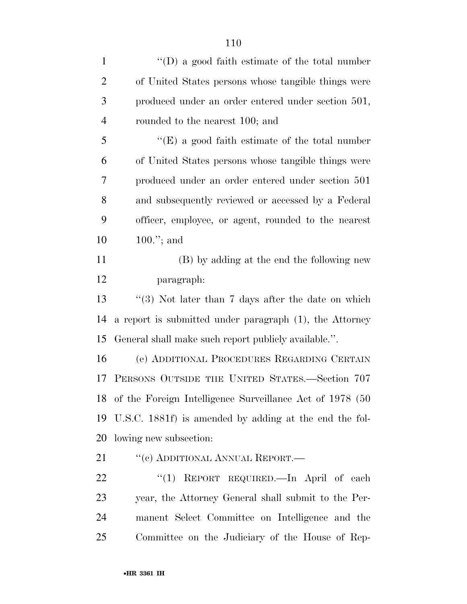| $\mathbf{1}$   | $\lq\lq$ (D) a good faith estimate of the total number      |
|----------------|-------------------------------------------------------------|
| $\overline{2}$ | of United States persons whose tangible things were         |
| 3              | produced under an order entered under section 501,          |
| $\overline{4}$ | rounded to the nearest 100; and                             |
| 5              | $\lq\lq$ (E) a good faith estimate of the total number      |
| 6              | of United States persons whose tangible things were         |
| 7              | produced under an order entered under section 501           |
| 8              | and subsequently reviewed or accessed by a Federal          |
| 9              | officer, employee, or agent, rounded to the nearest         |
| 10             | $100."$ ; and                                               |
| 11             | (B) by adding at the end the following new                  |
| 12             | paragraph:                                                  |
| 13             | $\lq(3)$ Not later than 7 days after the date on which      |
| 14             | a report is submitted under paragraph (1), the Attorney     |
| 15             | General shall make such report publicly available.".        |
| 16             | (e) ADDITIONAL PROCEDURES REGARDING CERTAIN                 |
| 17             | PERSONS OUTSIDE THE UNITED STATES.-Section 707              |
|                | 18 of the Foreign Intelligence Surveillance Act of 1978 (50 |
| 19             | U.S.C. 1881f) is amended by adding at the end the fol-      |
| 20             | lowing new subsection:                                      |
| 21             | "(c) ADDITIONAL ANNUAL REPORT.—                             |
| 22             | "(1) REPORT REQUIRED. In April of each                      |
| 23             | year, the Attorney General shall submit to the Per-         |
| 24             | manent Select Committee on Intelligence and the             |

Committee on the Judiciary of the House of Rep-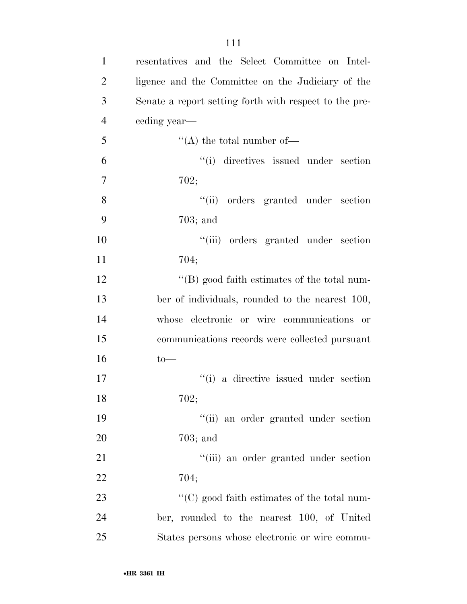| 1              | resentatives and the Select Committee on Intel-        |
|----------------|--------------------------------------------------------|
| $\overline{2}$ | ligence and the Committee on the Judiciary of the      |
| 3              | Senate a report setting forth with respect to the pre- |
| $\overline{4}$ | ceding year—                                           |
| 5              | $\lq\lq$ the total number of —                         |
| 6              | "(i) directives issued under section                   |
| $\overline{7}$ | 702;                                                   |
| 8              | "(ii) orders granted under section                     |
| 9              | $703$ ; and                                            |
| 10             | ``(iii)<br>orders granted under section                |
| 11             | 704;                                                   |
| 12             | $\lq\lq$ (B) good faith estimates of the total num-    |
|                |                                                        |

 ber of individuals, rounded to the nearest 100, whose electronic or wire communications or communications records were collected pursuant to—

17  $(i)$  a directive issued under section 702;

 ''(ii) an order granted under section 703; and

21 ''(iii) an order granted under section 704;

23  $\cdot$  (C) good faith estimates of the total num- ber, rounded to the nearest 100, of United States persons whose electronic or wire commu-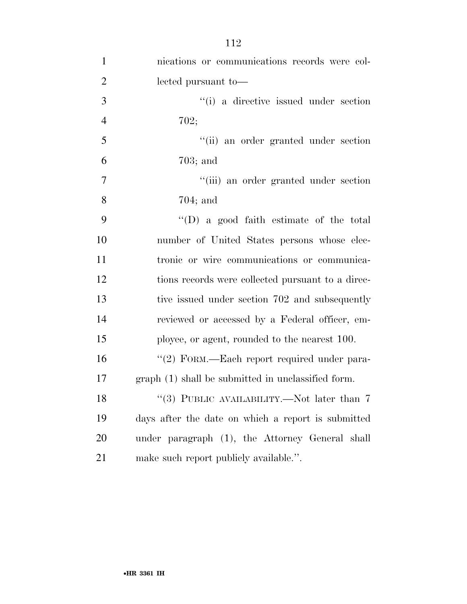| $\mathbf{1}$   | nications or communications records were col-      |
|----------------|----------------------------------------------------|
| $\overline{2}$ | lected pursuant to-                                |
| 3              | "(i) a directive issued under section              |
| $\overline{4}$ | 702;                                               |
| 5              | "(ii) an order granted under section               |
| 6              | $703$ ; and                                        |
| $\tau$         | "(iii) an order granted under section              |
| 8              | $704;$ and                                         |
| 9              | $\lq\lq$ (D) a good faith estimate of the total    |
| 10             | number of United States persons whose elec-        |
| 11             | tronic or wire communications or communica-        |
| 12             | tions records were collected pursuant to a direc-  |
| 13             | tive issued under section 702 and subsequently     |
| 14             | reviewed or accessed by a Federal officer, em-     |
| 15             | ployee, or agent, rounded to the nearest 100.      |
| 16             | "(2) FORM.—Each report required under para-        |
| 17             | graph (1) shall be submitted in unclassified form. |
| 18             | "(3) PUBLIC AVAILABILITY.—Not later than $7$       |
| 19             | days after the date on which a report is submitted |
| 20             | under paragraph (1), the Attorney General shall    |
| 21             | make such report publicly available.".             |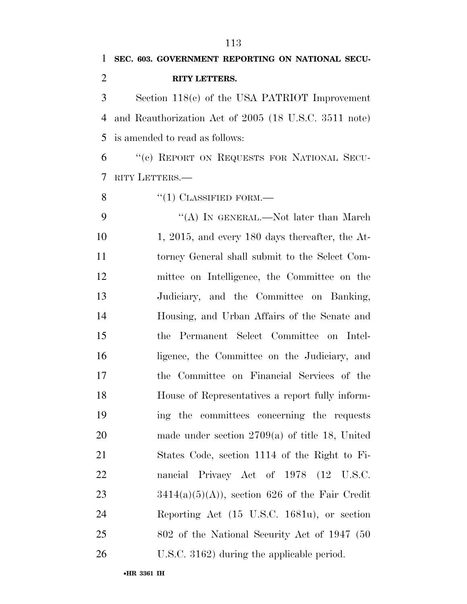Section 118(c) of the USA PATRIOT Improvement and Reauthorization Act of 2005 (18 U.S.C. 3511 note) is amended to read as follows:

 ''(c) REPORT ON REQUESTS FOR NATIONAL SECU-RITY LETTERS.—

8 "(1) CLASSIFIED FORM.—

9 "(A) IN GENERAL.—Not later than March 10 1, 2015, and every 180 days thereafter, the At- torney General shall submit to the Select Com- mittee on Intelligence, the Committee on the Judiciary, and the Committee on Banking, Housing, and Urban Affairs of the Senate and the Permanent Select Committee on Intel- ligence, the Committee on the Judiciary, and the Committee on Financial Services of the House of Representatives a report fully inform- ing the committees concerning the requests made under section 2709(a) of title 18, United States Code, section 1114 of the Right to Fi- nancial Privacy Act of 1978 (12 U.S.C.  $3414(a)(5)(A)$ , section 626 of the Fair Credit Reporting Act (15 U.S.C. 1681u), or section 802 of the National Security Act of 1947 (50 U.S.C. 3162) during the applicable period.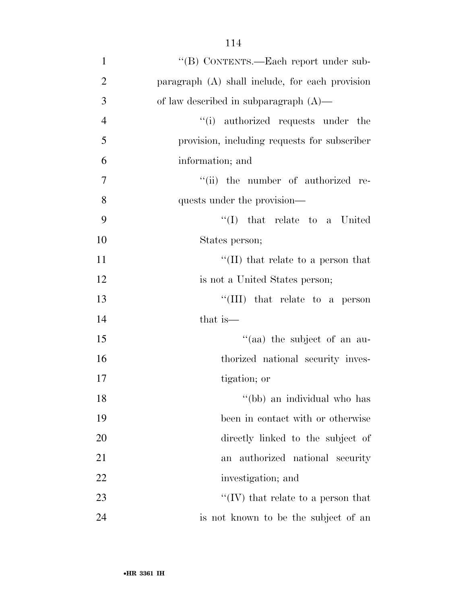| $\mathbf{1}$   | "(B) CONTENTS.—Each report under sub-           |
|----------------|-------------------------------------------------|
| $\overline{2}$ | paragraph (A) shall include, for each provision |
| 3              | of law described in subparagraph $(A)$ —        |
| $\overline{4}$ | "(i) authorized requests under the              |
| 5              | provision, including requests for subscriber    |
| 6              | information; and                                |
| $\overline{7}$ | "(ii) the number of authorized re-              |
| 8              | quests under the provision—                     |
| 9              | $\lq\lq$ that relate to a United                |
| 10             | States person;                                  |
| 11             | "(II) that relate to a person that              |
| 12             | is not a United States person;                  |
| 13             | "(III) that relate to a person                  |
| 14             | that is—                                        |
| 15             | "(aa) the subject of an au-                     |
| 16             | thorized national security inves-               |
| 17             | tigation; or                                    |
| 18             | "(bb) an individual who has                     |
| 19             | been in contact with or otherwise               |
| 20             | directly linked to the subject of               |
| 21             | authorized national security<br>an              |
| 22             | investigation; and                              |
| 23             | "(IV) that relate to a person that              |
| 24             | is not known to be the subject of an            |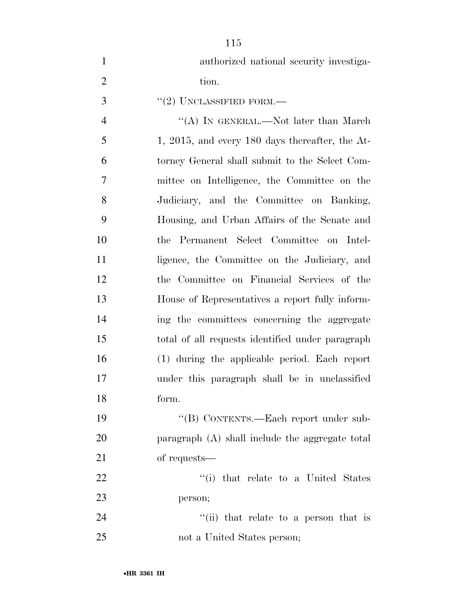| $\mathbf{1}$   | authorized national security investiga-           |
|----------------|---------------------------------------------------|
| $\overline{2}$ | tion.                                             |
| 3              | $"(2)$ UNCLASSIFIED FORM.—                        |
| $\overline{4}$ | "(A) IN GENERAL.—Not later than March             |
| 5              | $1, 2015,$ and every 180 days thereafter, the At- |
| 6              | torney General shall submit to the Select Com-    |
| $\overline{7}$ | mittee on Intelligence, the Committee on the      |
| 8              | Judiciary, and the Committee on Banking,          |
| 9              | Housing, and Urban Affairs of the Senate and      |
| 10             | the Permanent Select Committee on Intel-          |
| 11             | ligence, the Committee on the Judiciary, and      |
| 12             | the Committee on Financial Services of the        |
| 13             | House of Representatives a report fully inform-   |
| 14             | ing the committees concerning the aggregate       |
| 15             | total of all requests identified under paragraph  |
| 16             | (1) during the applicable period. Each report     |
| 17             | under this paragraph shall be in unclassified     |
| 18             | form.                                             |
| 19             | "(B) CONTENTS.—Each report under sub-             |
| 20             | paragraph (A) shall include the aggregate total   |
| 21             | of requests—                                      |
| 22             | "(i) that relate to a United States               |
| 23             | person;                                           |
| 24             | "(ii) that relate to a person that is             |
| 25             | not a United States person;                       |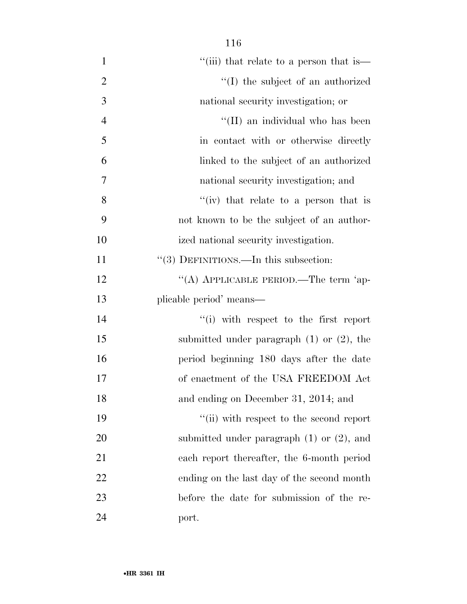| $\mathbf{1}$   | "(iii) that relate to a person that is—        |
|----------------|------------------------------------------------|
| $\overline{2}$ | "(I) the subject of an authorized              |
| 3              | national security investigation; or            |
| $\overline{4}$ | "(II) an individual who has been               |
| 5              | in contact with or otherwise directly          |
| 6              | linked to the subject of an authorized         |
| 7              | national security investigation; and           |
| 8              | "(iv) that relate to a person that is          |
| 9              | not known to be the subject of an author-      |
| 10             | ized national security investigation.          |
| 11             | $\lq(3)$ DEFINITIONS.—In this subsection:      |
| 12             | "(A) APPLICABLE PERIOD.—The term 'ap-          |
| 13             | plicable period' means—                        |
| 14             | "(i) with respect to the first report          |
| 15             | submitted under paragraph $(1)$ or $(2)$ , the |
| 16             | period beginning 180 days after the date       |
| 17             | of enactment of the USA FREEDOM Act            |
| 18             | and ending on December 31, 2014; and           |
| 19             | "(ii) with respect to the second report        |
| 20             | submitted under paragraph $(1)$ or $(2)$ , and |
| 21             | each report thereafter, the 6-month period     |
| 22             | ending on the last day of the second month     |
| 23             | before the date for submission of the re-      |
| 24             | port.                                          |